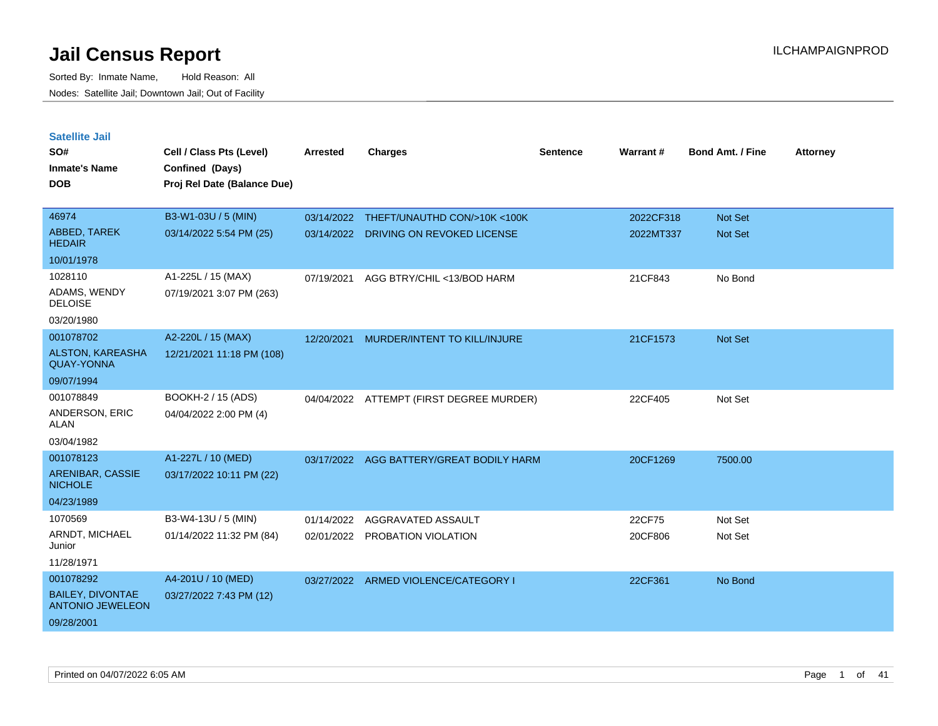| <b>Satellite Jail</b>                              |                             |            |                                          |          |           |                         |                 |
|----------------------------------------------------|-----------------------------|------------|------------------------------------------|----------|-----------|-------------------------|-----------------|
| SO#                                                | Cell / Class Pts (Level)    | Arrested   | Charges                                  | Sentence | Warrant#  | <b>Bond Amt. / Fine</b> | <b>Attorney</b> |
| Inmate's Name                                      | Confined (Days)             |            |                                          |          |           |                         |                 |
| <b>DOB</b>                                         | Proj Rel Date (Balance Due) |            |                                          |          |           |                         |                 |
|                                                    |                             |            |                                          |          |           |                         |                 |
| 46974                                              | B3-W1-03U / 5 (MIN)         |            | 03/14/2022 THEFT/UNAUTHD CON/>10K<100K   |          | 2022CF318 | <b>Not Set</b>          |                 |
| ABBED, TAREK<br><b>HEDAIR</b>                      | 03/14/2022 5:54 PM (25)     | 03/14/2022 | DRIVING ON REVOKED LICENSE               |          | 2022MT337 | Not Set                 |                 |
| 10/01/1978                                         |                             |            |                                          |          |           |                         |                 |
| 1028110                                            | A1-225L / 15 (MAX)          | 07/19/2021 | AGG BTRY/CHIL <13/BOD HARM               |          | 21CF843   | No Bond                 |                 |
| ADAMS, WENDY<br><b>DELOISE</b>                     | 07/19/2021 3:07 PM (263)    |            |                                          |          |           |                         |                 |
| 03/20/1980                                         |                             |            |                                          |          |           |                         |                 |
| 001078702                                          | A2-220L / 15 (MAX)          | 12/20/2021 | MURDER/INTENT TO KILL/INJURE             |          | 21CF1573  | <b>Not Set</b>          |                 |
| <b>ALSTON, KAREASHA</b><br><b>QUAY-YONNA</b>       | 12/21/2021 11:18 PM (108)   |            |                                          |          |           |                         |                 |
| 09/07/1994                                         |                             |            |                                          |          |           |                         |                 |
| 001078849                                          | BOOKH-2 / 15 (ADS)          |            | 04/04/2022 ATTEMPT (FIRST DEGREE MURDER) |          | 22CF405   | Not Set                 |                 |
| ANDERSON, ERIC<br>ALAN                             | 04/04/2022 2:00 PM (4)      |            |                                          |          |           |                         |                 |
| 03/04/1982                                         |                             |            |                                          |          |           |                         |                 |
| 001078123                                          | A1-227L / 10 (MED)          | 03/17/2022 | AGG BATTERY/GREAT BODILY HARM            |          | 20CF1269  | 7500.00                 |                 |
| ARENIBAR, CASSIE<br><b>NICHOLE</b>                 | 03/17/2022 10:11 PM (22)    |            |                                          |          |           |                         |                 |
| 04/23/1989                                         |                             |            |                                          |          |           |                         |                 |
| 1070569                                            | B3-W4-13U / 5 (MIN)         | 01/14/2022 | AGGRAVATED ASSAULT                       |          | 22CF75    | Not Set                 |                 |
| ARNDT, MICHAEL<br>Junior                           | 01/14/2022 11:32 PM (84)    |            | 02/01/2022 PROBATION VIOLATION           |          | 20CF806   | Not Set                 |                 |
| 11/28/1971                                         |                             |            |                                          |          |           |                         |                 |
| 001078292                                          | A4-201U / 10 (MED)          |            | 03/27/2022 ARMED VIOLENCE/CATEGORY I     |          | 22CF361   | No Bond                 |                 |
| <b>BAILEY, DIVONTAE</b><br><b>ANTONIO JEWELEON</b> | 03/27/2022 7:43 PM (12)     |            |                                          |          |           |                         |                 |
| 09/28/2001                                         |                             |            |                                          |          |           |                         |                 |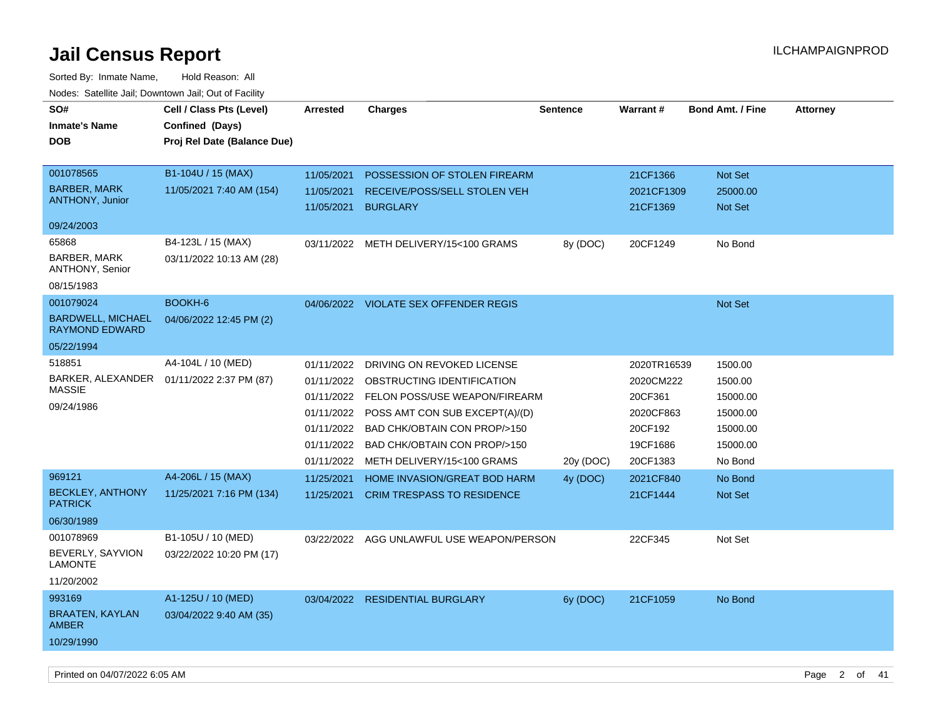| roaco. Oatomto dan, Downtown dan, Oat or Fability |                             |                     |                                           |                 |             |                         |                 |
|---------------------------------------------------|-----------------------------|---------------------|-------------------------------------------|-----------------|-------------|-------------------------|-----------------|
| SO#                                               | Cell / Class Pts (Level)    | Arrested            | <b>Charges</b>                            | <b>Sentence</b> | Warrant#    | <b>Bond Amt. / Fine</b> | <b>Attorney</b> |
| <b>Inmate's Name</b>                              | Confined (Days)             |                     |                                           |                 |             |                         |                 |
| <b>DOB</b>                                        | Proj Rel Date (Balance Due) |                     |                                           |                 |             |                         |                 |
|                                                   |                             |                     |                                           |                 |             |                         |                 |
| 001078565                                         | B1-104U / 15 (MAX)          | 11/05/2021          | POSSESSION OF STOLEN FIREARM              |                 | 21CF1366    | Not Set                 |                 |
| <b>BARBER, MARK</b>                               | 11/05/2021 7:40 AM (154)    | 11/05/2021          | RECEIVE/POSS/SELL STOLEN VEH              |                 | 2021CF1309  | 25000.00                |                 |
| <b>ANTHONY, Junior</b>                            |                             | 11/05/2021 BURGLARY |                                           |                 | 21CF1369    | <b>Not Set</b>          |                 |
| 09/24/2003                                        |                             |                     |                                           |                 |             |                         |                 |
| 65868                                             | B4-123L / 15 (MAX)          |                     | 03/11/2022 METH DELIVERY/15<100 GRAMS     | 8y (DOC)        | 20CF1249    | No Bond                 |                 |
| <b>BARBER, MARK</b><br>ANTHONY, Senior            | 03/11/2022 10:13 AM (28)    |                     |                                           |                 |             |                         |                 |
| 08/15/1983                                        |                             |                     |                                           |                 |             |                         |                 |
| 001079024                                         | BOOKH-6                     |                     | 04/06/2022 VIOLATE SEX OFFENDER REGIS     |                 |             | Not Set                 |                 |
| <b>BARDWELL, MICHAEL</b><br><b>RAYMOND EDWARD</b> | 04/06/2022 12:45 PM (2)     |                     |                                           |                 |             |                         |                 |
| 05/22/1994                                        |                             |                     |                                           |                 |             |                         |                 |
| 518851                                            | A4-104L / 10 (MED)          | 01/11/2022          | DRIVING ON REVOKED LICENSE                |                 | 2020TR16539 | 1500.00                 |                 |
| BARKER, ALEXANDER                                 | 01/11/2022 2:37 PM (87)     | 01/11/2022          | OBSTRUCTING IDENTIFICATION                |                 | 2020CM222   | 1500.00                 |                 |
| <b>MASSIE</b>                                     |                             |                     | 01/11/2022 FELON POSS/USE WEAPON/FIREARM  |                 | 20CF361     | 15000.00                |                 |
| 09/24/1986                                        |                             |                     | 01/11/2022 POSS AMT CON SUB EXCEPT(A)/(D) |                 | 2020CF863   | 15000.00                |                 |
|                                                   |                             | 01/11/2022          | BAD CHK/OBTAIN CON PROP/>150              |                 | 20CF192     | 15000.00                |                 |
|                                                   |                             |                     | 01/11/2022 BAD CHK/OBTAIN CON PROP/>150   |                 | 19CF1686    | 15000.00                |                 |
|                                                   |                             |                     | 01/11/2022 METH DELIVERY/15<100 GRAMS     | 20y (DOC)       | 20CF1383    | No Bond                 |                 |
| 969121                                            | A4-206L / 15 (MAX)          | 11/25/2021          | <b>HOME INVASION/GREAT BOD HARM</b>       | 4y (DOC)        | 2021CF840   | No Bond                 |                 |
| <b>BECKLEY, ANTHONY</b><br><b>PATRICK</b>         | 11/25/2021 7:16 PM (134)    | 11/25/2021          | <b>CRIM TRESPASS TO RESIDENCE</b>         |                 | 21CF1444    | Not Set                 |                 |
| 06/30/1989                                        |                             |                     |                                           |                 |             |                         |                 |
| 001078969                                         | B1-105U / 10 (MED)          |                     | 03/22/2022 AGG UNLAWFUL USE WEAPON/PERSON |                 | 22CF345     | Not Set                 |                 |
| BEVERLY, SAYVION<br><b>LAMONTE</b>                | 03/22/2022 10:20 PM (17)    |                     |                                           |                 |             |                         |                 |
| 11/20/2002                                        |                             |                     |                                           |                 |             |                         |                 |
| 993169                                            | A1-125U / 10 (MED)          |                     | 03/04/2022 RESIDENTIAL BURGLARY           | 6y (DOC)        | 21CF1059    | No Bond                 |                 |
| <b>BRAATEN, KAYLAN</b><br><b>AMBER</b>            | 03/04/2022 9:40 AM (35)     |                     |                                           |                 |             |                         |                 |
| 10/29/1990                                        |                             |                     |                                           |                 |             |                         |                 |
|                                                   |                             |                     |                                           |                 |             |                         |                 |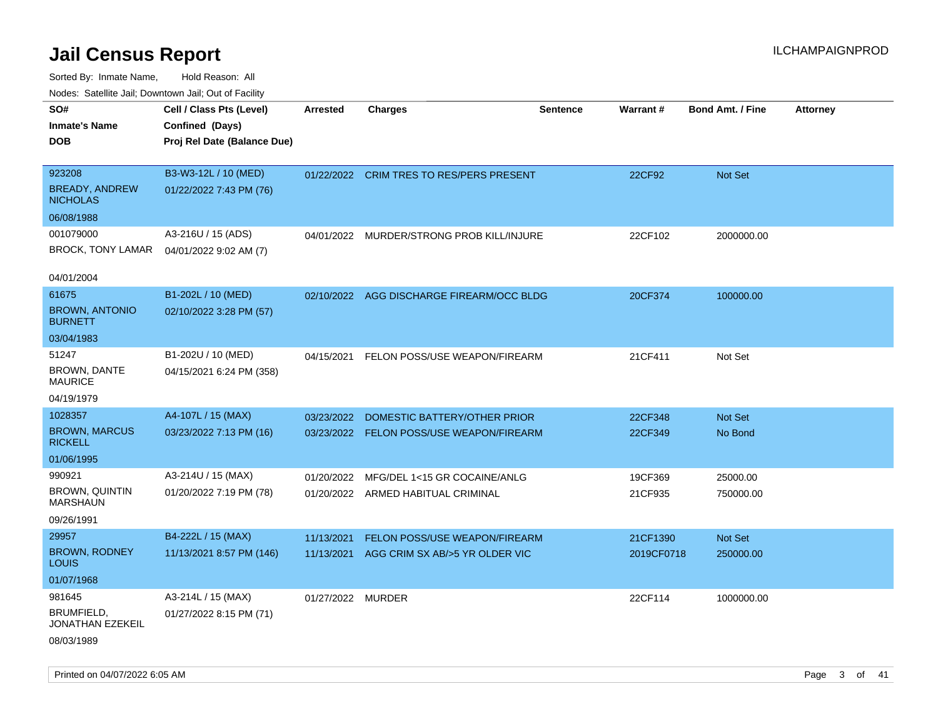| soupois catomic can, Dominomii can, Cat or Faomt<br>SO# | Cell / Class Pts (Level)    | <b>Arrested</b>   | <b>Charges</b>                            | <b>Sentence</b> | Warrant#   | <b>Bond Amt. / Fine</b> | <b>Attorney</b> |
|---------------------------------------------------------|-----------------------------|-------------------|-------------------------------------------|-----------------|------------|-------------------------|-----------------|
| <b>Inmate's Name</b>                                    | Confined (Days)             |                   |                                           |                 |            |                         |                 |
| <b>DOB</b>                                              | Proj Rel Date (Balance Due) |                   |                                           |                 |            |                         |                 |
|                                                         |                             |                   |                                           |                 |            |                         |                 |
| 923208                                                  | B3-W3-12L / 10 (MED)        |                   | 01/22/2022 CRIM TRES TO RES/PERS PRESENT  |                 | 22CF92     | Not Set                 |                 |
| <b>BREADY, ANDREW</b><br><b>NICHOLAS</b>                | 01/22/2022 7:43 PM (76)     |                   |                                           |                 |            |                         |                 |
| 06/08/1988                                              |                             |                   |                                           |                 |            |                         |                 |
| 001079000                                               | A3-216U / 15 (ADS)          | 04/01/2022        | MURDER/STRONG PROB KILL/INJURE            |                 | 22CF102    | 2000000.00              |                 |
| <b>BROCK, TONY LAMAR</b>                                | 04/01/2022 9:02 AM (7)      |                   |                                           |                 |            |                         |                 |
| 04/01/2004                                              |                             |                   |                                           |                 |            |                         |                 |
| 61675                                                   | B1-202L / 10 (MED)          |                   | 02/10/2022 AGG DISCHARGE FIREARM/OCC BLDG |                 | 20CF374    | 100000.00               |                 |
| <b>BROWN, ANTONIO</b><br><b>BURNETT</b>                 | 02/10/2022 3:28 PM (57)     |                   |                                           |                 |            |                         |                 |
| 03/04/1983                                              |                             |                   |                                           |                 |            |                         |                 |
| 51247                                                   | B1-202U / 10 (MED)          | 04/15/2021        | FELON POSS/USE WEAPON/FIREARM             |                 | 21CF411    | Not Set                 |                 |
| BROWN, DANTE<br><b>MAURICE</b>                          | 04/15/2021 6:24 PM (358)    |                   |                                           |                 |            |                         |                 |
| 04/19/1979                                              |                             |                   |                                           |                 |            |                         |                 |
| 1028357                                                 | A4-107L / 15 (MAX)          | 03/23/2022        | DOMESTIC BATTERY/OTHER PRIOR              |                 | 22CF348    | Not Set                 |                 |
| <b>BROWN, MARCUS</b><br><b>RICKELL</b>                  | 03/23/2022 7:13 PM (16)     |                   | 03/23/2022 FELON POSS/USE WEAPON/FIREARM  |                 | 22CF349    | No Bond                 |                 |
| 01/06/1995                                              |                             |                   |                                           |                 |            |                         |                 |
| 990921                                                  | A3-214U / 15 (MAX)          | 01/20/2022        | MFG/DEL 1<15 GR COCAINE/ANLG              |                 | 19CF369    | 25000.00                |                 |
| <b>BROWN, QUINTIN</b><br><b>MARSHAUN</b>                | 01/20/2022 7:19 PM (78)     |                   | 01/20/2022 ARMED HABITUAL CRIMINAL        |                 | 21CF935    | 750000.00               |                 |
| 09/26/1991                                              |                             |                   |                                           |                 |            |                         |                 |
| 29957                                                   | B4-222L / 15 (MAX)          | 11/13/2021        | FELON POSS/USE WEAPON/FIREARM             |                 | 21CF1390   | Not Set                 |                 |
| <b>BROWN, RODNEY</b><br>LOUIS                           | 11/13/2021 8:57 PM (146)    |                   | 11/13/2021 AGG CRIM SX AB/>5 YR OLDER VIC |                 | 2019CF0718 | 250000.00               |                 |
| 01/07/1968                                              |                             |                   |                                           |                 |            |                         |                 |
| 981645                                                  | A3-214L / 15 (MAX)          | 01/27/2022 MURDER |                                           |                 | 22CF114    | 1000000.00              |                 |
| BRUMFIELD,<br>JONATHAN EZEKEIL                          | 01/27/2022 8:15 PM (71)     |                   |                                           |                 |            |                         |                 |
| 08/03/1989                                              |                             |                   |                                           |                 |            |                         |                 |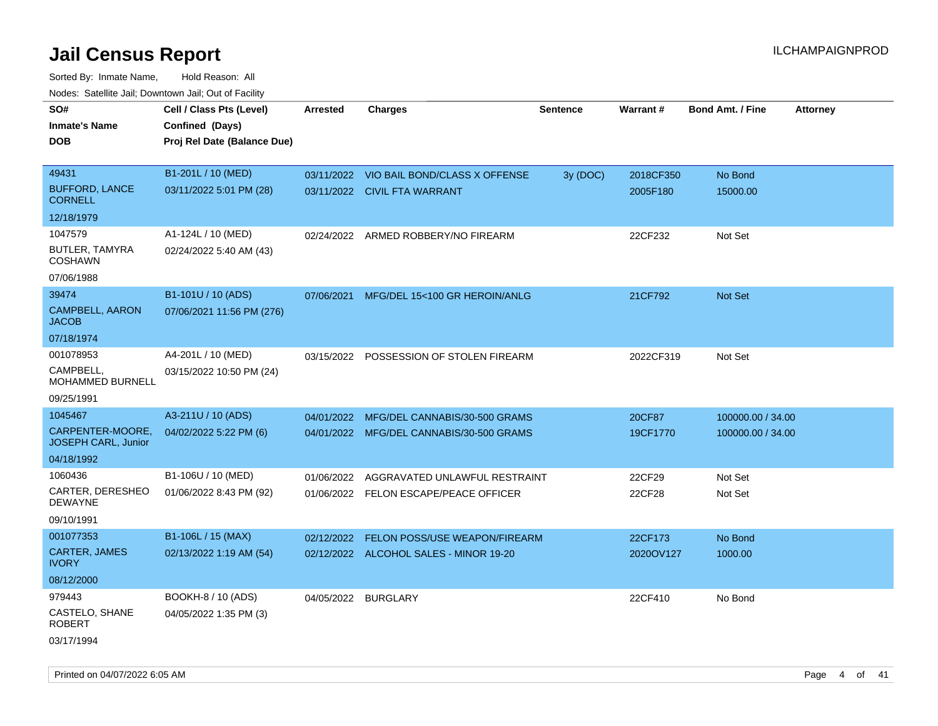| SO#                                     | Cell / Class Pts (Level)    | <b>Arrested</b> | <b>Charges</b>                           | <b>Sentence</b> | Warrant#  | <b>Bond Amt. / Fine</b><br><b>Attorney</b> |
|-----------------------------------------|-----------------------------|-----------------|------------------------------------------|-----------------|-----------|--------------------------------------------|
| <b>Inmate's Name</b>                    | Confined (Days)             |                 |                                          |                 |           |                                            |
| <b>DOB</b>                              | Proj Rel Date (Balance Due) |                 |                                          |                 |           |                                            |
|                                         |                             |                 |                                          |                 |           |                                            |
| 49431                                   | B1-201L / 10 (MED)          |                 | 03/11/2022 VIO BAIL BOND/CLASS X OFFENSE | 3y (DOC)        | 2018CF350 | No Bond                                    |
| <b>BUFFORD, LANCE</b><br><b>CORNELL</b> | 03/11/2022 5:01 PM (28)     |                 | 03/11/2022 CIVIL FTA WARRANT             |                 | 2005F180  | 15000.00                                   |
| 12/18/1979                              |                             |                 |                                          |                 |           |                                            |
| 1047579                                 | A1-124L / 10 (MED)          | 02/24/2022      | ARMED ROBBERY/NO FIREARM                 |                 | 22CF232   | Not Set                                    |
| <b>BUTLER, TAMYRA</b><br><b>COSHAWN</b> | 02/24/2022 5:40 AM (43)     |                 |                                          |                 |           |                                            |
| 07/06/1988                              |                             |                 |                                          |                 |           |                                            |
| 39474                                   | B1-101U / 10 (ADS)          |                 | 07/06/2021 MFG/DEL 15<100 GR HEROIN/ANLG |                 | 21CF792   | Not Set                                    |
| CAMPBELL, AARON<br><b>JACOB</b>         | 07/06/2021 11:56 PM (276)   |                 |                                          |                 |           |                                            |
| 07/18/1974                              |                             |                 |                                          |                 |           |                                            |
| 001078953                               | A4-201L / 10 (MED)          |                 | 03/15/2022 POSSESSION OF STOLEN FIREARM  |                 | 2022CF319 | Not Set                                    |
| CAMPBELL,<br><b>MOHAMMED BURNELL</b>    | 03/15/2022 10:50 PM (24)    |                 |                                          |                 |           |                                            |
| 09/25/1991                              |                             |                 |                                          |                 |           |                                            |
| 1045467                                 | A3-211U / 10 (ADS)          | 04/01/2022      | MFG/DEL CANNABIS/30-500 GRAMS            |                 | 20CF87    | 100000.00 / 34.00                          |
| CARPENTER-MOORE,<br>JOSEPH CARL, Junior | 04/02/2022 5:22 PM (6)      |                 | 04/01/2022 MFG/DEL CANNABIS/30-500 GRAMS |                 | 19CF1770  | 100000.00 / 34.00                          |
| 04/18/1992                              |                             |                 |                                          |                 |           |                                            |
| 1060436                                 | B1-106U / 10 (MED)          | 01/06/2022      | AGGRAVATED UNLAWFUL RESTRAINT            |                 | 22CF29    | Not Set                                    |
| CARTER, DERESHEO<br><b>DEWAYNE</b>      | 01/06/2022 8:43 PM (92)     |                 | 01/06/2022 FELON ESCAPE/PEACE OFFICER    |                 | 22CF28    | Not Set                                    |
| 09/10/1991                              |                             |                 |                                          |                 |           |                                            |
| 001077353                               | B1-106L / 15 (MAX)          | 02/12/2022      | FELON POSS/USE WEAPON/FIREARM            |                 | 22CF173   | No Bond                                    |
| <b>CARTER, JAMES</b><br><b>IVORY</b>    | 02/13/2022 1:19 AM (54)     |                 | 02/12/2022 ALCOHOL SALES - MINOR 19-20   |                 | 2020OV127 | 1000.00                                    |
| 08/12/2000                              |                             |                 |                                          |                 |           |                                            |
| 979443                                  | BOOKH-8 / 10 (ADS)          |                 | 04/05/2022 BURGLARY                      |                 | 22CF410   | No Bond                                    |
| CASTELO, SHANE<br><b>ROBERT</b>         | 04/05/2022 1:35 PM (3)      |                 |                                          |                 |           |                                            |
| 03/17/1994                              |                             |                 |                                          |                 |           |                                            |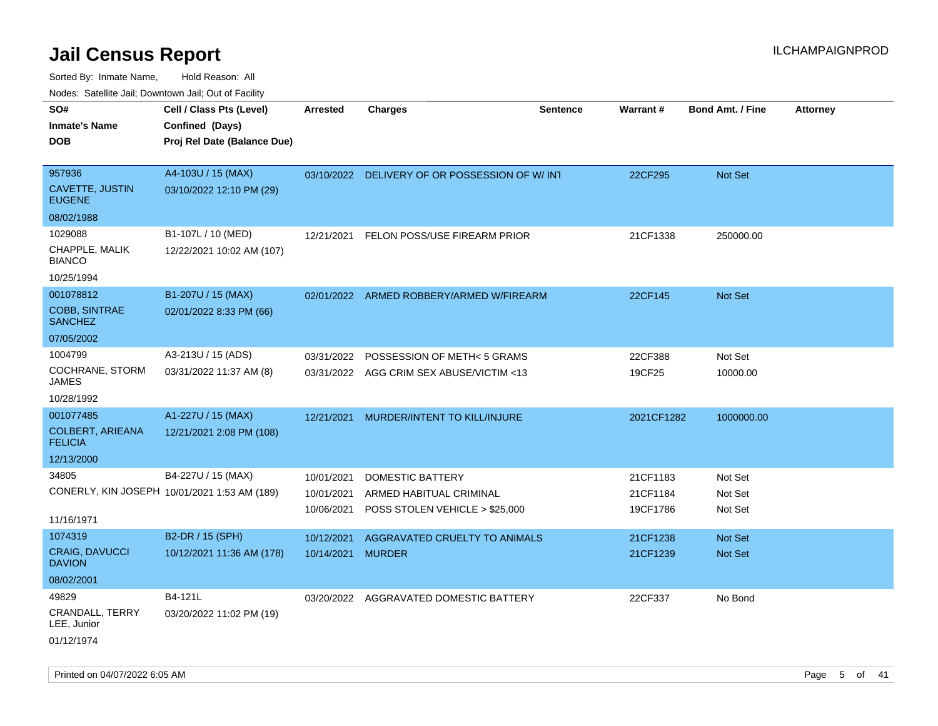| rougs. Calcinic Jan, Downtown Jan, Out of Facility |                                              |                   |                                                |                 |                 |                         |                 |
|----------------------------------------------------|----------------------------------------------|-------------------|------------------------------------------------|-----------------|-----------------|-------------------------|-----------------|
| SO#                                                | Cell / Class Pts (Level)                     | <b>Arrested</b>   | <b>Charges</b>                                 | <b>Sentence</b> | <b>Warrant#</b> | <b>Bond Amt. / Fine</b> | <b>Attorney</b> |
| <b>Inmate's Name</b>                               | Confined (Days)                              |                   |                                                |                 |                 |                         |                 |
| <b>DOB</b>                                         | Proj Rel Date (Balance Due)                  |                   |                                                |                 |                 |                         |                 |
|                                                    |                                              |                   |                                                |                 |                 |                         |                 |
| 957936                                             | A4-103U / 15 (MAX)                           |                   | 03/10/2022 DELIVERY OF OR POSSESSION OF W/ INT |                 | 22CF295         | Not Set                 |                 |
| CAVETTE, JUSTIN<br><b>EUGENE</b>                   | 03/10/2022 12:10 PM (29)                     |                   |                                                |                 |                 |                         |                 |
| 08/02/1988                                         |                                              |                   |                                                |                 |                 |                         |                 |
| 1029088                                            | B1-107L / 10 (MED)                           | 12/21/2021        | FELON POSS/USE FIREARM PRIOR                   |                 | 21CF1338        | 250000.00               |                 |
| CHAPPLE, MALIK<br><b>BIANCO</b>                    | 12/22/2021 10:02 AM (107)                    |                   |                                                |                 |                 |                         |                 |
| 10/25/1994                                         |                                              |                   |                                                |                 |                 |                         |                 |
| 001078812                                          | B1-207U / 15 (MAX)                           |                   | 02/01/2022 ARMED ROBBERY/ARMED W/FIREARM       |                 | 22CF145         | <b>Not Set</b>          |                 |
| <b>COBB, SINTRAE</b><br><b>SANCHEZ</b>             | 02/01/2022 8:33 PM (66)                      |                   |                                                |                 |                 |                         |                 |
| 07/05/2002                                         |                                              |                   |                                                |                 |                 |                         |                 |
| 1004799                                            | A3-213U / 15 (ADS)                           | 03/31/2022        | POSSESSION OF METH< 5 GRAMS                    |                 | 22CF388         | Not Set                 |                 |
| COCHRANE, STORM<br>JAMES                           | 03/31/2022 11:37 AM (8)                      |                   | 03/31/2022 AGG CRIM SEX ABUSE/VICTIM <13       |                 | 19CF25          | 10000.00                |                 |
| 10/28/1992                                         |                                              |                   |                                                |                 |                 |                         |                 |
| 001077485                                          | A1-227U / 15 (MAX)                           | 12/21/2021        | MURDER/INTENT TO KILL/INJURE                   |                 | 2021CF1282      | 1000000.00              |                 |
| <b>COLBERT, ARIEANA</b><br><b>FELICIA</b>          | 12/21/2021 2:08 PM (108)                     |                   |                                                |                 |                 |                         |                 |
| 12/13/2000                                         |                                              |                   |                                                |                 |                 |                         |                 |
| 34805                                              | B4-227U / 15 (MAX)                           | 10/01/2021        | DOMESTIC BATTERY                               |                 | 21CF1183        | Not Set                 |                 |
|                                                    | CONERLY, KIN JOSEPH 10/01/2021 1:53 AM (189) | 10/01/2021        | ARMED HABITUAL CRIMINAL                        |                 | 21CF1184        | Not Set                 |                 |
|                                                    |                                              | 10/06/2021        | POSS STOLEN VEHICLE > \$25,000                 |                 | 19CF1786        | Not Set                 |                 |
| 11/16/1971                                         |                                              |                   |                                                |                 |                 |                         |                 |
| 1074319                                            | B2-DR / 15 (SPH)                             | 10/12/2021        | AGGRAVATED CRUELTY TO ANIMALS                  |                 | 21CF1238        | <b>Not Set</b>          |                 |
| <b>CRAIG, DAVUCCI</b><br><b>DAVION</b>             | 10/12/2021 11:36 AM (178)                    | 10/14/2021 MURDER |                                                |                 | 21CF1239        | <b>Not Set</b>          |                 |
| 08/02/2001                                         |                                              |                   |                                                |                 |                 |                         |                 |
| 49829                                              | B4-121L                                      |                   | 03/20/2022 AGGRAVATED DOMESTIC BATTERY         |                 | 22CF337         | No Bond                 |                 |
| <b>CRANDALL, TERRY</b><br>LEE, Junior              | 03/20/2022 11:02 PM (19)                     |                   |                                                |                 |                 |                         |                 |
| 01/12/1974                                         |                                              |                   |                                                |                 |                 |                         |                 |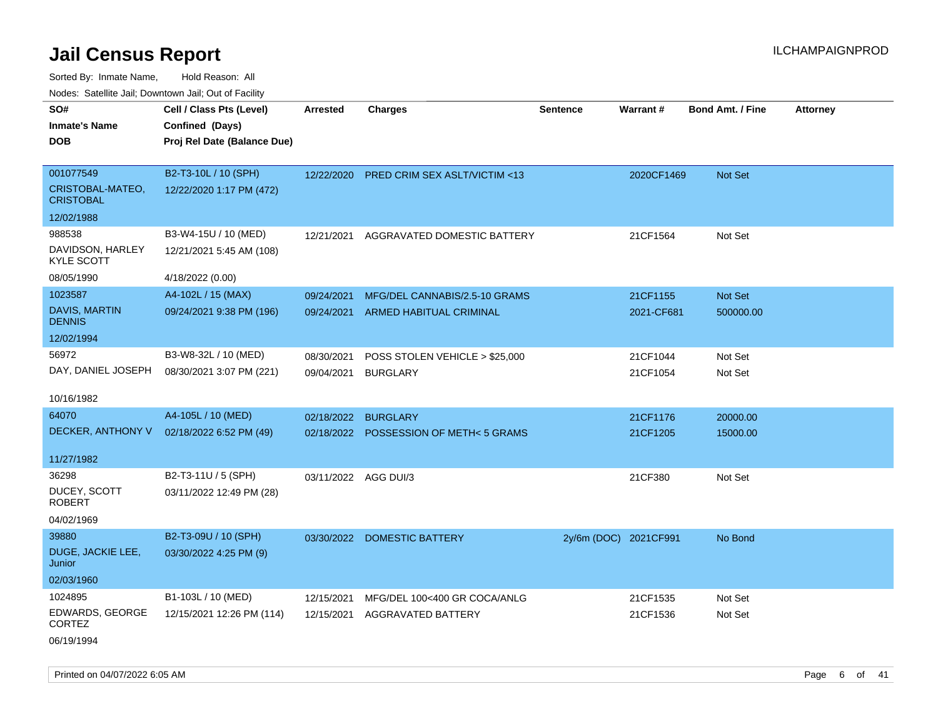| Noues. Salenne Jan, Downtown Jan, Out of Facility |                             |                      |                                         |                       |                 |                         |                 |
|---------------------------------------------------|-----------------------------|----------------------|-----------------------------------------|-----------------------|-----------------|-------------------------|-----------------|
| SO#                                               | Cell / Class Pts (Level)    | <b>Arrested</b>      | <b>Charges</b>                          | <b>Sentence</b>       | <b>Warrant#</b> | <b>Bond Amt. / Fine</b> | <b>Attorney</b> |
| <b>Inmate's Name</b>                              | Confined (Days)             |                      |                                         |                       |                 |                         |                 |
| <b>DOB</b>                                        | Proj Rel Date (Balance Due) |                      |                                         |                       |                 |                         |                 |
|                                                   |                             |                      |                                         |                       |                 |                         |                 |
| 001077549                                         | B2-T3-10L / 10 (SPH)        | 12/22/2020           | <b>PRED CRIM SEX ASLT/VICTIM &lt;13</b> |                       | 2020CF1469      | <b>Not Set</b>          |                 |
| CRISTOBAL-MATEO,<br><b>CRISTOBAL</b>              | 12/22/2020 1:17 PM (472)    |                      |                                         |                       |                 |                         |                 |
| 12/02/1988                                        |                             |                      |                                         |                       |                 |                         |                 |
| 988538                                            | B3-W4-15U / 10 (MED)        | 12/21/2021           | AGGRAVATED DOMESTIC BATTERY             |                       | 21CF1564        | Not Set                 |                 |
| DAVIDSON, HARLEY<br><b>KYLE SCOTT</b>             | 12/21/2021 5:45 AM (108)    |                      |                                         |                       |                 |                         |                 |
| 08/05/1990                                        | 4/18/2022 (0.00)            |                      |                                         |                       |                 |                         |                 |
| 1023587                                           | A4-102L / 15 (MAX)          | 09/24/2021           | MFG/DEL CANNABIS/2.5-10 GRAMS           |                       | 21CF1155        | Not Set                 |                 |
| DAVIS, MARTIN<br><b>DENNIS</b>                    | 09/24/2021 9:38 PM (196)    | 09/24/2021           | ARMED HABITUAL CRIMINAL                 |                       | 2021-CF681      | 500000.00               |                 |
| 12/02/1994                                        |                             |                      |                                         |                       |                 |                         |                 |
| 56972                                             | B3-W8-32L / 10 (MED)        | 08/30/2021           | POSS STOLEN VEHICLE > \$25,000          |                       | 21CF1044        | Not Set                 |                 |
| DAY, DANIEL JOSEPH                                | 08/30/2021 3:07 PM (221)    | 09/04/2021           | <b>BURGLARY</b>                         |                       | 21CF1054        | Not Set                 |                 |
|                                                   |                             |                      |                                         |                       |                 |                         |                 |
| 10/16/1982                                        |                             |                      |                                         |                       |                 |                         |                 |
| 64070                                             | A4-105L / 10 (MED)          | 02/18/2022           | <b>BURGLARY</b>                         |                       | 21CF1176        | 20000.00                |                 |
| DECKER, ANTHONY V                                 | 02/18/2022 6:52 PM (49)     | 02/18/2022           | <b>POSSESSION OF METH&lt;5 GRAMS</b>    |                       | 21CF1205        | 15000.00                |                 |
|                                                   |                             |                      |                                         |                       |                 |                         |                 |
| 11/27/1982                                        |                             |                      |                                         |                       |                 |                         |                 |
| 36298                                             | B2-T3-11U / 5 (SPH)         | 03/11/2022 AGG DUI/3 |                                         |                       | 21CF380         | Not Set                 |                 |
| DUCEY, SCOTT<br>ROBERT                            | 03/11/2022 12:49 PM (28)    |                      |                                         |                       |                 |                         |                 |
| 04/02/1969                                        |                             |                      |                                         |                       |                 |                         |                 |
| 39880                                             | B2-T3-09U / 10 (SPH)        | 03/30/2022           | <b>DOMESTIC BATTERY</b>                 | 2y/6m (DOC) 2021CF991 |                 | No Bond                 |                 |
| DUGE, JACKIE LEE,                                 | 03/30/2022 4:25 PM (9)      |                      |                                         |                       |                 |                         |                 |
| Junior                                            |                             |                      |                                         |                       |                 |                         |                 |
| 02/03/1960                                        |                             |                      |                                         |                       |                 |                         |                 |
| 1024895                                           | B1-103L / 10 (MED)          | 12/15/2021           | MFG/DEL 100<400 GR COCA/ANLG            |                       | 21CF1535        | Not Set                 |                 |
| EDWARDS, GEORGE<br>CORTEZ                         | 12/15/2021 12:26 PM (114)   | 12/15/2021           | AGGRAVATED BATTERY                      |                       | 21CF1536        | Not Set                 |                 |
| 06/19/1994                                        |                             |                      |                                         |                       |                 |                         |                 |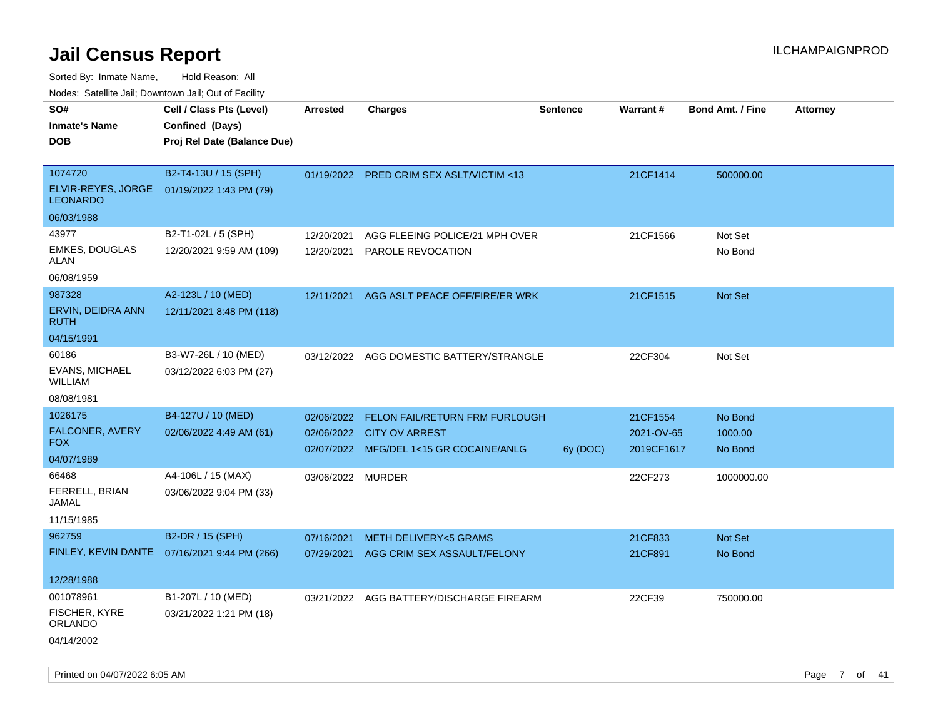Sorted By: Inmate Name, Hold Reason: All

Nodes: Satellite Jail; Downtown Jail; Out of Facility

| SO#<br><b>Inmate's Name</b><br><b>DOB</b>                                                                | Cell / Class Pts (Level)<br>Confined (Days)<br>Proj Rel Date (Balance Due)                     | <b>Arrested</b>          | <b>Charges</b>                                                                                                    | <b>Sentence</b> | Warrant#                                        | <b>Bond Amt. / Fine</b>                     | <b>Attorney</b> |
|----------------------------------------------------------------------------------------------------------|------------------------------------------------------------------------------------------------|--------------------------|-------------------------------------------------------------------------------------------------------------------|-----------------|-------------------------------------------------|---------------------------------------------|-----------------|
| 1074720<br>ELVIR-REYES, JORGE<br><b>LEONARDO</b><br>06/03/1988                                           | B2-T4-13U / 15 (SPH)<br>01/19/2022 1:43 PM (79)                                                |                          | 01/19/2022 PRED CRIM SEX ASLT/VICTIM <13                                                                          |                 | 21CF1414                                        | 500000.00                                   |                 |
| 43977<br>EMKES, DOUGLAS<br>ALAN<br>06/08/1959                                                            | B2-T1-02L / 5 (SPH)<br>12/20/2021 9:59 AM (109)                                                | 12/20/2021<br>12/20/2021 | AGG FLEEING POLICE/21 MPH OVER<br>PAROLE REVOCATION                                                               |                 | 21CF1566                                        | Not Set<br>No Bond                          |                 |
| 987328<br>ERVIN, DEIDRA ANN<br><b>RUTH</b><br>04/15/1991                                                 | A2-123L / 10 (MED)<br>12/11/2021 8:48 PM (118)                                                 |                          | 12/11/2021 AGG ASLT PEACE OFF/FIRE/ER WRK                                                                         |                 | 21CF1515                                        | Not Set                                     |                 |
| 60186<br>EVANS, MICHAEL<br><b>WILLIAM</b><br>08/08/1981                                                  | B3-W7-26L / 10 (MED)<br>03/12/2022 6:03 PM (27)                                                |                          | 03/12/2022 AGG DOMESTIC BATTERY/STRANGLE                                                                          |                 | 22CF304                                         | Not Set                                     |                 |
| 1026175<br>FALCONER, AVERY<br><b>FOX</b><br>04/07/1989<br>66468<br>FERRELL, BRIAN<br>JAMAL<br>11/15/1985 | B4-127U / 10 (MED)<br>02/06/2022 4:49 AM (61)<br>A4-106L / 15 (MAX)<br>03/06/2022 9:04 PM (33) | 03/06/2022 MURDER        | 02/06/2022 FELON FAIL/RETURN FRM FURLOUGH<br>02/06/2022 CITY OV ARREST<br>02/07/2022 MFG/DEL 1<15 GR COCAINE/ANLG | 6y (DOC)        | 21CF1554<br>2021-OV-65<br>2019CF1617<br>22CF273 | No Bond<br>1000.00<br>No Bond<br>1000000.00 |                 |
| 962759<br>12/28/1988<br>001078961                                                                        | B2-DR / 15 (SPH)<br>FINLEY, KEVIN DANTE 07/16/2021 9:44 PM (266)                               | 07/16/2021<br>07/29/2021 | METH DELIVERY<5 GRAMS<br>AGG CRIM SEX ASSAULT/FELONY                                                              |                 | 21CF833<br>21CF891                              | Not Set<br>No Bond                          |                 |
| FISCHER, KYRE<br><b>ORLANDO</b><br>04/14/2002                                                            | B1-207L / 10 (MED)<br>03/21/2022 1:21 PM (18)                                                  |                          | 03/21/2022 AGG BATTERY/DISCHARGE FIREARM                                                                          |                 | 22CF39                                          | 750000.00                                   |                 |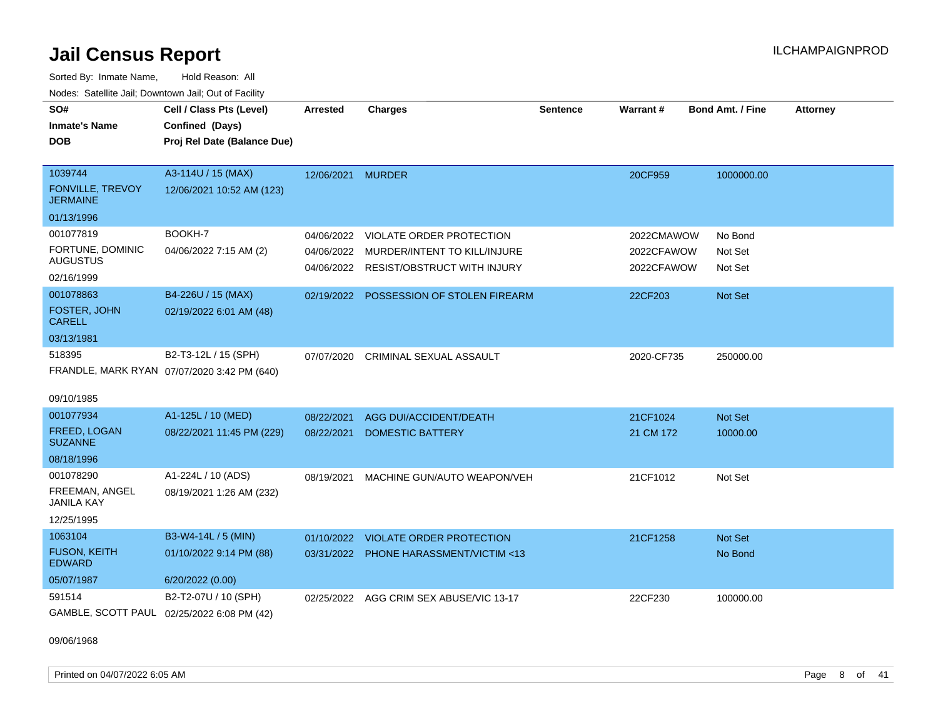Sorted By: Inmate Name, Hold Reason: All Nodes: Satellite Jail; Downtown Jail; Out of Facility

| SO#<br><b>Inmate's Name</b><br><b>DOB</b>  | Cell / Class Pts (Level)<br>Confined (Days)<br>Proj Rel Date (Balance Due) | Arrested   | <b>Charges</b>                          | <b>Sentence</b> | Warrant#   | <b>Bond Amt. / Fine</b> | <b>Attorney</b> |
|--------------------------------------------|----------------------------------------------------------------------------|------------|-----------------------------------------|-----------------|------------|-------------------------|-----------------|
| 1039744                                    | A3-114U / 15 (MAX)                                                         | 12/06/2021 | <b>MURDER</b>                           |                 | 20CF959    | 1000000.00              |                 |
| <b>FONVILLE, TREVOY</b><br><b>JERMAINE</b> | 12/06/2021 10:52 AM (123)                                                  |            |                                         |                 |            |                         |                 |
| 01/13/1996                                 |                                                                            |            |                                         |                 |            |                         |                 |
| 001077819                                  | BOOKH-7                                                                    | 04/06/2022 | <b>VIOLATE ORDER PROTECTION</b>         |                 | 2022CMAWOW | No Bond                 |                 |
| FORTUNE, DOMINIC                           | 04/06/2022 7:15 AM (2)                                                     | 04/06/2022 | MURDER/INTENT TO KILL/INJURE            |                 | 2022CFAWOW | Not Set                 |                 |
| <b>AUGUSTUS</b>                            |                                                                            |            | 04/06/2022 RESIST/OBSTRUCT WITH INJURY  |                 | 2022CFAWOW | Not Set                 |                 |
| 02/16/1999                                 |                                                                            |            |                                         |                 |            |                         |                 |
| 001078863                                  | B4-226U / 15 (MAX)                                                         |            | 02/19/2022 POSSESSION OF STOLEN FIREARM |                 | 22CF203    | Not Set                 |                 |
| FOSTER, JOHN<br><b>CARELL</b>              | 02/19/2022 6:01 AM (48)                                                    |            |                                         |                 |            |                         |                 |
| 03/13/1981                                 |                                                                            |            |                                         |                 |            |                         |                 |
| 518395                                     | B2-T3-12L / 15 (SPH)                                                       | 07/07/2020 | <b>CRIMINAL SEXUAL ASSAULT</b>          |                 | 2020-CF735 | 250000.00               |                 |
|                                            | FRANDLE, MARK RYAN 07/07/2020 3:42 PM (640)                                |            |                                         |                 |            |                         |                 |
| 09/10/1985                                 |                                                                            |            |                                         |                 |            |                         |                 |
| 001077934                                  | A1-125L / 10 (MED)                                                         | 08/22/2021 | <b>AGG DUI/ACCIDENT/DEATH</b>           |                 | 21CF1024   | <b>Not Set</b>          |                 |
| FREED, LOGAN<br><b>SUZANNE</b>             | 08/22/2021 11:45 PM (229)                                                  | 08/22/2021 | <b>DOMESTIC BATTERY</b>                 |                 | 21 CM 172  | 10000.00                |                 |
| 08/18/1996                                 |                                                                            |            |                                         |                 |            |                         |                 |
| 001078290                                  | A1-224L / 10 (ADS)                                                         | 08/19/2021 | MACHINE GUN/AUTO WEAPON/VEH             |                 | 21CF1012   | Not Set                 |                 |
| FREEMAN, ANGEL<br><b>JANILA KAY</b>        | 08/19/2021 1:26 AM (232)                                                   |            |                                         |                 |            |                         |                 |
| 12/25/1995                                 |                                                                            |            |                                         |                 |            |                         |                 |
| 1063104                                    | B3-W4-14L / 5 (MIN)                                                        | 01/10/2022 | <b>VIOLATE ORDER PROTECTION</b>         |                 | 21CF1258   | Not Set                 |                 |
| <b>FUSON, KEITH</b><br><b>EDWARD</b>       | 01/10/2022 9:14 PM (88)                                                    |            | 03/31/2022 PHONE HARASSMENT/VICTIM <13  |                 |            | No Bond                 |                 |
| 05/07/1987                                 | 6/20/2022 (0.00)                                                           |            |                                         |                 |            |                         |                 |
| 591514                                     | B2-T2-07U / 10 (SPH)                                                       | 02/25/2022 | AGG CRIM SEX ABUSE/VIC 13-17            |                 | 22CF230    | 100000.00               |                 |
| GAMBLE, SCOTT PAUL 02/25/2022 6:08 PM (42) |                                                                            |            |                                         |                 |            |                         |                 |

09/06/1968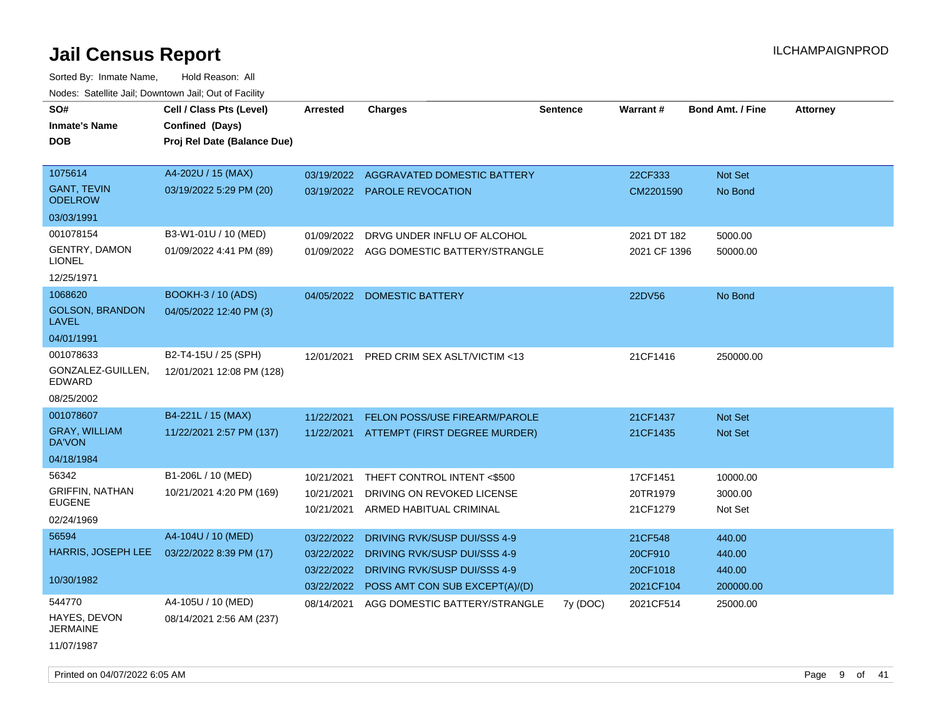| roaco. Calcinio dan, Domntonn dan, Out or Fability |                             |                 |                                          |                 |                 |                         |                 |
|----------------------------------------------------|-----------------------------|-----------------|------------------------------------------|-----------------|-----------------|-------------------------|-----------------|
| SO#                                                | Cell / Class Pts (Level)    | <b>Arrested</b> | <b>Charges</b>                           | <b>Sentence</b> | <b>Warrant#</b> | <b>Bond Amt. / Fine</b> | <b>Attorney</b> |
| <b>Inmate's Name</b>                               | Confined (Days)             |                 |                                          |                 |                 |                         |                 |
| DOB.                                               | Proj Rel Date (Balance Due) |                 |                                          |                 |                 |                         |                 |
|                                                    |                             |                 |                                          |                 |                 |                         |                 |
| 1075614                                            | A4-202U / 15 (MAX)          |                 | 03/19/2022 AGGRAVATED DOMESTIC BATTERY   |                 | 22CF333         | Not Set                 |                 |
| <b>GANT, TEVIN</b><br><b>ODELROW</b>               | 03/19/2022 5:29 PM (20)     |                 | 03/19/2022 PAROLE REVOCATION             |                 | CM2201590       | No Bond                 |                 |
| 03/03/1991                                         |                             |                 |                                          |                 |                 |                         |                 |
| 001078154                                          | B3-W1-01U / 10 (MED)        | 01/09/2022      | DRVG UNDER INFLU OF ALCOHOL              |                 | 2021 DT 182     | 5000.00                 |                 |
| <b>GENTRY, DAMON</b><br><b>LIONEL</b>              | 01/09/2022 4:41 PM (89)     |                 | 01/09/2022 AGG DOMESTIC BATTERY/STRANGLE |                 | 2021 CF 1396    | 50000.00                |                 |
| 12/25/1971                                         |                             |                 |                                          |                 |                 |                         |                 |
| 1068620                                            | BOOKH-3 / 10 (ADS)          |                 | 04/05/2022 DOMESTIC BATTERY              |                 | 22DV56          | No Bond                 |                 |
| <b>GOLSON, BRANDON</b><br><b>LAVEL</b>             | 04/05/2022 12:40 PM (3)     |                 |                                          |                 |                 |                         |                 |
| 04/01/1991                                         |                             |                 |                                          |                 |                 |                         |                 |
| 001078633                                          | B2-T4-15U / 25 (SPH)        | 12/01/2021      | PRED CRIM SEX ASLT/VICTIM <13            |                 | 21CF1416        | 250000.00               |                 |
| GONZALEZ-GUILLEN,<br>EDWARD                        | 12/01/2021 12:08 PM (128)   |                 |                                          |                 |                 |                         |                 |
| 08/25/2002                                         |                             |                 |                                          |                 |                 |                         |                 |
| 001078607                                          | B4-221L / 15 (MAX)          | 11/22/2021      | FELON POSS/USE FIREARM/PAROLE            |                 | 21CF1437        | <b>Not Set</b>          |                 |
| <b>GRAY, WILLIAM</b><br>DA'VON                     | 11/22/2021 2:57 PM (137)    | 11/22/2021      | ATTEMPT (FIRST DEGREE MURDER)            |                 | 21CF1435        | Not Set                 |                 |
| 04/18/1984                                         |                             |                 |                                          |                 |                 |                         |                 |
| 56342                                              | B1-206L / 10 (MED)          | 10/21/2021      | THEFT CONTROL INTENT <\$500              |                 | 17CF1451        | 10000.00                |                 |
| <b>GRIFFIN, NATHAN</b>                             | 10/21/2021 4:20 PM (169)    | 10/21/2021      | DRIVING ON REVOKED LICENSE               |                 | 20TR1979        | 3000.00                 |                 |
| <b>EUGENE</b>                                      |                             | 10/21/2021      | ARMED HABITUAL CRIMINAL                  |                 | 21CF1279        | Not Set                 |                 |
| 02/24/1969                                         |                             |                 |                                          |                 |                 |                         |                 |
| 56594                                              | A4-104U / 10 (MED)          | 03/22/2022      | DRIVING RVK/SUSP DUI/SSS 4-9             |                 | 21CF548         | 440.00                  |                 |
| HARRIS, JOSEPH LEE                                 | 03/22/2022 8:39 PM (17)     | 03/22/2022      | DRIVING RVK/SUSP DUI/SSS 4-9             |                 | 20CF910         | 440.00                  |                 |
|                                                    |                             | 03/22/2022      | DRIVING RVK/SUSP DUI/SSS 4-9             |                 | 20CF1018        | 440.00                  |                 |
| 10/30/1982                                         |                             | 03/22/2022      | POSS AMT CON SUB EXCEPT(A)/(D)           |                 | 2021CF104       | 200000.00               |                 |
| 544770                                             | A4-105U / 10 (MED)          | 08/14/2021      | AGG DOMESTIC BATTERY/STRANGLE            | 7y (DOC)        | 2021CF514       | 25000.00                |                 |
| HAYES, DEVON<br><b>JERMAINE</b>                    | 08/14/2021 2:56 AM (237)    |                 |                                          |                 |                 |                         |                 |
| 11/07/1987                                         |                             |                 |                                          |                 |                 |                         |                 |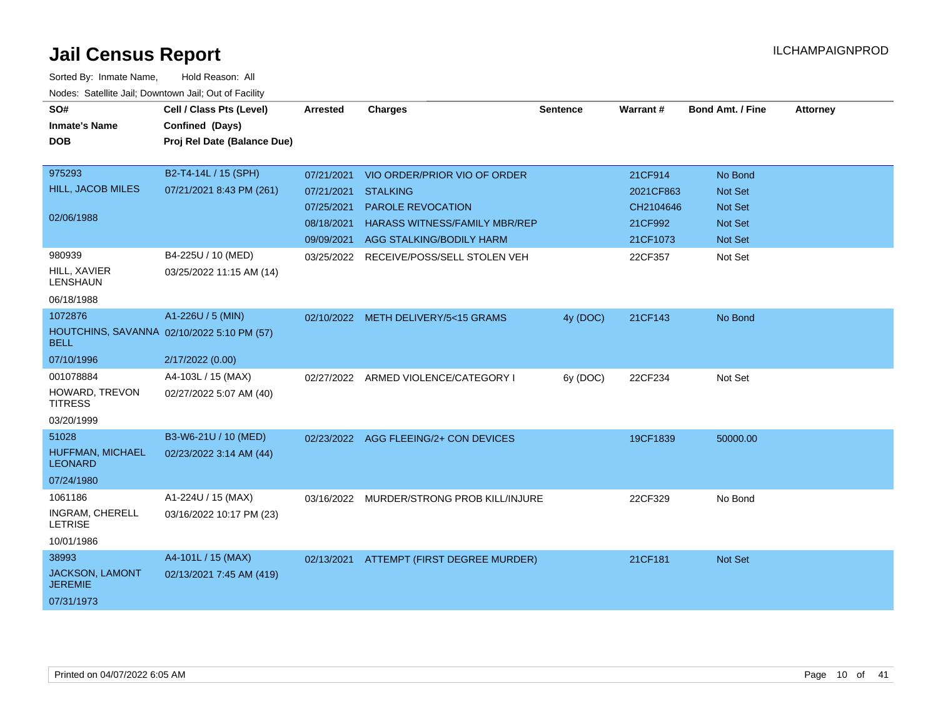| <u>Houce.</u> Catoling bail, Downtown bail, Out of Fability |                             |                 |                                           |                 |                 |                         |                 |
|-------------------------------------------------------------|-----------------------------|-----------------|-------------------------------------------|-----------------|-----------------|-------------------------|-----------------|
| SO#                                                         | Cell / Class Pts (Level)    | <b>Arrested</b> | <b>Charges</b>                            | <b>Sentence</b> | <b>Warrant#</b> | <b>Bond Amt. / Fine</b> | <b>Attorney</b> |
| <b>Inmate's Name</b>                                        | Confined (Days)             |                 |                                           |                 |                 |                         |                 |
| <b>DOB</b>                                                  | Proj Rel Date (Balance Due) |                 |                                           |                 |                 |                         |                 |
|                                                             |                             |                 |                                           |                 |                 |                         |                 |
| 975293                                                      | B2-T4-14L / 15 (SPH)        | 07/21/2021      | VIO ORDER/PRIOR VIO OF ORDER              |                 | 21CF914         | No Bond                 |                 |
| HILL, JACOB MILES                                           | 07/21/2021 8:43 PM (261)    | 07/21/2021      | <b>STALKING</b>                           |                 | 2021CF863       | <b>Not Set</b>          |                 |
|                                                             |                             | 07/25/2021      | PAROLE REVOCATION                         |                 | CH2104646       | <b>Not Set</b>          |                 |
| 02/06/1988                                                  |                             | 08/18/2021      | <b>HARASS WITNESS/FAMILY MBR/REP</b>      |                 | 21CF992         | Not Set                 |                 |
|                                                             |                             | 09/09/2021      | AGG STALKING/BODILY HARM                  |                 | 21CF1073        | <b>Not Set</b>          |                 |
| 980939                                                      | B4-225U / 10 (MED)          |                 | 03/25/2022 RECEIVE/POSS/SELL STOLEN VEH   |                 | 22CF357         | Not Set                 |                 |
| HILL, XAVIER<br><b>LENSHAUN</b>                             | 03/25/2022 11:15 AM (14)    |                 |                                           |                 |                 |                         |                 |
| 06/18/1988                                                  |                             |                 |                                           |                 |                 |                         |                 |
| 1072876                                                     | A1-226U / 5 (MIN)           |                 | 02/10/2022 METH DELIVERY/5<15 GRAMS       | 4y (DOC)        | 21CF143         | No Bond                 |                 |
| HOUTCHINS, SAVANNA 02/10/2022 5:10 PM (57)<br><b>BELL</b>   |                             |                 |                                           |                 |                 |                         |                 |
| 07/10/1996                                                  | 2/17/2022 (0.00)            |                 |                                           |                 |                 |                         |                 |
| 001078884                                                   | A4-103L / 15 (MAX)          |                 | 02/27/2022 ARMED VIOLENCE/CATEGORY I      | 6y (DOC)        | 22CF234         | Not Set                 |                 |
| HOWARD, TREVON<br><b>TITRESS</b>                            | 02/27/2022 5:07 AM (40)     |                 |                                           |                 |                 |                         |                 |
| 03/20/1999                                                  |                             |                 |                                           |                 |                 |                         |                 |
| 51028                                                       | B3-W6-21U / 10 (MED)        |                 | 02/23/2022 AGG FLEEING/2+ CON DEVICES     |                 | 19CF1839        | 50000.00                |                 |
| HUFFMAN, MICHAEL<br><b>LEONARD</b>                          | 02/23/2022 3:14 AM (44)     |                 |                                           |                 |                 |                         |                 |
| 07/24/1980                                                  |                             |                 |                                           |                 |                 |                         |                 |
| 1061186                                                     | A1-224U / 15 (MAX)          |                 | 03/16/2022 MURDER/STRONG PROB KILL/INJURE |                 | 22CF329         | No Bond                 |                 |
| INGRAM, CHERELL<br><b>LETRISE</b>                           | 03/16/2022 10:17 PM (23)    |                 |                                           |                 |                 |                         |                 |
| 10/01/1986                                                  |                             |                 |                                           |                 |                 |                         |                 |
| 38993                                                       | A4-101L / 15 (MAX)          |                 | 02/13/2021 ATTEMPT (FIRST DEGREE MURDER)  |                 | 21CF181         | Not Set                 |                 |
| <b>JACKSON, LAMONT</b><br><b>JEREMIE</b>                    | 02/13/2021 7:45 AM (419)    |                 |                                           |                 |                 |                         |                 |
| 07/31/1973                                                  |                             |                 |                                           |                 |                 |                         |                 |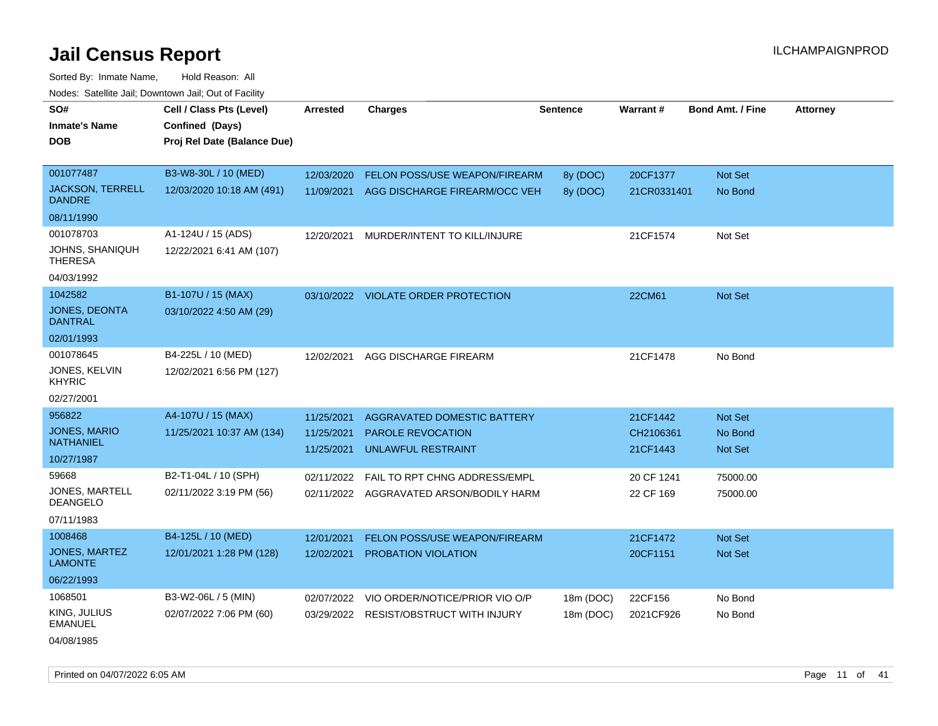Sorted By: Inmate Name, Hold Reason: All Nodes: Satellite Jail; Downtown Jail; Out of Facility

| SO#                                      | Cell / Class Pts (Level)    | <b>Arrested</b> | <b>Charges</b>                          | <b>Sentence</b> | Warrant#    | <b>Bond Amt. / Fine</b> | <b>Attorney</b> |
|------------------------------------------|-----------------------------|-----------------|-----------------------------------------|-----------------|-------------|-------------------------|-----------------|
| <b>Inmate's Name</b>                     | Confined (Days)             |                 |                                         |                 |             |                         |                 |
| DOB                                      | Proj Rel Date (Balance Due) |                 |                                         |                 |             |                         |                 |
|                                          |                             |                 |                                         |                 |             |                         |                 |
| 001077487                                | B3-W8-30L / 10 (MED)        | 12/03/2020      | <b>FELON POSS/USE WEAPON/FIREARM</b>    | 8y (DOC)        | 20CF1377    | <b>Not Set</b>          |                 |
| <b>JACKSON, TERRELL</b><br><b>DANDRE</b> | 12/03/2020 10:18 AM (491)   | 11/09/2021      | AGG DISCHARGE FIREARM/OCC VEH           | 8y (DOC)        | 21CR0331401 | No Bond                 |                 |
| 08/11/1990                               |                             |                 |                                         |                 |             |                         |                 |
| 001078703                                | A1-124U / 15 (ADS)          | 12/20/2021      | MURDER/INTENT TO KILL/INJURE            |                 | 21CF1574    | Not Set                 |                 |
| JOHNS, SHANIQUH<br><b>THERESA</b>        | 12/22/2021 6:41 AM (107)    |                 |                                         |                 |             |                         |                 |
| 04/03/1992                               |                             |                 |                                         |                 |             |                         |                 |
| 1042582                                  | B1-107U / 15 (MAX)          |                 | 03/10/2022 VIOLATE ORDER PROTECTION     |                 | 22CM61      | Not Set                 |                 |
| <b>JONES, DEONTA</b><br><b>DANTRAL</b>   | 03/10/2022 4:50 AM (29)     |                 |                                         |                 |             |                         |                 |
| 02/01/1993                               |                             |                 |                                         |                 |             |                         |                 |
| 001078645                                | B4-225L / 10 (MED)          | 12/02/2021      | AGG DISCHARGE FIREARM                   |                 | 21CF1478    | No Bond                 |                 |
| JONES, KELVIN<br><b>KHYRIC</b>           | 12/02/2021 6:56 PM (127)    |                 |                                         |                 |             |                         |                 |
| 02/27/2001                               |                             |                 |                                         |                 |             |                         |                 |
| 956822                                   | A4-107U / 15 (MAX)          | 11/25/2021      | AGGRAVATED DOMESTIC BATTERY             |                 | 21CF1442    | Not Set                 |                 |
| <b>JONES, MARIO</b>                      | 11/25/2021 10:37 AM (134)   | 11/25/2021      | PAROLE REVOCATION                       |                 | CH2106361   | No Bond                 |                 |
| <b>NATHANIEL</b>                         |                             | 11/25/2021      | <b>UNLAWFUL RESTRAINT</b>               |                 | 21CF1443    | <b>Not Set</b>          |                 |
| 10/27/1987                               |                             |                 |                                         |                 |             |                         |                 |
| 59668                                    | B2-T1-04L / 10 (SPH)        | 02/11/2022      | FAIL TO RPT CHNG ADDRESS/EMPL           |                 | 20 CF 1241  | 75000.00                |                 |
| JONES, MARTELL<br><b>DEANGELO</b>        | 02/11/2022 3:19 PM (56)     |                 | 02/11/2022 AGGRAVATED ARSON/BODILY HARM |                 | 22 CF 169   | 75000.00                |                 |
| 07/11/1983                               |                             |                 |                                         |                 |             |                         |                 |
| 1008468                                  | B4-125L / 10 (MED)          | 12/01/2021      | FELON POSS/USE WEAPON/FIREARM           |                 | 21CF1472    | <b>Not Set</b>          |                 |
| JONES, MARTEZ<br><b>LAMONTE</b>          | 12/01/2021 1:28 PM (128)    | 12/02/2021      | PROBATION VIOLATION                     |                 | 20CF1151    | Not Set                 |                 |
| 06/22/1993                               |                             |                 |                                         |                 |             |                         |                 |
| 1068501                                  | B3-W2-06L / 5 (MIN)         | 02/07/2022      | VIO ORDER/NOTICE/PRIOR VIO O/P          | 18m (DOC)       | 22CF156     | No Bond                 |                 |
| KING, JULIUS<br><b>EMANUEL</b>           | 02/07/2022 7:06 PM (60)     | 03/29/2022      | <b>RESIST/OBSTRUCT WITH INJURY</b>      | 18m (DOC)       | 2021CF926   | No Bond                 |                 |
|                                          |                             |                 |                                         |                 |             |                         |                 |

04/08/1985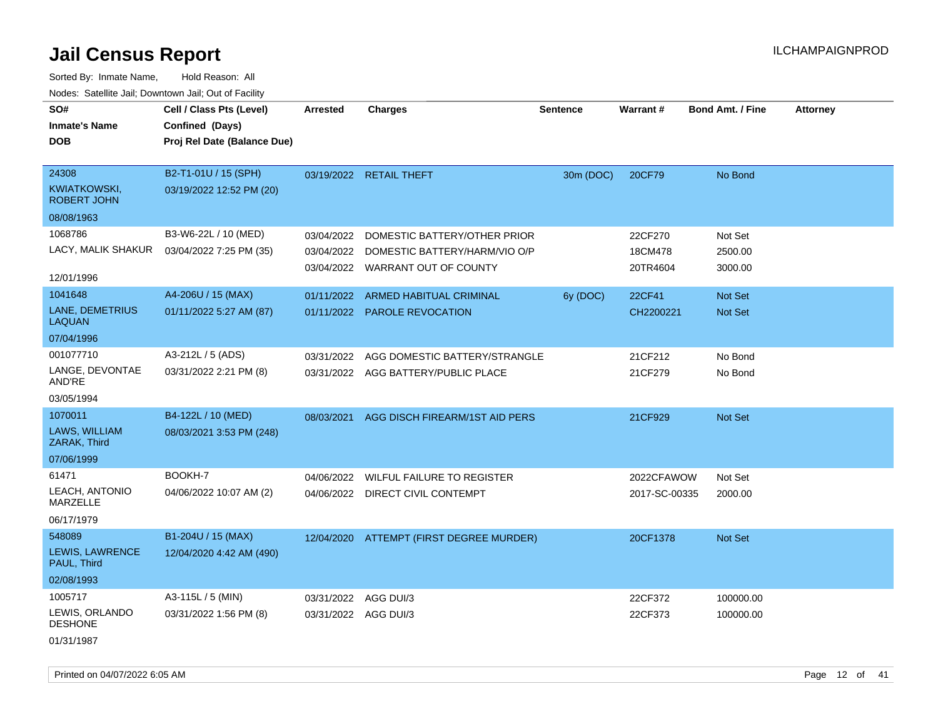Sorted By: Inmate Name, Hold Reason: All Nodes: Satellite Jail; Downtown Jail; Out of Facility

| SO#                                | Cell / Class Pts (Level)    | <b>Arrested</b>      | <b>Charges</b>                           | <b>Sentence</b> | Warrant#      | <b>Bond Amt. / Fine</b> | <b>Attorney</b> |
|------------------------------------|-----------------------------|----------------------|------------------------------------------|-----------------|---------------|-------------------------|-----------------|
| <b>Inmate's Name</b>               | Confined (Days)             |                      |                                          |                 |               |                         |                 |
| <b>DOB</b>                         | Proj Rel Date (Balance Due) |                      |                                          |                 |               |                         |                 |
|                                    |                             |                      |                                          |                 |               |                         |                 |
| 24308                              | B2-T1-01U / 15 (SPH)        |                      | 03/19/2022 RETAIL THEFT                  | 30m (DOC)       | 20CF79        | No Bond                 |                 |
| KWIATKOWSKI,<br><b>ROBERT JOHN</b> | 03/19/2022 12:52 PM (20)    |                      |                                          |                 |               |                         |                 |
| 08/08/1963                         |                             |                      |                                          |                 |               |                         |                 |
| 1068786                            | B3-W6-22L / 10 (MED)        | 03/04/2022           | DOMESTIC BATTERY/OTHER PRIOR             |                 | 22CF270       | Not Set                 |                 |
| LACY, MALIK SHAKUR                 | 03/04/2022 7:25 PM (35)     | 03/04/2022           | DOMESTIC BATTERY/HARM/VIO O/P            |                 | 18CM478       | 2500.00                 |                 |
|                                    |                             |                      | 03/04/2022 WARRANT OUT OF COUNTY         |                 | 20TR4604      | 3000.00                 |                 |
| 12/01/1996                         |                             |                      |                                          |                 |               |                         |                 |
| 1041648                            | A4-206U / 15 (MAX)          | 01/11/2022           | ARMED HABITUAL CRIMINAL                  | 6y (DOC)        | 22CF41        | Not Set                 |                 |
| LANE, DEMETRIUS<br><b>LAQUAN</b>   | 01/11/2022 5:27 AM (87)     | 01/11/2022           | <b>PAROLE REVOCATION</b>                 |                 | CH2200221     | <b>Not Set</b>          |                 |
| 07/04/1996                         |                             |                      |                                          |                 |               |                         |                 |
| 001077710                          | A3-212L / 5 (ADS)           | 03/31/2022           | AGG DOMESTIC BATTERY/STRANGLE            |                 | 21CF212       | No Bond                 |                 |
| LANGE, DEVONTAE<br>AND'RE          | 03/31/2022 2:21 PM (8)      |                      | 03/31/2022 AGG BATTERY/PUBLIC PLACE      |                 | 21CF279       | No Bond                 |                 |
| 03/05/1994                         |                             |                      |                                          |                 |               |                         |                 |
| 1070011                            | B4-122L / 10 (MED)          | 08/03/2021           | AGG DISCH FIREARM/1ST AID PERS           |                 | 21CF929       | Not Set                 |                 |
| LAWS, WILLIAM<br>ZARAK, Third      | 08/03/2021 3:53 PM (248)    |                      |                                          |                 |               |                         |                 |
| 07/06/1999                         |                             |                      |                                          |                 |               |                         |                 |
| 61471                              | BOOKH-7                     | 04/06/2022           | WILFUL FAILURE TO REGISTER               |                 | 2022CFAWOW    | Not Set                 |                 |
| LEACH, ANTONIO<br>MARZELLE         | 04/06/2022 10:07 AM (2)     |                      | 04/06/2022 DIRECT CIVIL CONTEMPT         |                 | 2017-SC-00335 | 2000.00                 |                 |
| 06/17/1979                         |                             |                      |                                          |                 |               |                         |                 |
| 548089                             | B1-204U / 15 (MAX)          |                      | 12/04/2020 ATTEMPT (FIRST DEGREE MURDER) |                 | 20CF1378      | Not Set                 |                 |
| LEWIS, LAWRENCE<br>PAUL, Third     | 12/04/2020 4:42 AM (490)    |                      |                                          |                 |               |                         |                 |
| 02/08/1993                         |                             |                      |                                          |                 |               |                         |                 |
| 1005717                            | A3-115L / 5 (MIN)           | 03/31/2022 AGG DUI/3 |                                          |                 | 22CF372       | 100000.00               |                 |
| LEWIS, ORLANDO<br><b>DESHONE</b>   | 03/31/2022 1:56 PM (8)      | 03/31/2022 AGG DUI/3 |                                          |                 | 22CF373       | 100000.00               |                 |
| 01/31/1987                         |                             |                      |                                          |                 |               |                         |                 |

Printed on 04/07/2022 6:05 AM Page 12 of 41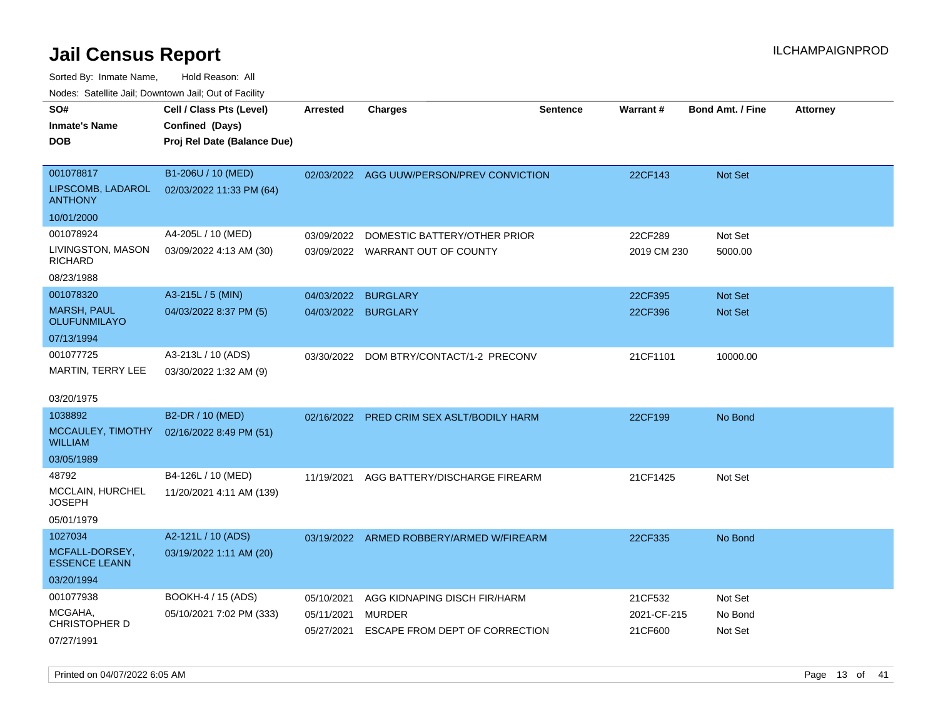| roaco. Calcinio dan, Downtown dan, Cal or Fability |                                              |                 |                                           |                 |                 |                         |                 |
|----------------------------------------------------|----------------------------------------------|-----------------|-------------------------------------------|-----------------|-----------------|-------------------------|-----------------|
| SO#                                                | Cell / Class Pts (Level)                     | <b>Arrested</b> | <b>Charges</b>                            | <b>Sentence</b> | <b>Warrant#</b> | <b>Bond Amt. / Fine</b> | <b>Attorney</b> |
| Inmate's Name                                      | Confined (Days)                              |                 |                                           |                 |                 |                         |                 |
| DOB                                                | Proj Rel Date (Balance Due)                  |                 |                                           |                 |                 |                         |                 |
|                                                    |                                              |                 |                                           |                 |                 |                         |                 |
| 001078817                                          | B1-206U / 10 (MED)                           |                 | 02/03/2022 AGG UUW/PERSON/PREV CONVICTION |                 | 22CF143         | <b>Not Set</b>          |                 |
| LIPSCOMB, LADAROL<br><b>ANTHONY</b>                | 02/03/2022 11:33 PM (64)                     |                 |                                           |                 |                 |                         |                 |
| 10/01/2000                                         |                                              |                 |                                           |                 |                 |                         |                 |
| 001078924                                          | A4-205L / 10 (MED)                           | 03/09/2022      | DOMESTIC BATTERY/OTHER PRIOR              |                 | 22CF289         | Not Set                 |                 |
| LIVINGSTON, MASON<br>RICHARD                       | 03/09/2022 4:13 AM (30)                      | 03/09/2022      | WARRANT OUT OF COUNTY                     |                 | 2019 CM 230     | 5000.00                 |                 |
| 08/23/1988                                         |                                              |                 |                                           |                 |                 |                         |                 |
| 001078320                                          | A3-215L / 5 (MIN)                            | 04/03/2022      | <b>BURGLARY</b>                           |                 | 22CF395         | <b>Not Set</b>          |                 |
| <b>MARSH, PAUL</b><br>OLUFUNMILAYO                 | 04/03/2022 8:37 PM (5)                       | 04/03/2022      | <b>BURGLARY</b>                           |                 | 22CF396         | <b>Not Set</b>          |                 |
| 07/13/1994                                         |                                              |                 |                                           |                 |                 |                         |                 |
| 001077725<br>MARTIN, TERRY LEE                     | A3-213L / 10 (ADS)<br>03/30/2022 1:32 AM (9) | 03/30/2022      | DOM BTRY/CONTACT/1-2 PRECONV              |                 | 21CF1101        | 10000.00                |                 |
| 03/20/1975                                         |                                              |                 |                                           |                 |                 |                         |                 |
| 1038892                                            | <b>B2-DR / 10 (MED)</b>                      | 02/16/2022      | PRED CRIM SEX ASLT/BODILY HARM            |                 | 22CF199         | No Bond                 |                 |
| WILLIAM                                            | MCCAULEY, TIMOTHY 02/16/2022 8:49 PM (51)    |                 |                                           |                 |                 |                         |                 |
| 03/05/1989                                         |                                              |                 |                                           |                 |                 |                         |                 |
| 48792                                              | B4-126L / 10 (MED)                           | 11/19/2021      | AGG BATTERY/DISCHARGE FIREARM             |                 | 21CF1425        | Not Set                 |                 |
| MCCLAIN, HURCHEL<br>JOSEPH                         | 11/20/2021 4:11 AM (139)                     |                 |                                           |                 |                 |                         |                 |
| 05/01/1979                                         |                                              |                 |                                           |                 |                 |                         |                 |
| 1027034                                            | A2-121L / 10 (ADS)                           |                 | 03/19/2022 ARMED ROBBERY/ARMED W/FIREARM  |                 | 22CF335         | No Bond                 |                 |
| MCFALL-DORSEY,<br><b>ESSENCE LEANN</b>             | 03/19/2022 1:11 AM (20)                      |                 |                                           |                 |                 |                         |                 |
| 03/20/1994                                         |                                              |                 |                                           |                 |                 |                         |                 |
| 001077938                                          | <b>BOOKH-4 / 15 (ADS)</b>                    | 05/10/2021      | AGG KIDNAPING DISCH FIR/HARM              |                 | 21CF532         | Not Set                 |                 |
| MCGAHA,                                            | 05/10/2021 7:02 PM (333)                     | 05/11/2021      | <b>MURDER</b>                             |                 | 2021-CF-215     | No Bond                 |                 |
| <b>CHRISTOPHER D</b><br>07/27/1991                 |                                              | 05/27/2021      | ESCAPE FROM DEPT OF CORRECTION            |                 | 21CF600         | Not Set                 |                 |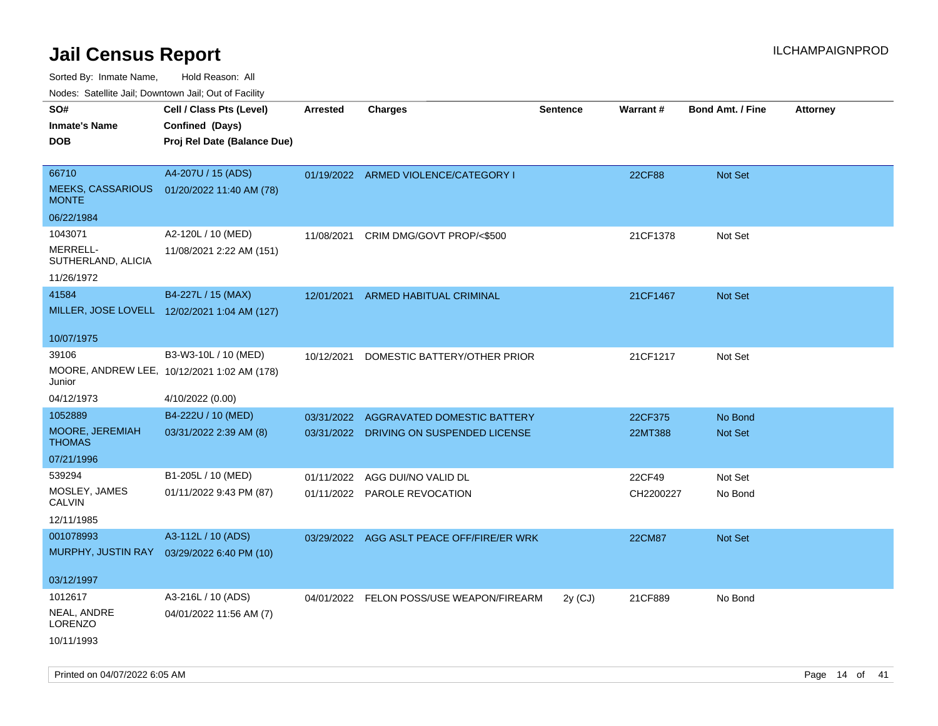Sorted By: Inmate Name, Hold Reason: All

Nodes: Satellite Jail; Downtown Jail; Out of Facility

| SO#<br><b>Inmate's Name</b><br><b>DOB</b> | Cell / Class Pts (Level)<br>Confined (Days)<br>Proj Rel Date (Balance Due) | <b>Arrested</b> | <b>Charges</b>                            | <b>Sentence</b> | Warrant#  | <b>Bond Amt. / Fine</b> | <b>Attorney</b> |
|-------------------------------------------|----------------------------------------------------------------------------|-----------------|-------------------------------------------|-----------------|-----------|-------------------------|-----------------|
|                                           |                                                                            |                 |                                           |                 |           |                         |                 |
| 66710                                     | A4-207U / 15 (ADS)                                                         |                 | 01/19/2022 ARMED VIOLENCE/CATEGORY I      |                 | 22CF88    | Not Set                 |                 |
| <b>MEEKS, CASSARIOUS</b><br><b>MONTE</b>  | 01/20/2022 11:40 AM (78)                                                   |                 |                                           |                 |           |                         |                 |
| 06/22/1984                                |                                                                            |                 |                                           |                 |           |                         |                 |
| 1043071                                   | A2-120L / 10 (MED)                                                         | 11/08/2021      | CRIM DMG/GOVT PROP/<\$500                 |                 | 21CF1378  | Not Set                 |                 |
| MERRELL-<br>SUTHERLAND, ALICIA            | 11/08/2021 2:22 AM (151)                                                   |                 |                                           |                 |           |                         |                 |
| 11/26/1972                                |                                                                            |                 |                                           |                 |           |                         |                 |
| 41584                                     | B4-227L / 15 (MAX)                                                         | 12/01/2021      | ARMED HABITUAL CRIMINAL                   |                 | 21CF1467  | Not Set                 |                 |
|                                           | MILLER, JOSE LOVELL 12/02/2021 1:04 AM (127)                               |                 |                                           |                 |           |                         |                 |
| 10/07/1975                                |                                                                            |                 |                                           |                 |           |                         |                 |
| 39106                                     | B3-W3-10L / 10 (MED)                                                       | 10/12/2021      | DOMESTIC BATTERY/OTHER PRIOR              |                 | 21CF1217  | Not Set                 |                 |
| Junior                                    | MOORE, ANDREW LEE, 10/12/2021 1:02 AM (178)                                |                 |                                           |                 |           |                         |                 |
| 04/12/1973                                | 4/10/2022 (0.00)                                                           |                 |                                           |                 |           |                         |                 |
| 1052889                                   | B4-222U / 10 (MED)                                                         | 03/31/2022      | AGGRAVATED DOMESTIC BATTERY               |                 | 22CF375   | No Bond                 |                 |
| <b>MOORE, JEREMIAH</b><br><b>THOMAS</b>   | 03/31/2022 2:39 AM (8)                                                     |                 | 03/31/2022 DRIVING ON SUSPENDED LICENSE   |                 | 22MT388   | Not Set                 |                 |
| 07/21/1996                                |                                                                            |                 |                                           |                 |           |                         |                 |
| 539294                                    | B1-205L / 10 (MED)                                                         | 01/11/2022      | AGG DUI/NO VALID DL                       |                 | 22CF49    | Not Set                 |                 |
| MOSLEY, JAMES<br><b>CALVIN</b>            | 01/11/2022 9:43 PM (87)                                                    |                 | 01/11/2022 PAROLE REVOCATION              |                 | CH2200227 | No Bond                 |                 |
| 12/11/1985                                |                                                                            |                 |                                           |                 |           |                         |                 |
| 001078993                                 | A3-112L / 10 (ADS)                                                         |                 | 03/29/2022 AGG ASLT PEACE OFF/FIRE/ER WRK |                 | 22CM87    | Not Set                 |                 |
| MURPHY, JUSTIN RAY                        | 03/29/2022 6:40 PM (10)                                                    |                 |                                           |                 |           |                         |                 |
| 03/12/1997                                |                                                                            |                 |                                           |                 |           |                         |                 |
| 1012617                                   | A3-216L / 10 (ADS)                                                         |                 | 04/01/2022 FELON POSS/USE WEAPON/FIREARM  | $2y$ (CJ)       | 21CF889   | No Bond                 |                 |
| NEAL, ANDRE<br>LORENZO                    | 04/01/2022 11:56 AM (7)                                                    |                 |                                           |                 |           |                         |                 |
| 10/11/1993                                |                                                                            |                 |                                           |                 |           |                         |                 |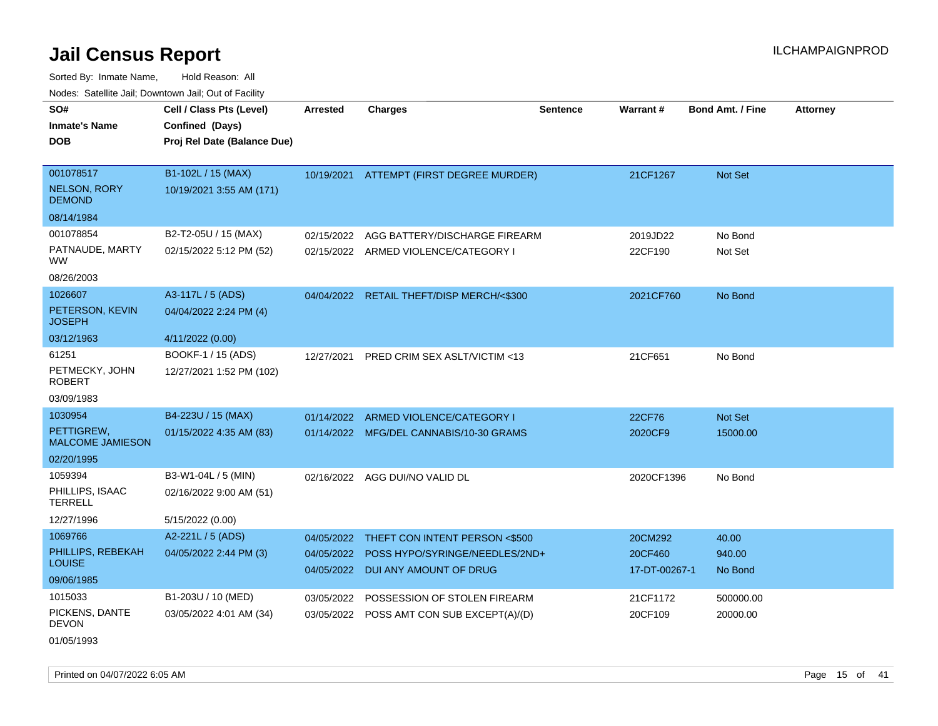Sorted By: Inmate Name, Hold Reason: All Nodes: Satellite Jail; Downtown Jail; Out of Facility

| soupois catomic can, Dominomii can, Cat or I domt               |                                                                            |                                        |                                                                                            |                 |                                     |                            |                 |
|-----------------------------------------------------------------|----------------------------------------------------------------------------|----------------------------------------|--------------------------------------------------------------------------------------------|-----------------|-------------------------------------|----------------------------|-----------------|
| SO#<br><b>Inmate's Name</b><br>DOB                              | Cell / Class Pts (Level)<br>Confined (Days)<br>Proj Rel Date (Balance Due) | <b>Arrested</b>                        | <b>Charges</b>                                                                             | <b>Sentence</b> | Warrant#                            | <b>Bond Amt. / Fine</b>    | <b>Attorney</b> |
| 001078517<br><b>NELSON, RORY</b><br><b>DEMOND</b>               | B1-102L / 15 (MAX)<br>10/19/2021 3:55 AM (171)                             |                                        | 10/19/2021 ATTEMPT (FIRST DEGREE MURDER)                                                   |                 | 21CF1267                            | <b>Not Set</b>             |                 |
| 08/14/1984<br>001078854<br>PATNAUDE, MARTY<br>WW.<br>08/26/2003 | B2-T2-05U / 15 (MAX)<br>02/15/2022 5:12 PM (52)                            | 02/15/2022                             | AGG BATTERY/DISCHARGE FIREARM<br>02/15/2022 ARMED VIOLENCE/CATEGORY I                      |                 | 2019JD22<br>22CF190                 | No Bond<br>Not Set         |                 |
| 1026607<br>PETERSON, KEVIN<br>JOSEPH<br>03/12/1963              | A3-117L / 5 (ADS)<br>04/04/2022 2:24 PM (4)<br>4/11/2022 (0.00)            |                                        | 04/04/2022 RETAIL THEFT/DISP MERCH/<\$300                                                  |                 | 2021CF760                           | No Bond                    |                 |
| 61251<br>PETMECKY, JOHN<br><b>ROBERT</b><br>03/09/1983          | BOOKF-1 / 15 (ADS)<br>12/27/2021 1:52 PM (102)                             | 12/27/2021                             | PRED CRIM SEX ASLT/VICTIM <13                                                              |                 | 21CF651                             | No Bond                    |                 |
| 1030954<br>PETTIGREW,<br><b>MALCOME JAMIESON</b><br>02/20/1995  | B4-223U / 15 (MAX)<br>01/15/2022 4:35 AM (83)                              | 01/14/2022                             | ARMED VIOLENCE/CATEGORY I<br>01/14/2022 MFG/DEL CANNABIS/10-30 GRAMS                       |                 | 22CF76<br>2020CF9                   | Not Set<br>15000.00        |                 |
| 1059394<br>PHILLIPS, ISAAC<br>TERRELL<br>12/27/1996             | B3-W1-04L / 5 (MIN)<br>02/16/2022 9:00 AM (51)<br>5/15/2022 (0.00)         |                                        | 02/16/2022 AGG DUI/NO VALID DL                                                             |                 | 2020CF1396                          | No Bond                    |                 |
| 1069766<br>PHILLIPS, REBEKAH<br>LOUISE<br>09/06/1985            | A2-221L / 5 (ADS)<br>04/05/2022 2:44 PM (3)                                | 04/05/2022<br>04/05/2022<br>04/05/2022 | THEFT CON INTENT PERSON <\$500<br>POSS HYPO/SYRINGE/NEEDLES/2ND+<br>DUI ANY AMOUNT OF DRUG |                 | 20CM292<br>20CF460<br>17-DT-00267-1 | 40.00<br>940.00<br>No Bond |                 |
| 1015033<br>PICKENS, DANTE<br><b>DEVON</b>                       | B1-203U / 10 (MED)<br>03/05/2022 4:01 AM (34)                              | 03/05/2022                             | POSSESSION OF STOLEN FIREARM<br>03/05/2022 POSS AMT CON SUB EXCEPT(A)/(D)                  |                 | 21CF1172<br>20CF109                 | 500000.00<br>20000.00      |                 |

01/05/1993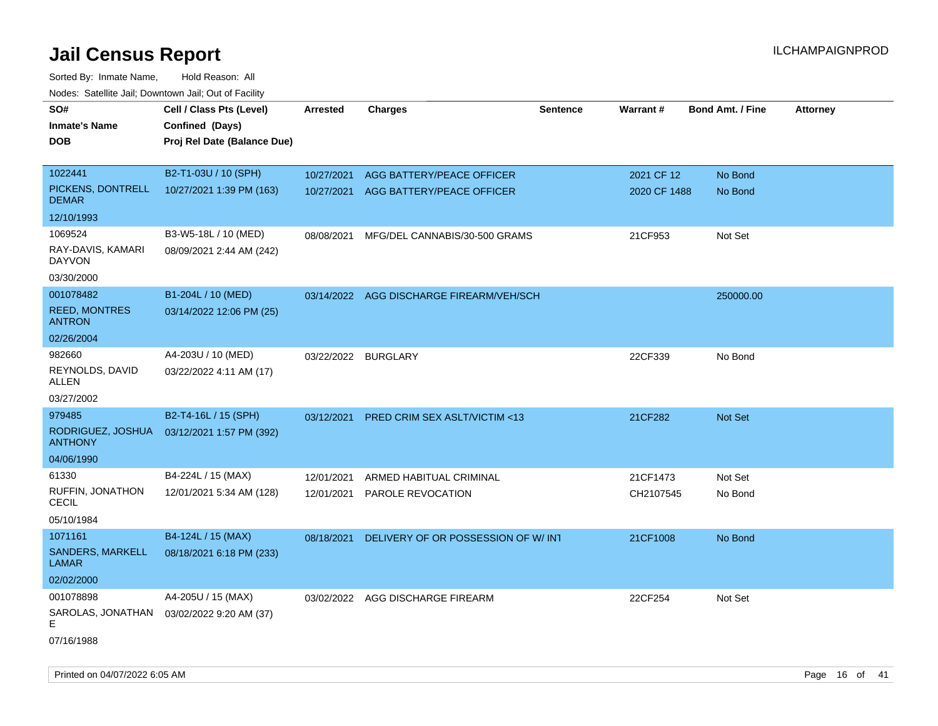| roaco. Calcinio dan, Downtown dan, Oal or Fability |                             |                     |                                          |                 |              |                         |                 |
|----------------------------------------------------|-----------------------------|---------------------|------------------------------------------|-----------------|--------------|-------------------------|-----------------|
| SO#                                                | Cell / Class Pts (Level)    | <b>Arrested</b>     | <b>Charges</b>                           | <b>Sentence</b> | Warrant#     | <b>Bond Amt. / Fine</b> | <b>Attorney</b> |
| <b>Inmate's Name</b>                               | Confined (Days)             |                     |                                          |                 |              |                         |                 |
| <b>DOB</b>                                         | Proj Rel Date (Balance Due) |                     |                                          |                 |              |                         |                 |
|                                                    |                             |                     |                                          |                 |              |                         |                 |
| 1022441                                            | B2-T1-03U / 10 (SPH)        | 10/27/2021          | AGG BATTERY/PEACE OFFICER                |                 | 2021 CF 12   | No Bond                 |                 |
| PICKENS, DONTRELL<br><b>DEMAR</b>                  | 10/27/2021 1:39 PM (163)    |                     | 10/27/2021 AGG BATTERY/PEACE OFFICER     |                 | 2020 CF 1488 | No Bond                 |                 |
| 12/10/1993                                         |                             |                     |                                          |                 |              |                         |                 |
| 1069524                                            | B3-W5-18L / 10 (MED)        | 08/08/2021          | MFG/DEL CANNABIS/30-500 GRAMS            |                 | 21CF953      | Not Set                 |                 |
| RAY-DAVIS, KAMARI<br><b>DAYVON</b>                 | 08/09/2021 2:44 AM (242)    |                     |                                          |                 |              |                         |                 |
| 03/30/2000                                         |                             |                     |                                          |                 |              |                         |                 |
| 001078482                                          | B1-204L / 10 (MED)          |                     | 03/14/2022 AGG DISCHARGE FIREARM/VEH/SCH |                 |              | 250000.00               |                 |
| <b>REED, MONTRES</b><br><b>ANTRON</b>              | 03/14/2022 12:06 PM (25)    |                     |                                          |                 |              |                         |                 |
| 02/26/2004                                         |                             |                     |                                          |                 |              |                         |                 |
| 982660                                             | A4-203U / 10 (MED)          | 03/22/2022 BURGLARY |                                          |                 | 22CF339      | No Bond                 |                 |
| REYNOLDS, DAVID<br>ALLEN                           | 03/22/2022 4:11 AM (17)     |                     |                                          |                 |              |                         |                 |
| 03/27/2002                                         |                             |                     |                                          |                 |              |                         |                 |
| 979485                                             | B2-T4-16L / 15 (SPH)        | 03/12/2021          | <b>PRED CRIM SEX ASLT/VICTIM &lt;13</b>  |                 | 21CF282      | Not Set                 |                 |
| RODRIGUEZ, JOSHUA<br><b>ANTHONY</b>                | 03/12/2021 1:57 PM (392)    |                     |                                          |                 |              |                         |                 |
| 04/06/1990                                         |                             |                     |                                          |                 |              |                         |                 |
| 61330                                              | B4-224L / 15 (MAX)          | 12/01/2021          | ARMED HABITUAL CRIMINAL                  |                 | 21CF1473     | Not Set                 |                 |
| RUFFIN, JONATHON<br><b>CECIL</b>                   | 12/01/2021 5:34 AM (128)    | 12/01/2021          | PAROLE REVOCATION                        |                 | CH2107545    | No Bond                 |                 |
| 05/10/1984                                         |                             |                     |                                          |                 |              |                         |                 |
| 1071161                                            | B4-124L / 15 (MAX)          | 08/18/2021          | DELIVERY OF OR POSSESSION OF W/ INT      |                 | 21CF1008     | No Bond                 |                 |
| SANDERS, MARKELL<br><b>LAMAR</b>                   | 08/18/2021 6:18 PM (233)    |                     |                                          |                 |              |                         |                 |
| 02/02/2000                                         |                             |                     |                                          |                 |              |                         |                 |
| 001078898                                          | A4-205U / 15 (MAX)          |                     | 03/02/2022 AGG DISCHARGE FIREARM         |                 | 22CF254      | Not Set                 |                 |
| SAROLAS, JONATHAN<br>E.                            | 03/02/2022 9:20 AM (37)     |                     |                                          |                 |              |                         |                 |
| 07/16/1988                                         |                             |                     |                                          |                 |              |                         |                 |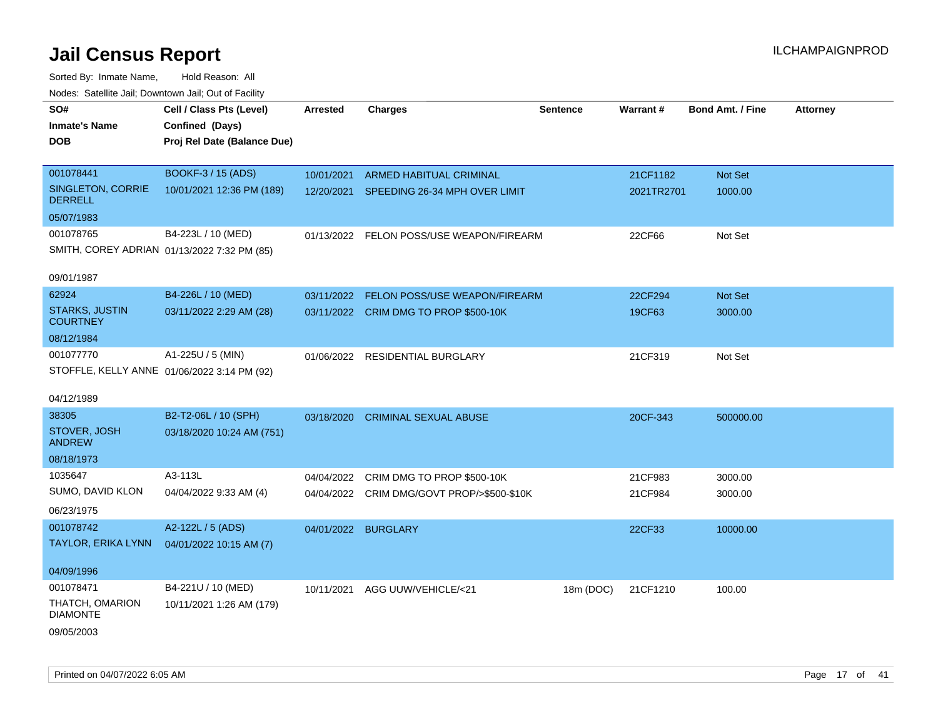| SO#                                      | Cell / Class Pts (Level)                    | Arrested            | <b>Charges</b>                             | <b>Sentence</b> | Warrant#   | <b>Bond Amt. / Fine</b> | <b>Attorney</b> |
|------------------------------------------|---------------------------------------------|---------------------|--------------------------------------------|-----------------|------------|-------------------------|-----------------|
| <b>Inmate's Name</b>                     | Confined (Days)                             |                     |                                            |                 |            |                         |                 |
| <b>DOB</b>                               | Proj Rel Date (Balance Due)                 |                     |                                            |                 |            |                         |                 |
|                                          |                                             |                     |                                            |                 |            |                         |                 |
| 001078441                                | BOOKF-3 / 15 (ADS)                          | 10/01/2021          | ARMED HABITUAL CRIMINAL                    |                 | 21CF1182   | Not Set                 |                 |
| SINGLETON, CORRIE<br><b>DERRELL</b>      | 10/01/2021 12:36 PM (189)                   |                     | 12/20/2021 SPEEDING 26-34 MPH OVER LIMIT   |                 | 2021TR2701 | 1000.00                 |                 |
| 05/07/1983                               |                                             |                     |                                            |                 |            |                         |                 |
| 001078765                                | B4-223L / 10 (MED)                          |                     | 01/13/2022 FELON POSS/USE WEAPON/FIREARM   |                 | 22CF66     | Not Set                 |                 |
|                                          | SMITH, COREY ADRIAN 01/13/2022 7:32 PM (85) |                     |                                            |                 |            |                         |                 |
| 09/01/1987                               |                                             |                     |                                            |                 |            |                         |                 |
| 62924                                    | B4-226L / 10 (MED)                          | 03/11/2022          | <b>FELON POSS/USE WEAPON/FIREARM</b>       |                 | 22CF294    | Not Set                 |                 |
| <b>STARKS, JUSTIN</b><br><b>COURTNEY</b> | 03/11/2022 2:29 AM (28)                     |                     | 03/11/2022 CRIM DMG TO PROP \$500-10K      |                 | 19CF63     | 3000.00                 |                 |
| 08/12/1984                               |                                             |                     |                                            |                 |            |                         |                 |
| 001077770                                | A1-225U / 5 (MIN)                           |                     | 01/06/2022 RESIDENTIAL BURGLARY            |                 | 21CF319    | Not Set                 |                 |
|                                          | STOFFLE, KELLY ANNE 01/06/2022 3:14 PM (92) |                     |                                            |                 |            |                         |                 |
|                                          |                                             |                     |                                            |                 |            |                         |                 |
| 04/12/1989                               |                                             |                     |                                            |                 |            |                         |                 |
| 38305                                    | B2-T2-06L / 10 (SPH)                        | 03/18/2020          | <b>CRIMINAL SEXUAL ABUSE</b>               |                 | 20CF-343   | 500000.00               |                 |
| STOVER, JOSH<br><b>ANDREW</b>            | 03/18/2020 10:24 AM (751)                   |                     |                                            |                 |            |                         |                 |
| 08/18/1973                               |                                             |                     |                                            |                 |            |                         |                 |
| 1035647                                  | A3-113L                                     | 04/04/2022          | CRIM DMG TO PROP \$500-10K                 |                 | 21CF983    | 3000.00                 |                 |
| SUMO, DAVID KLON                         | 04/04/2022 9:33 AM (4)                      |                     | 04/04/2022 CRIM DMG/GOVT PROP/>\$500-\$10K |                 | 21CF984    | 3000.00                 |                 |
| 06/23/1975                               |                                             |                     |                                            |                 |            |                         |                 |
| 001078742                                | A2-122L / 5 (ADS)                           | 04/01/2022 BURGLARY |                                            |                 | 22CF33     | 10000.00                |                 |
| TAYLOR, ERIKA LYNN                       | 04/01/2022 10:15 AM (7)                     |                     |                                            |                 |            |                         |                 |
|                                          |                                             |                     |                                            |                 |            |                         |                 |
| 04/09/1996                               |                                             |                     |                                            |                 |            |                         |                 |
| 001078471                                | B4-221U / 10 (MED)                          | 10/11/2021          | AGG UUW/VEHICLE/<21                        | 18m (DOC)       | 21CF1210   | 100.00                  |                 |
| THATCH, OMARION<br><b>DIAMONTE</b>       | 10/11/2021 1:26 AM (179)                    |                     |                                            |                 |            |                         |                 |
| 09/05/2003                               |                                             |                     |                                            |                 |            |                         |                 |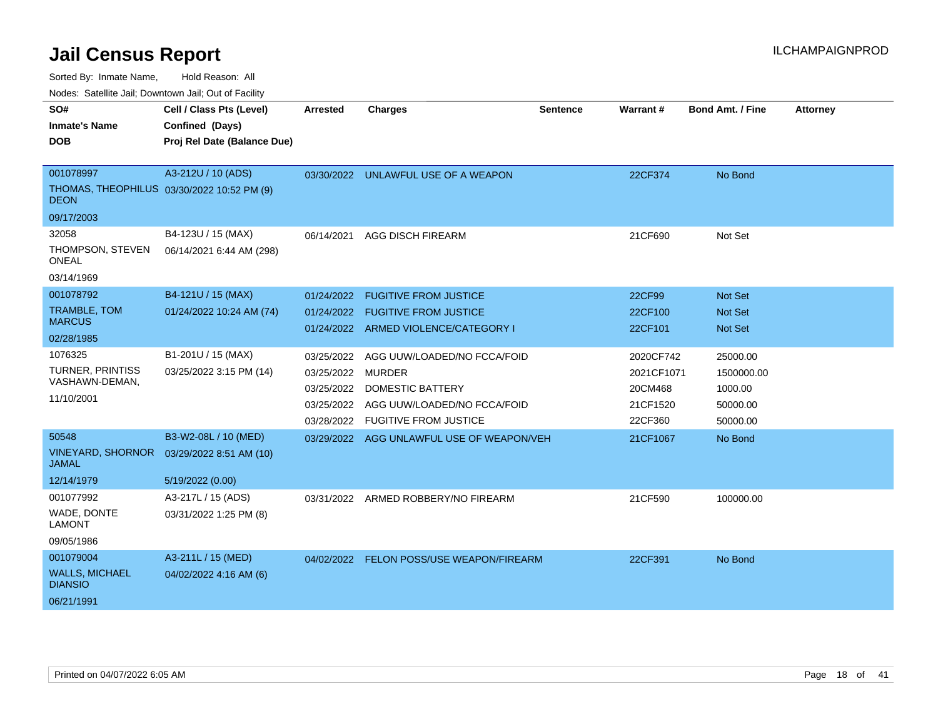Sorted By: Inmate Name, Hold Reason: All

Nodes: Satellite Jail; Downtown Jail; Out of Facility

| SO#<br><b>Inmate's Name</b><br><b>DOB</b>                          | Cell / Class Pts (Level)<br>Confined (Days)<br>Proj Rel Date (Balance Due)            | <b>Arrested</b>                               | <b>Charges</b>                                                                                                                       | <b>Sentence</b> | Warrant#                                                  | <b>Bond Amt. / Fine</b>                                   | <b>Attorney</b> |
|--------------------------------------------------------------------|---------------------------------------------------------------------------------------|-----------------------------------------------|--------------------------------------------------------------------------------------------------------------------------------------|-----------------|-----------------------------------------------------------|-----------------------------------------------------------|-----------------|
| 001078997<br><b>DEON</b><br>09/17/2003                             | A3-212U / 10 (ADS)<br>THOMAS, THEOPHILUS 03/30/2022 10:52 PM (9)                      |                                               | 03/30/2022 UNLAWFUL USE OF A WEAPON                                                                                                  |                 | 22CF374                                                   | No Bond                                                   |                 |
| 32058<br>THOMPSON, STEVEN<br><b>ONEAL</b><br>03/14/1969            | B4-123U / 15 (MAX)<br>06/14/2021 6:44 AM (298)                                        | 06/14/2021                                    | <b>AGG DISCH FIREARM</b>                                                                                                             |                 | 21CF690                                                   | Not Set                                                   |                 |
| 001078792<br><b>TRAMBLE, TOM</b><br><b>MARCUS</b><br>02/28/1985    | B4-121U / 15 (MAX)<br>01/24/2022 10:24 AM (74)                                        | 01/24/2022<br>01/24/2022                      | <b>FUGITIVE FROM JUSTICE</b><br><b>FUGITIVE FROM JUSTICE</b><br>01/24/2022 ARMED VIOLENCE/CATEGORY I                                 |                 | 22CF99<br>22CF100<br>22CF101                              | Not Set<br><b>Not Set</b><br><b>Not Set</b>               |                 |
| 1076325<br><b>TURNER, PRINTISS</b><br>VASHAWN-DEMAN,<br>11/10/2001 | B1-201U / 15 (MAX)<br>03/25/2022 3:15 PM (14)                                         | 03/25/2022<br>03/25/2022 MURDER<br>03/28/2022 | AGG UUW/LOADED/NO FCCA/FOID<br>03/25/2022 DOMESTIC BATTERY<br>03/25/2022 AGG UUW/LOADED/NO FCCA/FOID<br><b>FUGITIVE FROM JUSTICE</b> |                 | 2020CF742<br>2021CF1071<br>20CM468<br>21CF1520<br>22CF360 | 25000.00<br>1500000.00<br>1000.00<br>50000.00<br>50000.00 |                 |
| 50548<br><b>JAMAL</b><br>12/14/1979                                | B3-W2-08L / 10 (MED)<br>VINEYARD, SHORNOR 03/29/2022 8:51 AM (10)<br>5/19/2022 (0.00) |                                               | 03/29/2022 AGG UNLAWFUL USE OF WEAPON/VEH                                                                                            |                 | 21CF1067                                                  | No Bond                                                   |                 |
| 001077992<br>WADE, DONTE<br><b>LAMONT</b><br>09/05/1986            | A3-217L / 15 (ADS)<br>03/31/2022 1:25 PM (8)                                          | 03/31/2022                                    | ARMED ROBBERY/NO FIREARM                                                                                                             |                 | 21CF590                                                   | 100000.00                                                 |                 |
| 001079004<br><b>WALLS, MICHAEL</b><br><b>DIANSIO</b><br>06/21/1991 | A3-211L / 15 (MED)<br>04/02/2022 4:16 AM (6)                                          |                                               | 04/02/2022 FELON POSS/USE WEAPON/FIREARM                                                                                             |                 | 22CF391                                                   | No Bond                                                   |                 |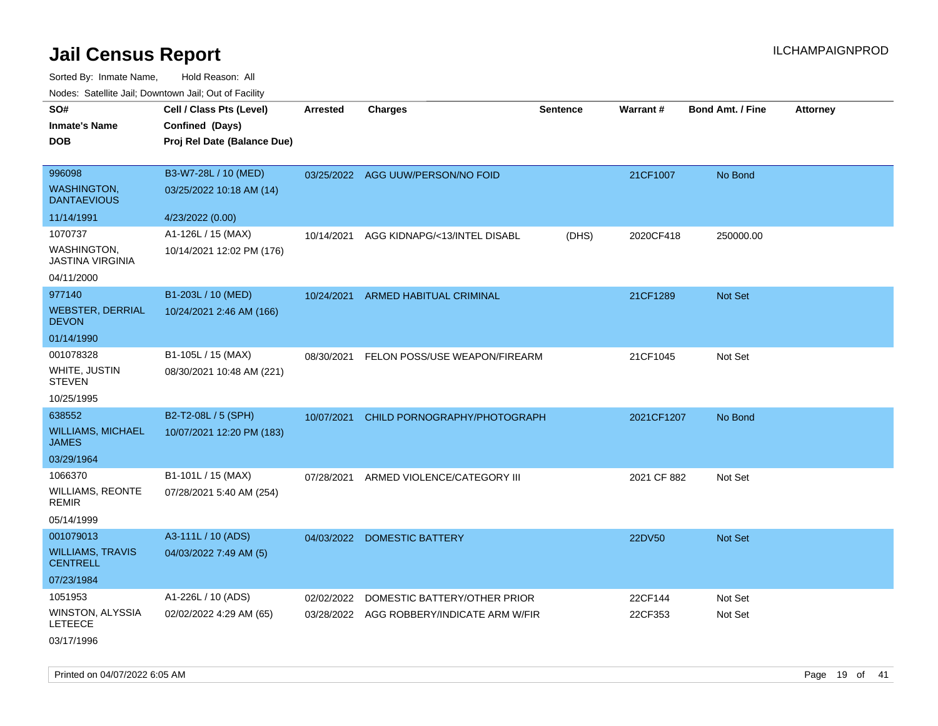|                                                                | rouco. Calcinic Jan, Downtown Jan, Out of Facility                         |                 |                                                                           |                 |                    |                         |                 |
|----------------------------------------------------------------|----------------------------------------------------------------------------|-----------------|---------------------------------------------------------------------------|-----------------|--------------------|-------------------------|-----------------|
| SO#<br>Inmate's Name<br>DOB                                    | Cell / Class Pts (Level)<br>Confined (Days)<br>Proj Rel Date (Balance Due) | <b>Arrested</b> | <b>Charges</b>                                                            | <b>Sentence</b> | <b>Warrant#</b>    | <b>Bond Amt. / Fine</b> | <b>Attorney</b> |
| 996098<br><b>WASHINGTON,</b><br><b>DANTAEVIOUS</b>             | B3-W7-28L / 10 (MED)<br>03/25/2022 10:18 AM (14)                           |                 | 03/25/2022 AGG UUW/PERSON/NO FOID                                         |                 | 21CF1007           | No Bond                 |                 |
| 11/14/1991                                                     | 4/23/2022 (0.00)                                                           |                 |                                                                           |                 |                    |                         |                 |
| 1070737<br>WASHINGTON.<br>JASTINA VIRGINIA                     | A1-126L / 15 (MAX)<br>10/14/2021 12:02 PM (176)                            | 10/14/2021      | AGG KIDNAPG/<13/INTEL DISABL                                              | (DHS)           | 2020CF418          | 250000.00               |                 |
| 04/11/2000                                                     |                                                                            |                 |                                                                           |                 |                    |                         |                 |
| 977140<br>WEBSTER, DERRIAL<br><b>DEVON</b>                     | B1-203L / 10 (MED)<br>10/24/2021 2:46 AM (166)                             | 10/24/2021      | ARMED HABITUAL CRIMINAL                                                   |                 | 21CF1289           | Not Set                 |                 |
| 01/14/1990                                                     |                                                                            |                 |                                                                           |                 |                    |                         |                 |
| 001078328<br>WHITE, JUSTIN<br>STEVEN                           | B1-105L / 15 (MAX)<br>08/30/2021 10:48 AM (221)                            | 08/30/2021      | FELON POSS/USE WEAPON/FIREARM                                             |                 | 21CF1045           | Not Set                 |                 |
| 10/25/1995                                                     |                                                                            |                 |                                                                           |                 |                    |                         |                 |
| 638552<br><b>WILLIAMS, MICHAEL</b><br>JAMES<br>03/29/1964      | B2-T2-08L / 5 (SPH)<br>10/07/2021 12:20 PM (183)                           | 10/07/2021      | CHILD PORNOGRAPHY/PHOTOGRAPH                                              |                 | 2021CF1207         | No Bond                 |                 |
| 1066370<br>WILLIAMS, REONTE<br>REMIR<br>05/14/1999             | B1-101L / 15 (MAX)<br>07/28/2021 5:40 AM (254)                             | 07/28/2021      | ARMED VIOLENCE/CATEGORY III                                               |                 | 2021 CF 882        | Not Set                 |                 |
| 001079013<br><b>WILLIAMS, TRAVIS</b><br>CENTRELL<br>07/23/1984 | A3-111L / 10 (ADS)<br>04/03/2022 7:49 AM (5)                               | 04/03/2022      | <b>DOMESTIC BATTERY</b>                                                   |                 | 22DV50             | <b>Not Set</b>          |                 |
| 1051953<br>WINSTON, ALYSSIA<br>LETEECE<br>03/17/1996           | A1-226L / 10 (ADS)<br>02/02/2022 4:29 AM (65)                              | 02/02/2022      | DOMESTIC BATTERY/OTHER PRIOR<br>03/28/2022 AGG ROBBERY/INDICATE ARM W/FIR |                 | 22CF144<br>22CF353 | Not Set<br>Not Set      |                 |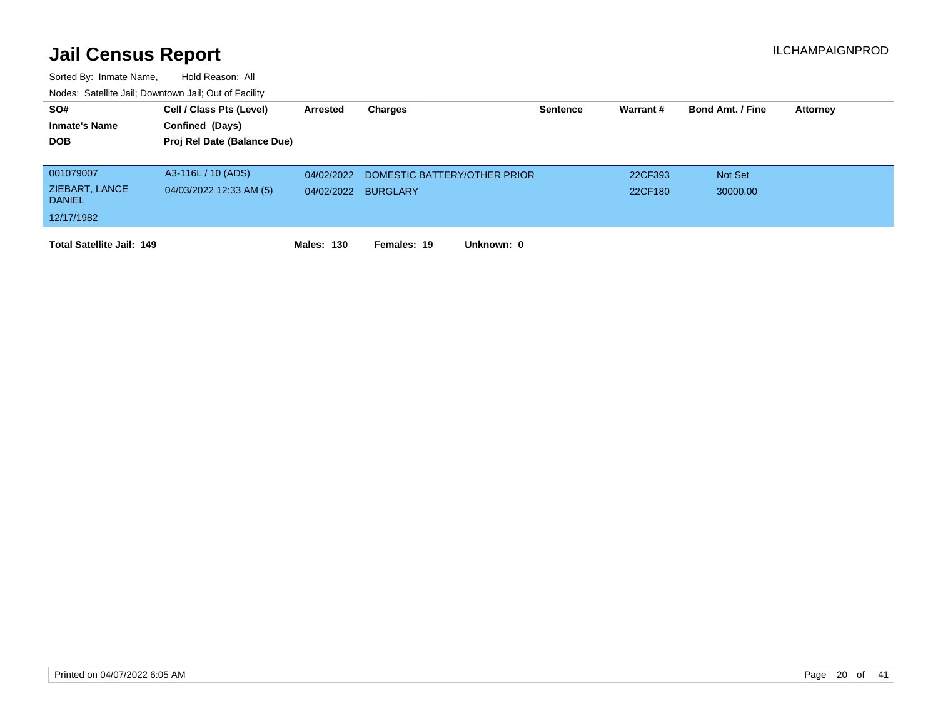| SO#<br><b>Inmate's Name</b><br><b>DOB</b> | Cell / Class Pts (Level)<br>Confined (Days)<br>Proj Rel Date (Balance Due) | Arrested   | Charges                      | <b>Sentence</b> | Warrant# | <b>Bond Amt. / Fine</b> | Attorney |
|-------------------------------------------|----------------------------------------------------------------------------|------------|------------------------------|-----------------|----------|-------------------------|----------|
| 001079007                                 | A3-116L / 10 (ADS)                                                         | 04/02/2022 | DOMESTIC BATTERY/OTHER PRIOR |                 | 22CF393  | <b>Not Set</b>          |          |
| ZIEBART, LANCE<br><b>DANIEL</b>           | 04/03/2022 12:33 AM (5)                                                    | 04/02/2022 | <b>BURGLARY</b>              |                 | 22CF180  | 30000.00                |          |
| 12/17/1982                                |                                                                            |            |                              |                 |          |                         |          |
| <b>Total Satellite Jail: 149</b>          |                                                                            | Males: 130 | Females: 19<br>Unknown: 0    |                 |          |                         |          |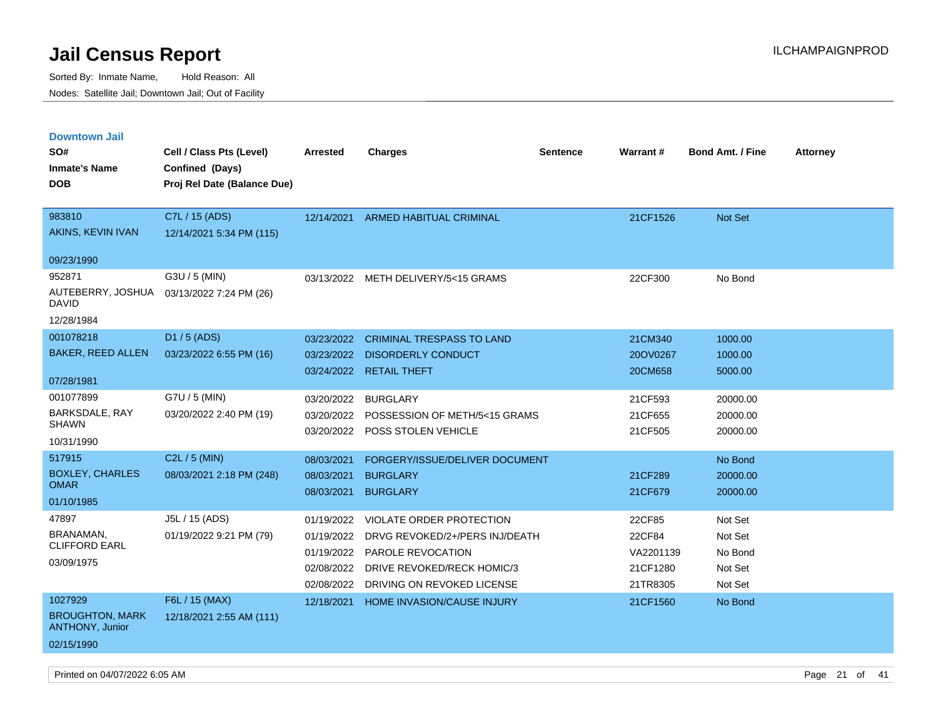| <b>Downtown Jail</b>                             |                             |            |                                  |                 |           |                         |                 |
|--------------------------------------------------|-----------------------------|------------|----------------------------------|-----------------|-----------|-------------------------|-----------------|
| SO#                                              | Cell / Class Pts (Level)    | Arrested   | <b>Charges</b>                   | <b>Sentence</b> | Warrant#  | <b>Bond Amt. / Fine</b> | <b>Attorney</b> |
| <b>Inmate's Name</b>                             | Confined (Days)             |            |                                  |                 |           |                         |                 |
| <b>DOB</b>                                       | Proj Rel Date (Balance Due) |            |                                  |                 |           |                         |                 |
|                                                  |                             |            |                                  |                 |           |                         |                 |
| 983810                                           | C7L / 15 (ADS)              | 12/14/2021 | ARMED HABITUAL CRIMINAL          |                 | 21CF1526  | Not Set                 |                 |
| AKINS, KEVIN IVAN                                | 12/14/2021 5:34 PM (115)    |            |                                  |                 |           |                         |                 |
| 09/23/1990                                       |                             |            |                                  |                 |           |                         |                 |
| 952871                                           | G3U / 5 (MIN)               | 03/13/2022 | METH DELIVERY/5<15 GRAMS         |                 | 22CF300   | No Bond                 |                 |
| AUTEBERRY, JOSHUA<br><b>DAVID</b>                | 03/13/2022 7:24 PM (26)     |            |                                  |                 |           |                         |                 |
| 12/28/1984                                       |                             |            |                                  |                 |           |                         |                 |
| 001078218                                        | D1 / 5 (ADS)                | 03/23/2022 | <b>CRIMINAL TRESPASS TO LAND</b> |                 | 21CM340   | 1000.00                 |                 |
| <b>BAKER, REED ALLEN</b>                         | 03/23/2022 6:55 PM (16)     | 03/23/2022 | <b>DISORDERLY CONDUCT</b>        |                 | 20OV0267  | 1000.00                 |                 |
|                                                  |                             |            | 03/24/2022 RETAIL THEFT          |                 | 20CM658   | 5000.00                 |                 |
| 07/28/1981                                       |                             |            |                                  |                 |           |                         |                 |
| 001077899                                        | G7U / 5 (MIN)               | 03/20/2022 | <b>BURGLARY</b>                  |                 | 21CF593   | 20000.00                |                 |
| <b>BARKSDALE, RAY</b><br><b>SHAWN</b>            | 03/20/2022 2:40 PM (19)     | 03/20/2022 | POSSESSION OF METH/5<15 GRAMS    |                 | 21CF655   | 20000.00                |                 |
| 10/31/1990                                       |                             | 03/20/2022 | POSS STOLEN VEHICLE              |                 | 21CF505   | 20000.00                |                 |
|                                                  |                             |            |                                  |                 |           |                         |                 |
| 517915                                           | C2L / 5 (MIN)               | 08/03/2021 | FORGERY/ISSUE/DELIVER DOCUMENT   |                 |           | No Bond                 |                 |
| <b>BOXLEY, CHARLES</b><br><b>OMAR</b>            | 08/03/2021 2:18 PM (248)    | 08/03/2021 | <b>BURGLARY</b>                  |                 | 21CF289   | 20000.00                |                 |
| 01/10/1985                                       |                             | 08/03/2021 | <b>BURGLARY</b>                  |                 | 21CF679   | 20000.00                |                 |
| 47897                                            | J5L / 15 (ADS)              | 01/19/2022 | <b>VIOLATE ORDER PROTECTION</b>  |                 | 22CF85    | Not Set                 |                 |
| <b>BRANAMAN,</b>                                 | 01/19/2022 9:21 PM (79)     | 01/19/2022 | DRVG REVOKED/2+/PERS INJ/DEATH   |                 | 22CF84    | Not Set                 |                 |
| <b>CLIFFORD EARL</b>                             |                             | 01/19/2022 | <b>PAROLE REVOCATION</b>         |                 | VA2201139 | No Bond                 |                 |
| 03/09/1975                                       |                             | 02/08/2022 | DRIVE REVOKED/RECK HOMIC/3       |                 | 21CF1280  | Not Set                 |                 |
|                                                  |                             | 02/08/2022 | DRIVING ON REVOKED LICENSE       |                 | 21TR8305  | Not Set                 |                 |
| 1027929                                          | F6L / 15 (MAX)              | 12/18/2021 | HOME INVASION/CAUSE INJURY       |                 | 21CF1560  | No Bond                 |                 |
| <b>BROUGHTON, MARK</b><br><b>ANTHONY, Junior</b> | 12/18/2021 2:55 AM (111)    |            |                                  |                 |           |                         |                 |
| 02/15/1990                                       |                             |            |                                  |                 |           |                         |                 |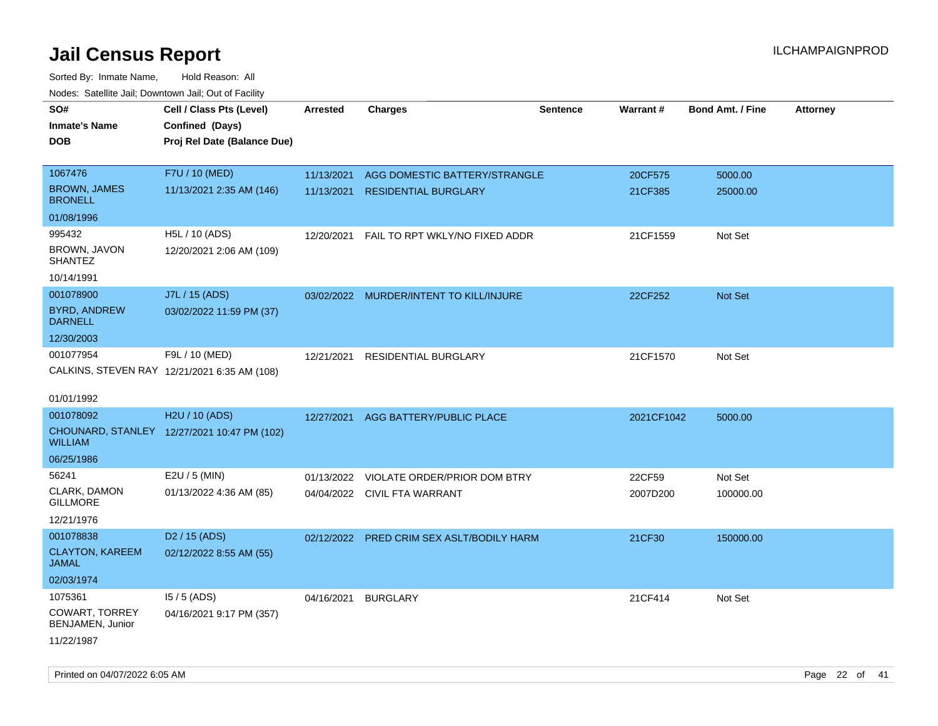| rougs. Calcing Jan, Downtown Jan, Out of Facility |                                                                            |                 |                                         |                 |            |                         |                 |
|---------------------------------------------------|----------------------------------------------------------------------------|-----------------|-----------------------------------------|-----------------|------------|-------------------------|-----------------|
| SO#<br><b>Inmate's Name</b><br><b>DOB</b>         | Cell / Class Pts (Level)<br>Confined (Days)<br>Proj Rel Date (Balance Due) | <b>Arrested</b> | <b>Charges</b>                          | <b>Sentence</b> | Warrant#   | <b>Bond Amt. / Fine</b> | <b>Attorney</b> |
|                                                   |                                                                            |                 |                                         |                 |            |                         |                 |
| 1067476                                           | F7U / 10 (MED)                                                             | 11/13/2021      | AGG DOMESTIC BATTERY/STRANGLE           |                 | 20CF575    | 5000.00                 |                 |
| <b>BROWN, JAMES</b><br><b>BRONELL</b>             | 11/13/2021 2:35 AM (146)                                                   | 11/13/2021      | <b>RESIDENTIAL BURGLARY</b>             |                 | 21CF385    | 25000.00                |                 |
| 01/08/1996                                        |                                                                            |                 |                                         |                 |            |                         |                 |
| 995432                                            | H5L / 10 (ADS)                                                             | 12/20/2021      | FAIL TO RPT WKLY/NO FIXED ADDR          |                 | 21CF1559   | Not Set                 |                 |
| BROWN, JAVON<br><b>SHANTEZ</b>                    | 12/20/2021 2:06 AM (109)                                                   |                 |                                         |                 |            |                         |                 |
| 10/14/1991                                        |                                                                            |                 |                                         |                 |            |                         |                 |
| 001078900                                         | J7L / 15 (ADS)                                                             |                 | 03/02/2022 MURDER/INTENT TO KILL/INJURE |                 | 22CF252    | Not Set                 |                 |
| <b>BYRD, ANDREW</b><br><b>DARNELL</b>             | 03/02/2022 11:59 PM (37)                                                   |                 |                                         |                 |            |                         |                 |
| 12/30/2003                                        |                                                                            |                 |                                         |                 |            |                         |                 |
| 001077954                                         | F9L / 10 (MED)                                                             | 12/21/2021      | RESIDENTIAL BURGLARY                    |                 | 21CF1570   | Not Set                 |                 |
|                                                   | CALKINS, STEVEN RAY 12/21/2021 6:35 AM (108)                               |                 |                                         |                 |            |                         |                 |
|                                                   |                                                                            |                 |                                         |                 |            |                         |                 |
| 01/01/1992                                        |                                                                            |                 |                                         |                 |            |                         |                 |
| 001078092                                         | H2U / 10 (ADS)                                                             | 12/27/2021      | AGG BATTERY/PUBLIC PLACE                |                 | 2021CF1042 | 5000.00                 |                 |
| <b>WILLIAM</b>                                    | CHOUNARD, STANLEY 12/27/2021 10:47 PM (102)                                |                 |                                         |                 |            |                         |                 |
| 06/25/1986                                        |                                                                            |                 |                                         |                 |            |                         |                 |
| 56241                                             | E2U / 5 (MIN)                                                              | 01/13/2022      | VIOLATE ORDER/PRIOR DOM BTRY            |                 | 22CF59     | Not Set                 |                 |
| CLARK, DAMON<br><b>GILLMORE</b>                   | 01/13/2022 4:36 AM (85)                                                    |                 | 04/04/2022 CIVIL FTA WARRANT            |                 | 2007D200   | 100000.00               |                 |
| 12/21/1976                                        |                                                                            |                 |                                         |                 |            |                         |                 |
| 001078838                                         | D <sub>2</sub> / 15 (ADS)                                                  | 02/12/2022      | PRED CRIM SEX ASLT/BODILY HARM          |                 | 21CF30     | 150000.00               |                 |
| <b>CLAYTON, KAREEM</b><br>JAMAL                   | 02/12/2022 8:55 AM (55)                                                    |                 |                                         |                 |            |                         |                 |
| 02/03/1974                                        |                                                                            |                 |                                         |                 |            |                         |                 |
| 1075361                                           | $15/5$ (ADS)                                                               | 04/16/2021      | <b>BURGLARY</b>                         |                 | 21CF414    | Not Set                 |                 |
| COWART, TORREY<br>BENJAMEN, Junior                | 04/16/2021 9:17 PM (357)                                                   |                 |                                         |                 |            |                         |                 |
| 11/22/1987                                        |                                                                            |                 |                                         |                 |            |                         |                 |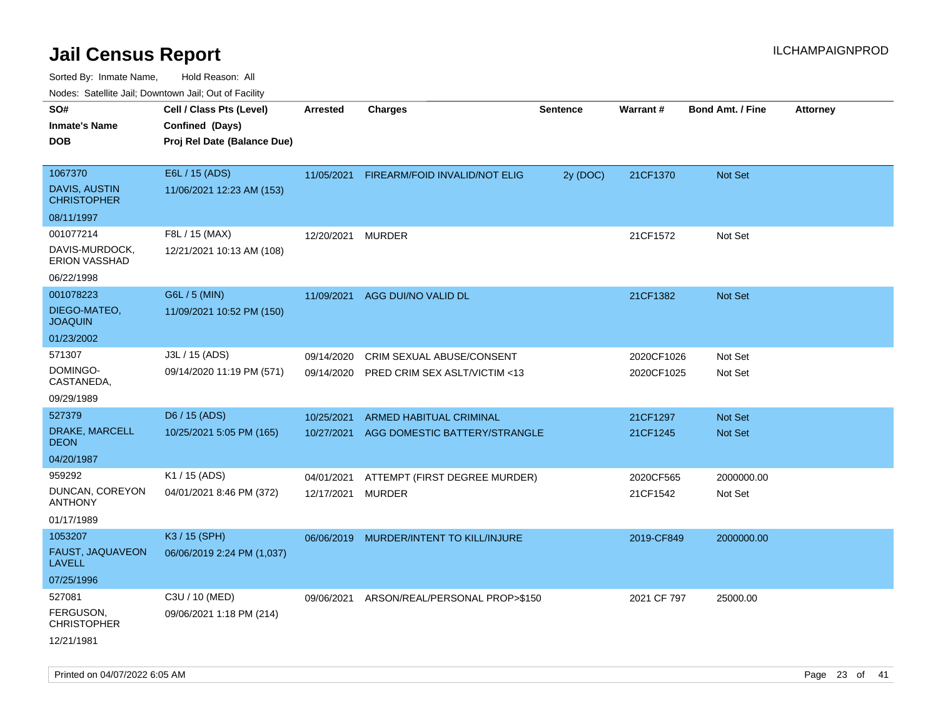| rouco. Calcinic Jan, Downtown Jan, Out of Facility |                                                                            |                          |                                                            |                 |                          |                         |                 |
|----------------------------------------------------|----------------------------------------------------------------------------|--------------------------|------------------------------------------------------------|-----------------|--------------------------|-------------------------|-----------------|
| SO#<br>Inmate's Name<br><b>DOB</b>                 | Cell / Class Pts (Level)<br>Confined (Days)<br>Proj Rel Date (Balance Due) | <b>Arrested</b>          | <b>Charges</b>                                             | <b>Sentence</b> | <b>Warrant#</b>          | <b>Bond Amt. / Fine</b> | <b>Attorney</b> |
| 1067370<br><b>DAVIS, AUSTIN</b><br>CHRISTOPHER     | E6L / 15 (ADS)<br>11/06/2021 12:23 AM (153)                                | 11/05/2021               | FIREARM/FOID INVALID/NOT ELIG                              | 2y (DOC)        | 21CF1370                 | <b>Not Set</b>          |                 |
| 08/11/1997<br>001077214                            | F8L / 15 (MAX)                                                             | 12/20/2021               | MURDER                                                     |                 | 21CF1572                 | Not Set                 |                 |
| DAVIS-MURDOCK,<br><b>ERION VASSHAD</b>             | 12/21/2021 10:13 AM (108)                                                  |                          |                                                            |                 |                          |                         |                 |
| 06/22/1998                                         |                                                                            |                          |                                                            |                 |                          |                         |                 |
| 001078223<br>DIEGO-MATEO,<br><b>JOAQUIN</b>        | G6L / 5 (MIN)<br>11/09/2021 10:52 PM (150)                                 | 11/09/2021               | AGG DUI/NO VALID DL                                        |                 | 21CF1382                 | <b>Not Set</b>          |                 |
| 01/23/2002                                         |                                                                            |                          |                                                            |                 |                          |                         |                 |
| 571307<br>DOMINGO-<br>CASTANEDA,                   | J3L / 15 (ADS)<br>09/14/2020 11:19 PM (571)                                | 09/14/2020<br>09/14/2020 | CRIM SEXUAL ABUSE/CONSENT<br>PRED CRIM SEX ASLT/VICTIM <13 |                 | 2020CF1026<br>2020CF1025 | Not Set<br>Not Set      |                 |
| 09/29/1989                                         |                                                                            |                          |                                                            |                 |                          |                         |                 |
| 527379                                             | D6 / 15 (ADS)                                                              | 10/25/2021               | ARMED HABITUAL CRIMINAL                                    |                 | 21CF1297                 | Not Set                 |                 |
| DRAKE, MARCELL<br>DEON                             | 10/25/2021 5:05 PM (165)                                                   | 10/27/2021               | AGG DOMESTIC BATTERY/STRANGLE                              |                 | 21CF1245                 | Not Set                 |                 |
| 04/20/1987                                         |                                                                            |                          |                                                            |                 |                          |                         |                 |
| 959292                                             | K1 / 15 (ADS)                                                              | 04/01/2021               | ATTEMPT (FIRST DEGREE MURDER)                              |                 | 2020CF565                | 2000000.00              |                 |
| DUNCAN, COREYON<br>ANTHONY                         | 04/01/2021 8:46 PM (372)                                                   | 12/17/2021               | MURDER                                                     |                 | 21CF1542                 | Not Set                 |                 |
| 01/17/1989                                         |                                                                            |                          |                                                            |                 |                          |                         |                 |
| 1053207                                            | K3 / 15 (SPH)                                                              | 06/06/2019               | MURDER/INTENT TO KILL/INJURE                               |                 | 2019-CF849               | 2000000.00              |                 |
| FAUST, JAQUAVEON<br>LAVELL                         | 06/06/2019 2:24 PM (1,037)                                                 |                          |                                                            |                 |                          |                         |                 |
| 07/25/1996                                         |                                                                            |                          |                                                            |                 |                          |                         |                 |
| 527081                                             | C3U / 10 (MED)                                                             | 09/06/2021               | ARSON/REAL/PERSONAL PROP>\$150                             |                 | 2021 CF 797              | 25000.00                |                 |
| FERGUSON,<br>CHRISTOPHER                           | 09/06/2021 1:18 PM (214)                                                   |                          |                                                            |                 |                          |                         |                 |
| 12/21/1981                                         |                                                                            |                          |                                                            |                 |                          |                         |                 |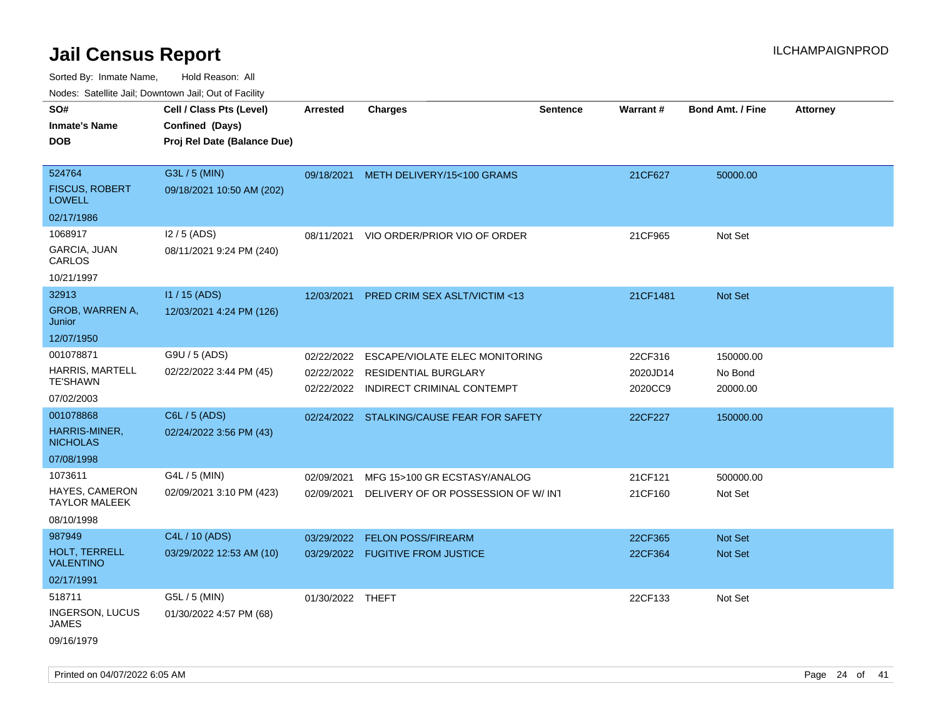Sorted By: Inmate Name, Hold Reason: All

|                                  | Nodes: Satellite Jail; Downtown Jail; Out of Facility |                  |                                    |                 |                 |                         |                 |
|----------------------------------|-------------------------------------------------------|------------------|------------------------------------|-----------------|-----------------|-------------------------|-----------------|
| SO#<br><b>Inmate's Name</b>      | Cell / Class Pts (Level)<br>Confined (Days)           | Arrested         | <b>Charges</b>                     | <b>Sentence</b> | <b>Warrant#</b> | <b>Bond Amt. / Fine</b> | <b>Attorney</b> |
| <b>DOB</b>                       | Proj Rel Date (Balance Due)                           |                  |                                    |                 |                 |                         |                 |
|                                  |                                                       |                  |                                    |                 |                 |                         |                 |
| 524764                           | G3L / 5 (MIN)                                         | 09/18/2021       | METH DELIVERY/15<100 GRAMS         |                 | 21CF627         | 50000.00                |                 |
| <b>FISCUS, ROBERT</b><br>LOWELL  | 09/18/2021 10:50 AM (202)                             |                  |                                    |                 |                 |                         |                 |
| 02/17/1986                       |                                                       |                  |                                    |                 |                 |                         |                 |
| 1068917                          | $12/5$ (ADS)                                          | 08/11/2021       | VIO ORDER/PRIOR VIO OF ORDER       |                 | 21CF965         | Not Set                 |                 |
| GARCIA, JUAN<br>CARLOS           | 08/11/2021 9:24 PM (240)                              |                  |                                    |                 |                 |                         |                 |
| 10/21/1997                       |                                                       |                  |                                    |                 |                 |                         |                 |
| 32913                            | I1 / 15 (ADS)                                         | 12/03/2021       | PRED CRIM SEX ASLT/VICTIM <13      |                 | 21CF1481        | Not Set                 |                 |
| GROB, WARREN A,<br>Junior        | 12/03/2021 4:24 PM (126)                              |                  |                                    |                 |                 |                         |                 |
| 12/07/1950                       |                                                       |                  |                                    |                 |                 |                         |                 |
| 001078871                        | G9U / 5 (ADS)                                         | 02/22/2022       | ESCAPE/VIOLATE ELEC MONITORING     |                 | 22CF316         | 150000.00               |                 |
| HARRIS, MARTELL                  | 02/22/2022 3:44 PM (45)                               | 02/22/2022       | RESIDENTIAL BURGLARY               |                 | 2020JD14        | No Bond                 |                 |
| TE'SHAWN                         |                                                       | 02/22/2022       | INDIRECT CRIMINAL CONTEMPT         |                 | 2020CC9         | 20000.00                |                 |
| 07/02/2003                       |                                                       |                  |                                    |                 |                 |                         |                 |
| 001078868                        | C6L / 5 (ADS)                                         | 02/24/2022       | STALKING/CAUSE FEAR FOR SAFETY     |                 | 22CF227         | 150000.00               |                 |
| HARRIS-MINER,<br><b>NICHOLAS</b> | 02/24/2022 3:56 PM (43)                               |                  |                                    |                 |                 |                         |                 |
| 07/08/1998                       |                                                       |                  |                                    |                 |                 |                         |                 |
| 1073611                          | G4L / 5 (MIN)                                         | 02/09/2021       | MFG 15>100 GR ECSTASY/ANALOG       |                 | 21CF121         | 500000.00               |                 |
| HAYES, CAMERON<br>TAYLOR MALEEK  | 02/09/2021 3:10 PM (423)                              | 02/09/2021       | DELIVERY OF OR POSSESSION OF W/INT |                 | 21CF160         | Not Set                 |                 |
| 08/10/1998                       |                                                       |                  |                                    |                 |                 |                         |                 |
| 987949                           | C4L / 10 (ADS)                                        | 03/29/2022       | <b>FELON POSS/FIREARM</b>          |                 | 22CF365         | <b>Not Set</b>          |                 |
| HOLT, TERRELL<br>VALENTINO       | 03/29/2022 12:53 AM (10)                              | 03/29/2022       | <b>FUGITIVE FROM JUSTICE</b>       |                 | 22CF364         | <b>Not Set</b>          |                 |
| 02/17/1991                       |                                                       |                  |                                    |                 |                 |                         |                 |
| 518711                           | G5L / 5 (MIN)                                         | 01/30/2022 THEFT |                                    |                 | 22CF133         | Not Set                 |                 |
| <b>INGERSON, LUCUS</b><br>JAMES  | 01/30/2022 4:57 PM (68)                               |                  |                                    |                 |                 |                         |                 |

09/16/1979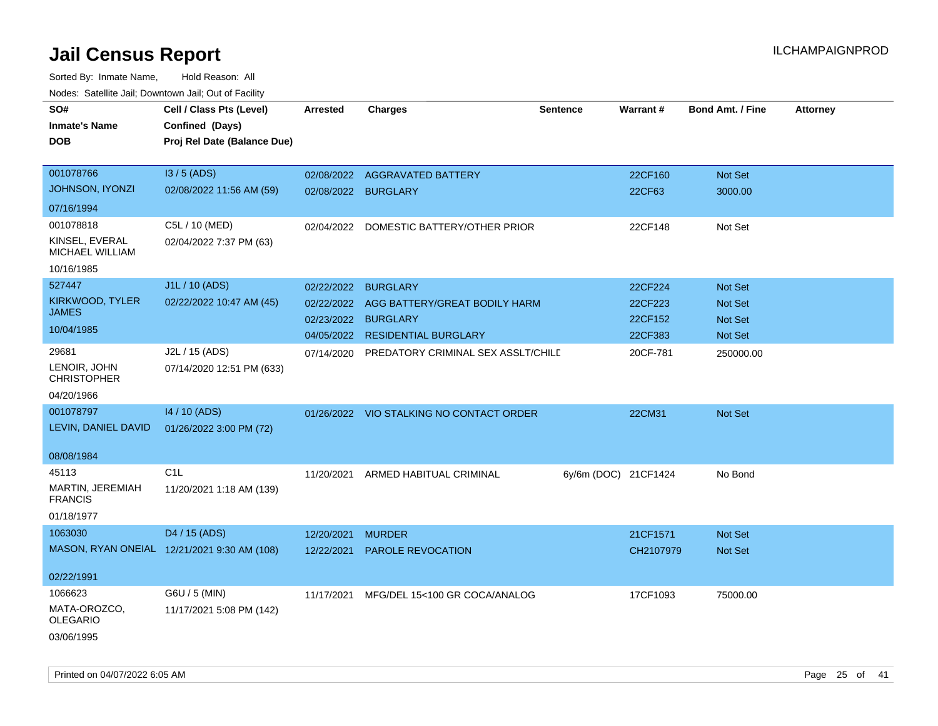| SO#<br><b>Inmate's Name</b><br><b>DOB</b>                    | Cell / Class Pts (Level)<br>Confined (Days)<br>Proj Rel Date (Balance Due) | Arrested                          | <b>Charges</b>                                   | <b>Sentence</b>      | Warrant#           | <b>Bond Amt. / Fine</b> | <b>Attorney</b> |
|--------------------------------------------------------------|----------------------------------------------------------------------------|-----------------------------------|--------------------------------------------------|----------------------|--------------------|-------------------------|-----------------|
| 001078766<br>JOHNSON, IYONZI                                 | $13/5$ (ADS)<br>02/08/2022 11:56 AM (59)                                   | 02/08/2022<br>02/08/2022 BURGLARY | <b>AGGRAVATED BATTERY</b>                        |                      | 22CF160<br>22CF63  | Not Set<br>3000.00      |                 |
| 07/16/1994                                                   |                                                                            |                                   |                                                  |                      |                    |                         |                 |
| 001078818<br>KINSEL, EVERAL<br>MICHAEL WILLIAM<br>10/16/1985 | C5L / 10 (MED)<br>02/04/2022 7:37 PM (63)                                  | 02/04/2022                        | DOMESTIC BATTERY/OTHER PRIOR                     |                      | 22CF148            | Not Set                 |                 |
| 527447                                                       | J1L / 10 (ADS)                                                             | 02/22/2022                        | <b>BURGLARY</b>                                  |                      | 22CF224            | Not Set                 |                 |
| KIRKWOOD, TYLER<br><b>JAMES</b>                              | 02/22/2022 10:47 AM (45)                                                   | 02/22/2022<br>02/23/2022          | AGG BATTERY/GREAT BODILY HARM<br><b>BURGLARY</b> |                      | 22CF223<br>22CF152 | Not Set<br>Not Set      |                 |
| 10/04/1985                                                   |                                                                            |                                   | 04/05/2022 RESIDENTIAL BURGLARY                  |                      | 22CF383            | Not Set                 |                 |
| 29681<br>LENOIR, JOHN<br><b>CHRISTOPHER</b><br>04/20/1966    | J2L / 15 (ADS)<br>07/14/2020 12:51 PM (633)                                | 07/14/2020                        | PREDATORY CRIMINAL SEX ASSLT/CHILE               |                      | 20CF-781           | 250000.00               |                 |
| 001078797<br>LEVIN, DANIEL DAVID                             | 14 / 10 (ADS)<br>01/26/2022 3:00 PM (72)                                   |                                   | 01/26/2022 VIO STALKING NO CONTACT ORDER         |                      | 22CM31             | Not Set                 |                 |
| 08/08/1984                                                   |                                                                            |                                   |                                                  |                      |                    |                         |                 |
| 45113<br>MARTIN, JEREMIAH<br><b>FRANCIS</b><br>01/18/1977    | C <sub>1</sub> L<br>11/20/2021 1:18 AM (139)                               | 11/20/2021                        | ARMED HABITUAL CRIMINAL                          | 6y/6m (DOC) 21CF1424 |                    | No Bond                 |                 |
| 1063030                                                      | D <sub>4</sub> / 15 (ADS)                                                  | 12/20/2021                        | <b>MURDER</b>                                    |                      | 21CF1571           | Not Set                 |                 |
|                                                              | MASON, RYAN ONEIAL 12/21/2021 9:30 AM (108)                                | 12/22/2021                        | <b>PAROLE REVOCATION</b>                         |                      | CH2107979          | Not Set                 |                 |
| 02/22/1991                                                   |                                                                            |                                   |                                                  |                      |                    |                         |                 |
| 1066623<br>MATA-OROZCO,<br><b>OLEGARIO</b><br>03/06/1995     | G6U / 5 (MIN)<br>11/17/2021 5:08 PM (142)                                  | 11/17/2021                        | MFG/DEL 15<100 GR COCA/ANALOG                    |                      | 17CF1093           | 75000.00                |                 |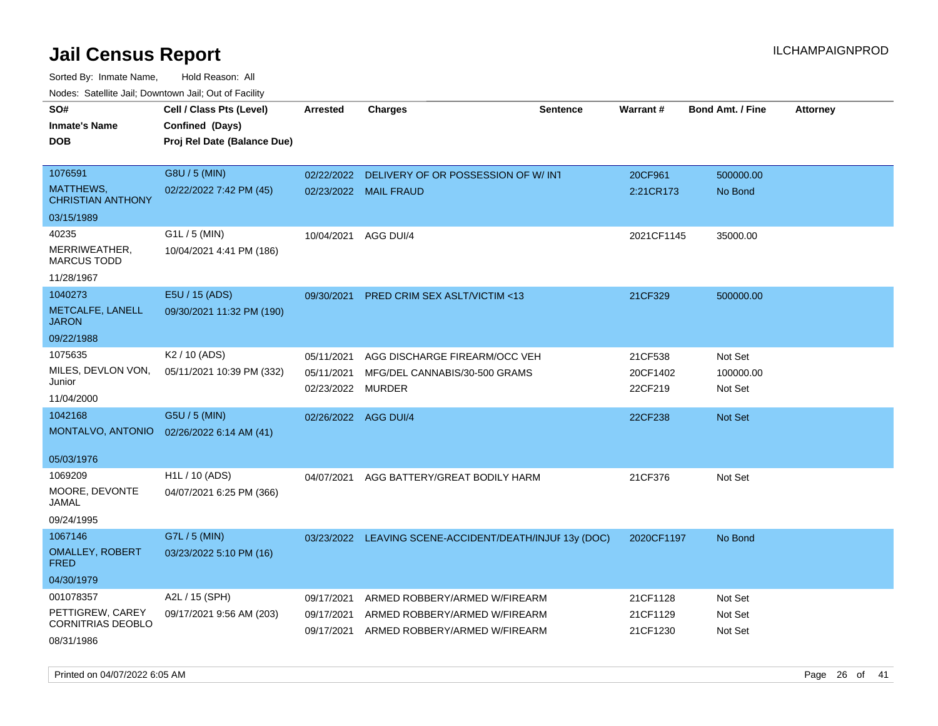| SO#                                          | Cell / Class Pts (Level)    | <b>Arrested</b>      | <b>Charges</b>                                          | <b>Sentence</b> | <b>Warrant#</b> | <b>Bond Amt. / Fine</b> | <b>Attorney</b> |
|----------------------------------------------|-----------------------------|----------------------|---------------------------------------------------------|-----------------|-----------------|-------------------------|-----------------|
| <b>Inmate's Name</b>                         | Confined (Days)             |                      |                                                         |                 |                 |                         |                 |
| <b>DOB</b>                                   | Proj Rel Date (Balance Due) |                      |                                                         |                 |                 |                         |                 |
|                                              |                             |                      |                                                         |                 |                 |                         |                 |
| 1076591                                      | G8U / 5 (MIN)               | 02/22/2022           | DELIVERY OF OR POSSESSION OF W/ INT                     |                 | 20CF961         | 500000.00               |                 |
| <b>MATTHEWS,</b><br><b>CHRISTIAN ANTHONY</b> | 02/22/2022 7:42 PM (45)     |                      | 02/23/2022 MAIL FRAUD                                   |                 | 2:21CR173       | No Bond                 |                 |
| 03/15/1989                                   |                             |                      |                                                         |                 |                 |                         |                 |
| 40235                                        | G1L / 5 (MIN)               | 10/04/2021           | AGG DUI/4                                               |                 | 2021CF1145      | 35000.00                |                 |
| MERRIWEATHER,<br><b>MARCUS TODD</b>          | 10/04/2021 4:41 PM (186)    |                      |                                                         |                 |                 |                         |                 |
| 11/28/1967                                   |                             |                      |                                                         |                 |                 |                         |                 |
| 1040273                                      | E5U / 15 (ADS)              | 09/30/2021           | PRED CRIM SEX ASLT/VICTIM <13                           |                 | 21CF329         | 500000.00               |                 |
| METCALFE, LANELL<br><b>JARON</b>             | 09/30/2021 11:32 PM (190)   |                      |                                                         |                 |                 |                         |                 |
| 09/22/1988                                   |                             |                      |                                                         |                 |                 |                         |                 |
| 1075635                                      | K2 / 10 (ADS)               | 05/11/2021           | AGG DISCHARGE FIREARM/OCC VEH                           |                 | 21CF538         | Not Set                 |                 |
| MILES, DEVLON VON,                           | 05/11/2021 10:39 PM (332)   | 05/11/2021           | MFG/DEL CANNABIS/30-500 GRAMS                           |                 | 20CF1402        | 100000.00               |                 |
| Junior                                       |                             | 02/23/2022           | <b>MURDER</b>                                           |                 | 22CF219         | Not Set                 |                 |
| 11/04/2000                                   |                             |                      |                                                         |                 |                 |                         |                 |
| 1042168                                      | G5U / 5 (MIN)               | 02/26/2022 AGG DUI/4 |                                                         |                 | 22CF238         | <b>Not Set</b>          |                 |
| MONTALVO, ANTONIO                            | 02/26/2022 6:14 AM (41)     |                      |                                                         |                 |                 |                         |                 |
| 05/03/1976                                   |                             |                      |                                                         |                 |                 |                         |                 |
| 1069209                                      | H1L / 10 (ADS)              | 04/07/2021           | AGG BATTERY/GREAT BODILY HARM                           |                 | 21CF376         | Not Set                 |                 |
| MOORE, DEVONTE                               | 04/07/2021 6:25 PM (366)    |                      |                                                         |                 |                 |                         |                 |
| JAMAL                                        |                             |                      |                                                         |                 |                 |                         |                 |
| 09/24/1995                                   |                             |                      |                                                         |                 |                 |                         |                 |
| 1067146                                      | G7L / 5 (MIN)               |                      | 03/23/2022 LEAVING SCENE-ACCIDENT/DEATH/INJUF 13y (DOC) |                 | 2020CF1197      | No Bond                 |                 |
| <b>OMALLEY, ROBERT</b><br><b>FRED</b>        | 03/23/2022 5:10 PM (16)     |                      |                                                         |                 |                 |                         |                 |
| 04/30/1979                                   |                             |                      |                                                         |                 |                 |                         |                 |
| 001078357                                    | A2L / 15 (SPH)              | 09/17/2021           | ARMED ROBBERY/ARMED W/FIREARM                           |                 | 21CF1128        | Not Set                 |                 |
| PETTIGREW, CAREY                             | 09/17/2021 9:56 AM (203)    | 09/17/2021           | ARMED ROBBERY/ARMED W/FIREARM                           |                 | 21CF1129        | Not Set                 |                 |
| <b>CORNITRIAS DEOBLO</b>                     |                             | 09/17/2021           | ARMED ROBBERY/ARMED W/FIREARM                           |                 | 21CF1230        | Not Set                 |                 |
| 08/31/1986                                   |                             |                      |                                                         |                 |                 |                         |                 |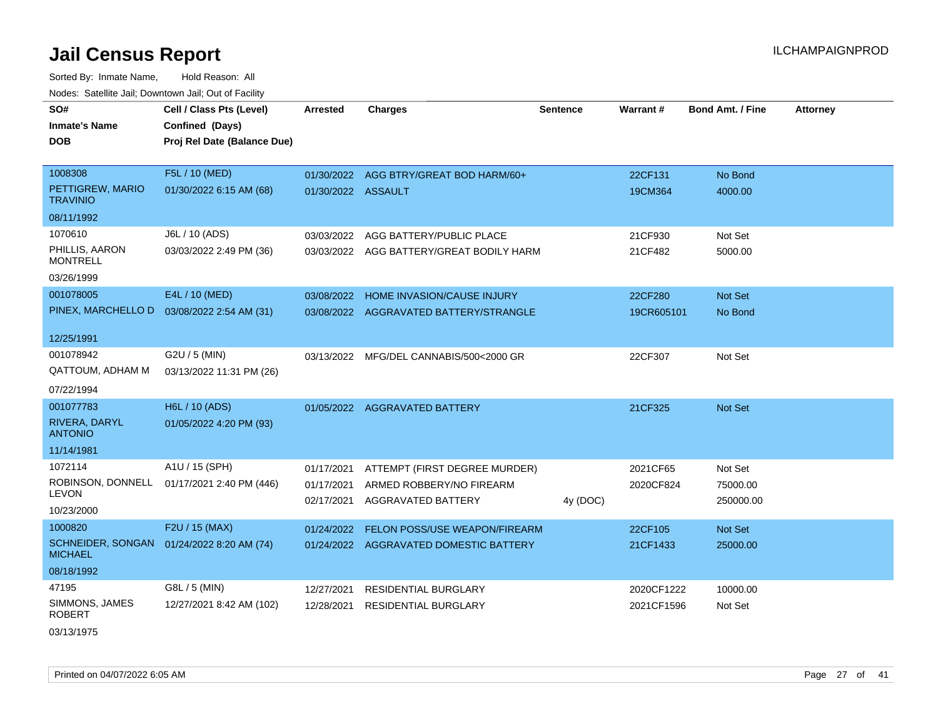Sorted By: Inmate Name, Hold Reason: All Nodes: Satellite Jail; Downtown Jail; Out of Facility

| SO#                                 | Cell / Class Pts (Level)                   | <b>Arrested</b>    | <b>Charges</b>                           | <b>Sentence</b> | Warrant#   | Bond Amt. / Fine | <b>Attorney</b> |
|-------------------------------------|--------------------------------------------|--------------------|------------------------------------------|-----------------|------------|------------------|-----------------|
| <b>Inmate's Name</b>                | Confined (Days)                            |                    |                                          |                 |            |                  |                 |
| DOB                                 | Proj Rel Date (Balance Due)                |                    |                                          |                 |            |                  |                 |
|                                     |                                            |                    |                                          |                 |            |                  |                 |
| 1008308                             | F5L / 10 (MED)                             | 01/30/2022         | AGG BTRY/GREAT BOD HARM/60+              |                 | 22CF131    | No Bond          |                 |
| PETTIGREW, MARIO<br><b>TRAVINIO</b> | 01/30/2022 6:15 AM (68)                    | 01/30/2022 ASSAULT |                                          |                 | 19CM364    | 4000.00          |                 |
| 08/11/1992                          |                                            |                    |                                          |                 |            |                  |                 |
| 1070610                             | J6L / 10 (ADS)                             | 03/03/2022         | AGG BATTERY/PUBLIC PLACE                 |                 | 21CF930    | Not Set          |                 |
| PHILLIS, AARON<br><b>MONTRELL</b>   | 03/03/2022 2:49 PM (36)                    |                    | 03/03/2022 AGG BATTERY/GREAT BODILY HARM |                 | 21CF482    | 5000.00          |                 |
| 03/26/1999                          |                                            |                    |                                          |                 |            |                  |                 |
| 001078005                           | E4L / 10 (MED)                             | 03/08/2022         | <b>HOME INVASION/CAUSE INJURY</b>        |                 | 22CF280    | <b>Not Set</b>   |                 |
| PINEX, MARCHELLO D                  | 03/08/2022 2:54 AM (31)                    | 03/08/2022         | AGGRAVATED BATTERY/STRANGLE              |                 | 19CR605101 | No Bond          |                 |
|                                     |                                            |                    |                                          |                 |            |                  |                 |
| 12/25/1991                          |                                            |                    |                                          |                 |            |                  |                 |
| 001078942                           | G2U / 5 (MIN)                              | 03/13/2022         | MFG/DEL CANNABIS/500<2000 GR             |                 | 22CF307    | Not Set          |                 |
| <b>QATTOUM, ADHAM M</b>             | 03/13/2022 11:31 PM (26)                   |                    |                                          |                 |            |                  |                 |
| 07/22/1994                          |                                            |                    |                                          |                 |            |                  |                 |
| 001077783                           | H6L / 10 (ADS)                             |                    | 01/05/2022 AGGRAVATED BATTERY            |                 | 21CF325    | <b>Not Set</b>   |                 |
| RIVERA, DARYL<br><b>ANTONIO</b>     | 01/05/2022 4:20 PM (93)                    |                    |                                          |                 |            |                  |                 |
| 11/14/1981                          |                                            |                    |                                          |                 |            |                  |                 |
| 1072114                             | A1U / 15 (SPH)                             | 01/17/2021         | ATTEMPT (FIRST DEGREE MURDER)            |                 | 2021CF65   | Not Set          |                 |
|                                     | ROBINSON, DONNELL 01/17/2021 2:40 PM (446) | 01/17/2021         | ARMED ROBBERY/NO FIREARM                 |                 | 2020CF824  | 75000.00         |                 |
| <b>LEVON</b>                        |                                            | 02/17/2021         | <b>AGGRAVATED BATTERY</b>                | 4y (DOC)        |            | 250000.00        |                 |
| 10/23/2000                          |                                            |                    |                                          |                 |            |                  |                 |
| 1000820                             | F2U / 15 (MAX)                             | 01/24/2022         | <b>FELON POSS/USE WEAPON/FIREARM</b>     |                 | 22CF105    | Not Set          |                 |
| SCHNEIDER, SONGAN<br><b>MICHAEL</b> | 01/24/2022 8:20 AM (74)                    | 01/24/2022         | <b>AGGRAVATED DOMESTIC BATTERY</b>       |                 | 21CF1433   | 25000.00         |                 |
| 08/18/1992                          |                                            |                    |                                          |                 |            |                  |                 |
| 47195                               | G8L / 5 (MIN)                              | 12/27/2021         | <b>RESIDENTIAL BURGLARY</b>              |                 | 2020CF1222 | 10000.00         |                 |
| SIMMONS, JAMES<br><b>ROBERT</b>     | 12/27/2021 8:42 AM (102)                   | 12/28/2021         | <b>RESIDENTIAL BURGLARY</b>              |                 | 2021CF1596 | Not Set          |                 |

03/13/1975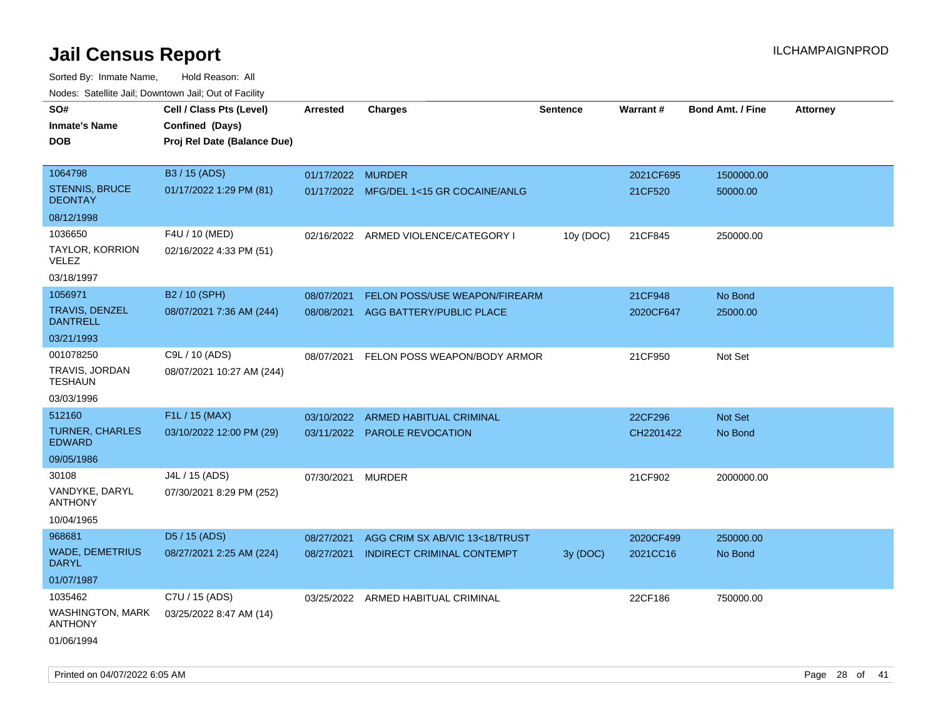| rougs. Calcinic Jan, Downtown Jan, Out of Facility |                             |                   |                                         |                 |           |                         |                 |
|----------------------------------------------------|-----------------------------|-------------------|-----------------------------------------|-----------------|-----------|-------------------------|-----------------|
| SO#                                                | Cell / Class Pts (Level)    | <b>Arrested</b>   | <b>Charges</b>                          | <b>Sentence</b> | Warrant#  | <b>Bond Amt. / Fine</b> | <b>Attorney</b> |
| <b>Inmate's Name</b>                               | Confined (Days)             |                   |                                         |                 |           |                         |                 |
| <b>DOB</b>                                         | Proj Rel Date (Balance Due) |                   |                                         |                 |           |                         |                 |
|                                                    |                             |                   |                                         |                 |           |                         |                 |
| 1064798                                            | B3 / 15 (ADS)               | 01/17/2022 MURDER |                                         |                 | 2021CF695 | 1500000.00              |                 |
| <b>STENNIS, BRUCE</b><br><b>DEONTAY</b>            | 01/17/2022 1:29 PM (81)     |                   | 01/17/2022 MFG/DEL 1<15 GR COCAINE/ANLG |                 | 21CF520   | 50000.00                |                 |
| 08/12/1998                                         |                             |                   |                                         |                 |           |                         |                 |
| 1036650                                            | F4U / 10 (MED)              |                   | 02/16/2022 ARMED VIOLENCE/CATEGORY I    | 10y (DOC)       | 21CF845   | 250000.00               |                 |
| TAYLOR, KORRION<br>VELEZ                           | 02/16/2022 4:33 PM (51)     |                   |                                         |                 |           |                         |                 |
| 03/18/1997                                         |                             |                   |                                         |                 |           |                         |                 |
| 1056971                                            | B2 / 10 (SPH)               | 08/07/2021        | FELON POSS/USE WEAPON/FIREARM           |                 | 21CF948   | No Bond                 |                 |
| <b>TRAVIS, DENZEL</b><br><b>DANTRELL</b>           | 08/07/2021 7:36 AM (244)    | 08/08/2021        | AGG BATTERY/PUBLIC PLACE                |                 | 2020CF647 | 25000.00                |                 |
| 03/21/1993                                         |                             |                   |                                         |                 |           |                         |                 |
| 001078250                                          | C9L / 10 (ADS)              | 08/07/2021        | FELON POSS WEAPON/BODY ARMOR            |                 | 21CF950   | Not Set                 |                 |
| TRAVIS, JORDAN<br><b>TESHAUN</b>                   | 08/07/2021 10:27 AM (244)   |                   |                                         |                 |           |                         |                 |
| 03/03/1996                                         |                             |                   |                                         |                 |           |                         |                 |
| 512160                                             | F1L / 15 (MAX)              | 03/10/2022        | ARMED HABITUAL CRIMINAL                 |                 | 22CF296   | Not Set                 |                 |
| <b>TURNER, CHARLES</b><br><b>EDWARD</b>            | 03/10/2022 12:00 PM (29)    |                   | 03/11/2022 PAROLE REVOCATION            |                 | CH2201422 | No Bond                 |                 |
| 09/05/1986                                         |                             |                   |                                         |                 |           |                         |                 |
| 30108                                              | J4L / 15 (ADS)              | 07/30/2021        | <b>MURDER</b>                           |                 | 21CF902   | 2000000.00              |                 |
| VANDYKE, DARYL<br><b>ANTHONY</b>                   | 07/30/2021 8:29 PM (252)    |                   |                                         |                 |           |                         |                 |
| 10/04/1965                                         |                             |                   |                                         |                 |           |                         |                 |
| 968681                                             | D5 / 15 (ADS)               | 08/27/2021        | AGG CRIM SX AB/VIC 13<18/TRUST          |                 | 2020CF499 | 250000.00               |                 |
| <b>WADE, DEMETRIUS</b><br><b>DARYL</b>             | 08/27/2021 2:25 AM (224)    | 08/27/2021        | <b>INDIRECT CRIMINAL CONTEMPT</b>       | 3y (DOC)        | 2021CC16  | No Bond                 |                 |
| 01/07/1987                                         |                             |                   |                                         |                 |           |                         |                 |
| 1035462                                            | C7U / 15 (ADS)              |                   | 03/25/2022 ARMED HABITUAL CRIMINAL      |                 | 22CF186   | 750000.00               |                 |
| <b>WASHINGTON, MARK</b><br><b>ANTHONY</b>          | 03/25/2022 8:47 AM (14)     |                   |                                         |                 |           |                         |                 |
| 01/06/1994                                         |                             |                   |                                         |                 |           |                         |                 |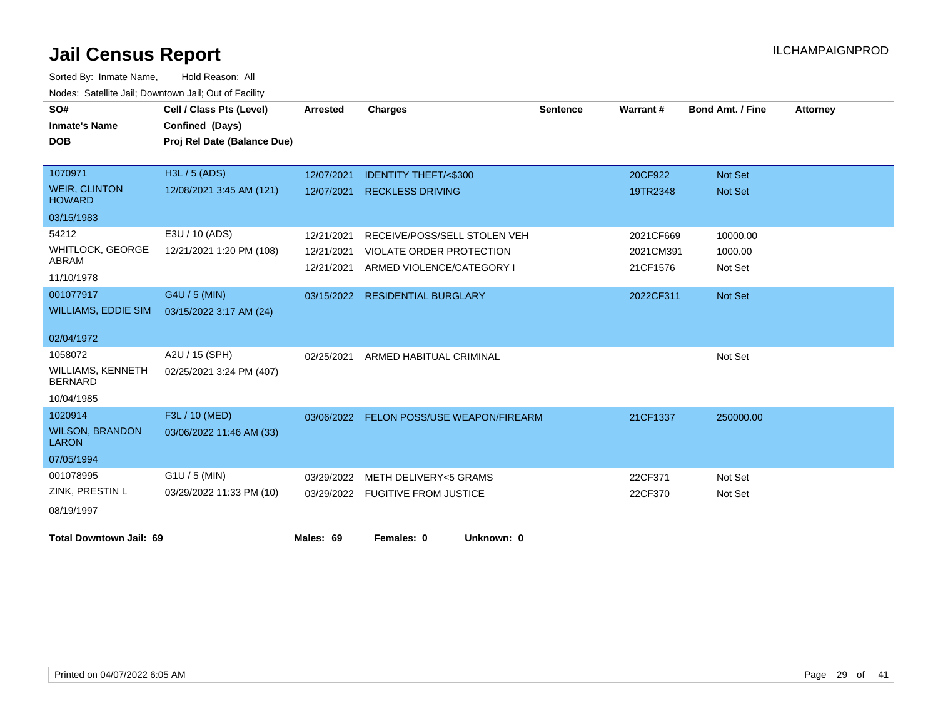| SO#                                        | Cell / Class Pts (Level)    | <b>Arrested</b> | <b>Charges</b>                           | <b>Sentence</b> | <b>Warrant#</b> | <b>Bond Amt. / Fine</b> | <b>Attorney</b> |
|--------------------------------------------|-----------------------------|-----------------|------------------------------------------|-----------------|-----------------|-------------------------|-----------------|
| <b>Inmate's Name</b>                       | Confined (Days)             |                 |                                          |                 |                 |                         |                 |
| <b>DOB</b>                                 | Proj Rel Date (Balance Due) |                 |                                          |                 |                 |                         |                 |
|                                            |                             |                 |                                          |                 |                 |                         |                 |
| 1070971                                    | H3L / 5 (ADS)               | 12/07/2021      | <b>IDENTITY THEFT/&lt;\$300</b>          |                 | 20CF922         | <b>Not Set</b>          |                 |
| <b>WEIR, CLINTON</b><br><b>HOWARD</b>      | 12/08/2021 3:45 AM (121)    | 12/07/2021      | <b>RECKLESS DRIVING</b>                  |                 | 19TR2348        | <b>Not Set</b>          |                 |
| 03/15/1983                                 |                             |                 |                                          |                 |                 |                         |                 |
| 54212                                      | E3U / 10 (ADS)              | 12/21/2021      | RECEIVE/POSS/SELL STOLEN VEH             |                 | 2021CF669       | 10000.00                |                 |
| WHITLOCK, GEORGE                           | 12/21/2021 1:20 PM (108)    | 12/21/2021      | VIOLATE ORDER PROTECTION                 |                 | 2021CM391       | 1000.00                 |                 |
| ABRAM                                      |                             | 12/21/2021      | ARMED VIOLENCE/CATEGORY I                |                 | 21CF1576        | Not Set                 |                 |
| 11/10/1978                                 |                             |                 |                                          |                 |                 |                         |                 |
| 001077917                                  | G4U / 5 (MIN)               |                 | 03/15/2022 RESIDENTIAL BURGLARY          |                 | 2022CF311       | <b>Not Set</b>          |                 |
| <b>WILLIAMS, EDDIE SIM</b>                 | 03/15/2022 3:17 AM (24)     |                 |                                          |                 |                 |                         |                 |
| 02/04/1972                                 |                             |                 |                                          |                 |                 |                         |                 |
| 1058072                                    | A2U / 15 (SPH)              | 02/25/2021      | ARMED HABITUAL CRIMINAL                  |                 |                 | Not Set                 |                 |
| <b>WILLIAMS, KENNETH</b><br><b>BERNARD</b> | 02/25/2021 3:24 PM (407)    |                 |                                          |                 |                 |                         |                 |
| 10/04/1985                                 |                             |                 |                                          |                 |                 |                         |                 |
| 1020914                                    | F3L / 10 (MED)              |                 | 03/06/2022 FELON POSS/USE WEAPON/FIREARM |                 | 21CF1337        | 250000.00               |                 |
| <b>WILSON, BRANDON</b><br><b>LARON</b>     | 03/06/2022 11:46 AM (33)    |                 |                                          |                 |                 |                         |                 |
| 07/05/1994                                 |                             |                 |                                          |                 |                 |                         |                 |
| 001078995                                  | G1U / 5 (MIN)               | 03/29/2022      | <b>METH DELIVERY&lt;5 GRAMS</b>          |                 | 22CF371         | Not Set                 |                 |
| ZINK, PRESTIN L                            | 03/29/2022 11:33 PM (10)    |                 | 03/29/2022 FUGITIVE FROM JUSTICE         |                 | 22CF370         | Not Set                 |                 |
| 08/19/1997                                 |                             |                 |                                          |                 |                 |                         |                 |
|                                            |                             |                 |                                          |                 |                 |                         |                 |
| <b>Total Downtown Jail: 69</b>             |                             | Males: 69       | Females: 0<br>Unknown: 0                 |                 |                 |                         |                 |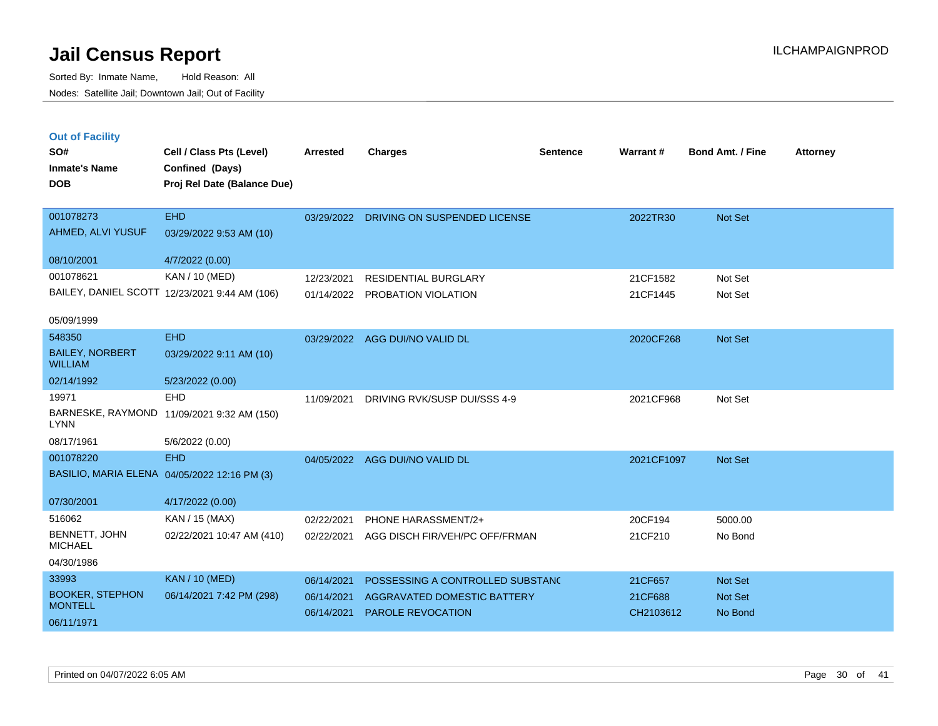| <b>Out of Facility</b><br>SO#<br><b>Inmate's Name</b><br><b>DOB</b> | Cell / Class Pts (Level)<br>Confined (Days)<br>Proj Rel Date (Balance Due) | <b>Arrested</b> | <b>Charges</b>                     | <b>Sentence</b> | <b>Warrant#</b> | <b>Bond Amt. / Fine</b> | <b>Attorney</b> |
|---------------------------------------------------------------------|----------------------------------------------------------------------------|-----------------|------------------------------------|-----------------|-----------------|-------------------------|-----------------|
| 001078273                                                           | <b>EHD</b>                                                                 | 03/29/2022      | DRIVING ON SUSPENDED LICENSE       |                 | 2022TR30        | Not Set                 |                 |
| AHMED, ALVI YUSUF                                                   | 03/29/2022 9:53 AM (10)                                                    |                 |                                    |                 |                 |                         |                 |
| 08/10/2001                                                          | 4/7/2022 (0.00)                                                            |                 |                                    |                 |                 |                         |                 |
| 001078621                                                           | KAN / 10 (MED)                                                             | 12/23/2021      | <b>RESIDENTIAL BURGLARY</b>        |                 | 21CF1582        | Not Set                 |                 |
|                                                                     | BAILEY, DANIEL SCOTT 12/23/2021 9:44 AM (106)                              | 01/14/2022      | PROBATION VIOLATION                |                 | 21CF1445        | Not Set                 |                 |
| 05/09/1999                                                          |                                                                            |                 |                                    |                 |                 |                         |                 |
| 548350                                                              | <b>EHD</b>                                                                 | 03/29/2022      | AGG DUI/NO VALID DL                |                 | 2020CF268       | Not Set                 |                 |
| <b>BAILEY, NORBERT</b><br><b>WILLIAM</b>                            | 03/29/2022 9:11 AM (10)                                                    |                 |                                    |                 |                 |                         |                 |
| 02/14/1992                                                          | 5/23/2022 (0.00)                                                           |                 |                                    |                 |                 |                         |                 |
| 19971                                                               | <b>EHD</b>                                                                 | 11/09/2021      | DRIVING RVK/SUSP DUI/SSS 4-9       |                 | 2021CF968       | Not Set                 |                 |
| <b>LYNN</b>                                                         | BARNESKE, RAYMOND 11/09/2021 9:32 AM (150)                                 |                 |                                    |                 |                 |                         |                 |
| 08/17/1961                                                          | 5/6/2022 (0.00)                                                            |                 |                                    |                 |                 |                         |                 |
| 001078220                                                           | EH <sub>D</sub>                                                            | 04/05/2022      | AGG DUI/NO VALID DL                |                 | 2021CF1097      | Not Set                 |                 |
|                                                                     | BASILIO, MARIA ELENA 04/05/2022 12:16 PM (3)                               |                 |                                    |                 |                 |                         |                 |
| 07/30/2001                                                          | 4/17/2022 (0.00)                                                           |                 |                                    |                 |                 |                         |                 |
| 516062                                                              | KAN / 15 (MAX)                                                             | 02/22/2021      | PHONE HARASSMENT/2+                |                 | 20CF194         | 5000.00                 |                 |
| BENNETT, JOHN<br><b>MICHAEL</b>                                     | 02/22/2021 10:47 AM (410)                                                  | 02/22/2021      | AGG DISCH FIR/VEH/PC OFF/FRMAN     |                 | 21CF210         | No Bond                 |                 |
| 04/30/1986                                                          |                                                                            |                 |                                    |                 |                 |                         |                 |
| 33993                                                               | <b>KAN / 10 (MED)</b>                                                      | 06/14/2021      | POSSESSING A CONTROLLED SUBSTAND   |                 | 21CF657         | <b>Not Set</b>          |                 |
| <b>BOOKER, STEPHON</b><br><b>MONTELL</b>                            | 06/14/2021 7:42 PM (298)                                                   | 06/14/2021      | <b>AGGRAVATED DOMESTIC BATTERY</b> |                 | 21CF688         | Not Set                 |                 |
| 06/11/1971                                                          |                                                                            | 06/14/2021      | <b>PAROLE REVOCATION</b>           |                 | CH2103612       | No Bond                 |                 |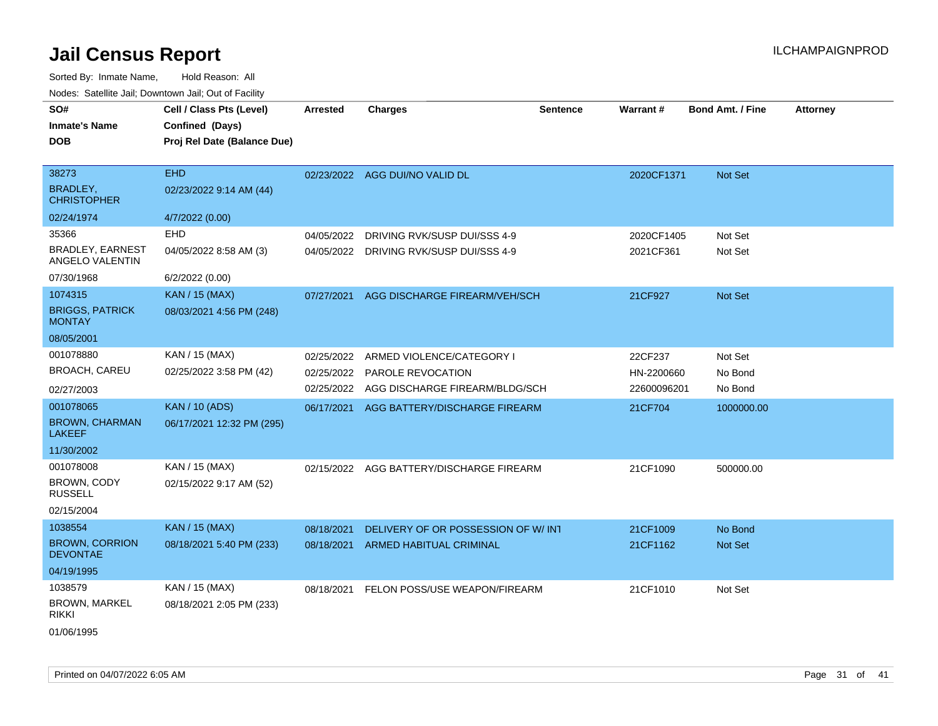| SO#<br><b>Inmate's Name</b><br><b>DOB</b>                         | Cell / Class Pts (Level)<br>Confined (Days)<br>Proj Rel Date (Balance Due) | <b>Arrested</b>                        | <b>Charges</b>                                                                          | <b>Sentence</b> | Warrant#                             | <b>Bond Amt. / Fine</b>       | <b>Attorney</b> |
|-------------------------------------------------------------------|----------------------------------------------------------------------------|----------------------------------------|-----------------------------------------------------------------------------------------|-----------------|--------------------------------------|-------------------------------|-----------------|
| 38273<br>BRADLEY,<br><b>CHRISTOPHER</b>                           | <b>EHD</b><br>02/23/2022 9:14 AM (44)                                      |                                        | 02/23/2022 AGG DUI/NO VALID DL                                                          |                 | 2020CF1371                           | Not Set                       |                 |
| 02/24/1974                                                        | 4/7/2022 (0.00)                                                            |                                        |                                                                                         |                 |                                      |                               |                 |
| 35366<br><b>BRADLEY, EARNEST</b><br>ANGELO VALENTIN<br>07/30/1968 | <b>EHD</b><br>04/05/2022 8:58 AM (3)<br>6/2/2022 (0.00)                    | 04/05/2022                             | DRIVING RVK/SUSP DUI/SSS 4-9<br>04/05/2022 DRIVING RVK/SUSP DUI/SSS 4-9                 |                 | 2020CF1405<br>2021CF361              | Not Set<br>Not Set            |                 |
| 1074315<br><b>BRIGGS, PATRICK</b><br><b>MONTAY</b><br>08/05/2001  | KAN / 15 (MAX)<br>08/03/2021 4:56 PM (248)                                 | 07/27/2021                             | AGG DISCHARGE FIREARM/VEH/SCH                                                           |                 | 21CF927                              | Not Set                       |                 |
| 001078880<br><b>BROACH, CAREU</b><br>02/27/2003                   | KAN / 15 (MAX)<br>02/25/2022 3:58 PM (42)                                  | 02/25/2022<br>02/25/2022<br>02/25/2022 | ARMED VIOLENCE/CATEGORY I<br><b>PAROLE REVOCATION</b><br>AGG DISCHARGE FIREARM/BLDG/SCH |                 | 22CF237<br>HN-2200660<br>22600096201 | Not Set<br>No Bond<br>No Bond |                 |
| 001078065<br><b>BROWN, CHARMAN</b><br><b>LAKEEF</b><br>11/30/2002 | <b>KAN / 10 (ADS)</b><br>06/17/2021 12:32 PM (295)                         | 06/17/2021                             | AGG BATTERY/DISCHARGE FIREARM                                                           |                 | 21CF704                              | 1000000.00                    |                 |
| 001078008<br>BROWN, CODY<br><b>RUSSELL</b><br>02/15/2004          | KAN / 15 (MAX)<br>02/15/2022 9:17 AM (52)                                  |                                        | 02/15/2022 AGG BATTERY/DISCHARGE FIREARM                                                |                 | 21CF1090                             | 500000.00                     |                 |
| 1038554<br><b>BROWN, CORRION</b><br><b>DEVONTAE</b><br>04/19/1995 | KAN / 15 (MAX)<br>08/18/2021 5:40 PM (233)                                 | 08/18/2021<br>08/18/2021               | DELIVERY OF OR POSSESSION OF W/ INT<br>ARMED HABITUAL CRIMINAL                          |                 | 21CF1009<br>21CF1162                 | No Bond<br>Not Set            |                 |
| 1038579<br>BROWN, MARKEL<br><b>RIKKI</b><br>01/06/1995            | KAN / 15 (MAX)<br>08/18/2021 2:05 PM (233)                                 | 08/18/2021                             | FELON POSS/USE WEAPON/FIREARM                                                           |                 | 21CF1010                             | Not Set                       |                 |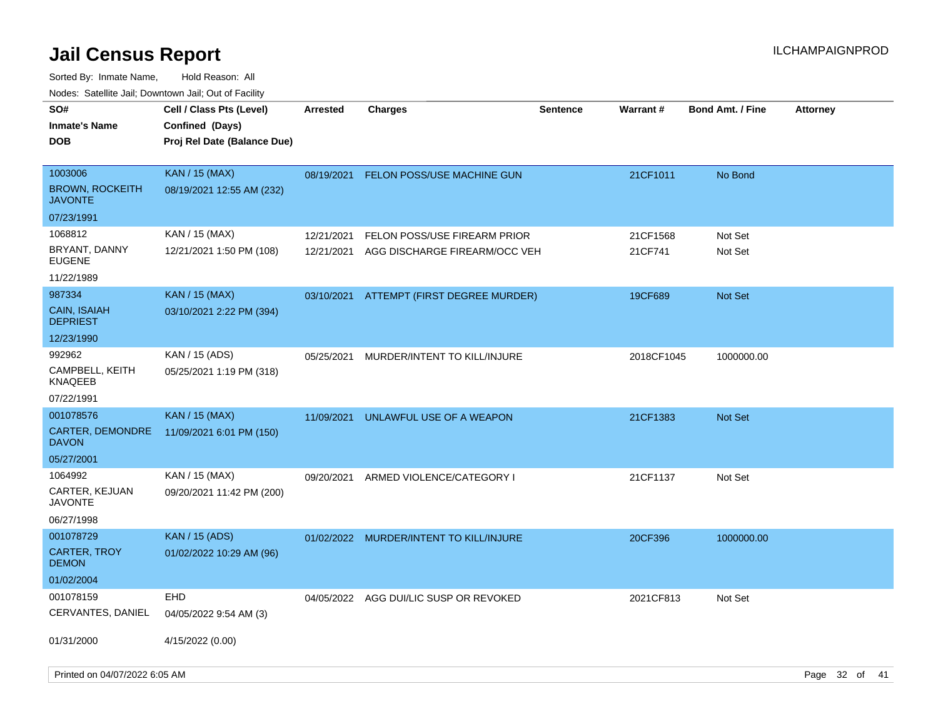| rougs. Calcing Jan, Downtown Jan, Out of Facility   |                                                                            |                 |                                          |                 |            |                  |                 |
|-----------------------------------------------------|----------------------------------------------------------------------------|-----------------|------------------------------------------|-----------------|------------|------------------|-----------------|
| SO#<br><b>Inmate's Name</b><br><b>DOB</b>           | Cell / Class Pts (Level)<br>Confined (Days)<br>Proj Rel Date (Balance Due) | <b>Arrested</b> | <b>Charges</b>                           | <b>Sentence</b> | Warrant#   | Bond Amt. / Fine | <b>Attorney</b> |
| 1003006<br><b>BROWN, ROCKEITH</b><br><b>JAVONTE</b> | <b>KAN / 15 (MAX)</b><br>08/19/2021 12:55 AM (232)                         | 08/19/2021      | <b>FELON POSS/USE MACHINE GUN</b>        |                 | 21CF1011   | No Bond          |                 |
| 07/23/1991                                          |                                                                            |                 |                                          |                 |            |                  |                 |
| 1068812                                             | KAN / 15 (MAX)                                                             | 12/21/2021      | FELON POSS/USE FIREARM PRIOR             |                 | 21CF1568   | Not Set          |                 |
| BRYANT, DANNY<br><b>EUGENE</b>                      | 12/21/2021 1:50 PM (108)                                                   | 12/21/2021      | AGG DISCHARGE FIREARM/OCC VEH            |                 | 21CF741    | Not Set          |                 |
| 11/22/1989                                          |                                                                            |                 |                                          |                 |            |                  |                 |
| 987334                                              | <b>KAN / 15 (MAX)</b>                                                      |                 | 03/10/2021 ATTEMPT (FIRST DEGREE MURDER) |                 | 19CF689    | Not Set          |                 |
| CAIN, ISAIAH<br><b>DEPRIEST</b>                     | 03/10/2021 2:22 PM (394)                                                   |                 |                                          |                 |            |                  |                 |
| 12/23/1990                                          |                                                                            |                 |                                          |                 |            |                  |                 |
| 992962                                              | KAN / 15 (ADS)                                                             | 05/25/2021      | MURDER/INTENT TO KILL/INJURE             |                 | 2018CF1045 | 1000000.00       |                 |
| CAMPBELL, KEITH<br>KNAQEEB                          | 05/25/2021 1:19 PM (318)                                                   |                 |                                          |                 |            |                  |                 |
| 07/22/1991                                          |                                                                            |                 |                                          |                 |            |                  |                 |
| 001078576                                           | <b>KAN / 15 (MAX)</b>                                                      | 11/09/2021      | UNLAWFUL USE OF A WEAPON                 |                 | 21CF1383   | <b>Not Set</b>   |                 |
| CARTER, DEMONDRE<br><b>DAVON</b>                    | 11/09/2021 6:01 PM (150)                                                   |                 |                                          |                 |            |                  |                 |
| 05/27/2001                                          |                                                                            |                 |                                          |                 |            |                  |                 |
| 1064992                                             | KAN / 15 (MAX)                                                             | 09/20/2021      | ARMED VIOLENCE/CATEGORY I                |                 | 21CF1137   | Not Set          |                 |
| CARTER, KEJUAN<br>JAVONTE                           | 09/20/2021 11:42 PM (200)                                                  |                 |                                          |                 |            |                  |                 |
| 06/27/1998                                          |                                                                            |                 |                                          |                 |            |                  |                 |
| 001078729                                           | <b>KAN / 15 (ADS)</b>                                                      |                 | 01/02/2022 MURDER/INTENT TO KILL/INJURE  |                 | 20CF396    | 1000000.00       |                 |
| <b>CARTER, TROY</b><br><b>DEMON</b>                 | 01/02/2022 10:29 AM (96)                                                   |                 |                                          |                 |            |                  |                 |
| 01/02/2004                                          |                                                                            |                 |                                          |                 |            |                  |                 |
| 001078159                                           | <b>EHD</b>                                                                 |                 | 04/05/2022 AGG DUI/LIC SUSP OR REVOKED   |                 | 2021CF813  | Not Set          |                 |
| CERVANTES, DANIEL                                   | 04/05/2022 9:54 AM (3)                                                     |                 |                                          |                 |            |                  |                 |
| 01/31/2000                                          | 4/15/2022 (0.00)                                                           |                 |                                          |                 |            |                  |                 |
|                                                     |                                                                            |                 |                                          |                 |            |                  |                 |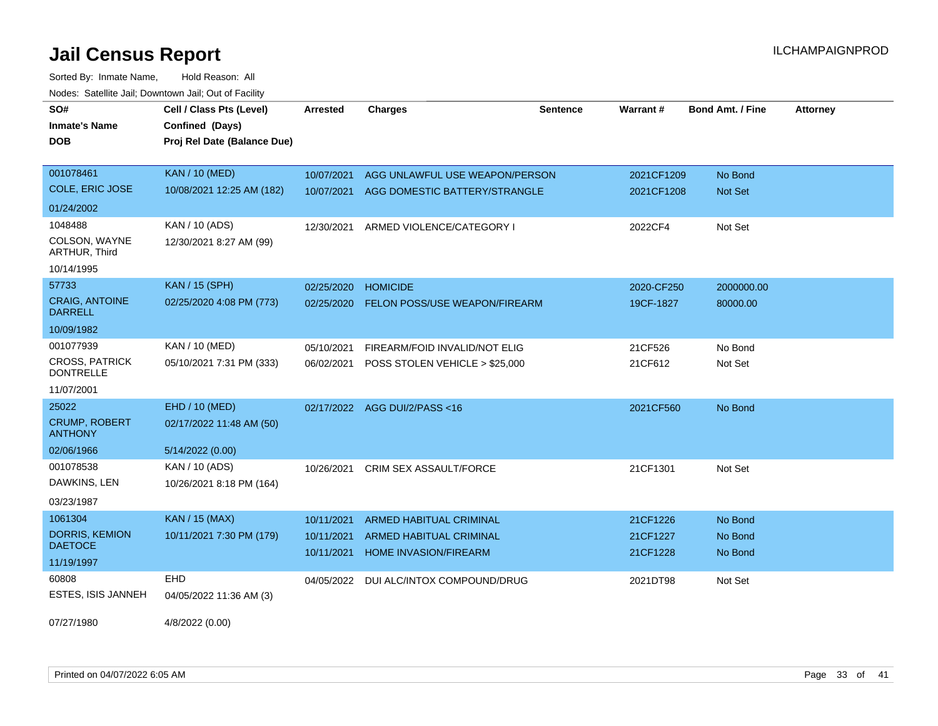| SO#                                       | Cell / Class Pts (Level)    | <b>Arrested</b> | <b>Charges</b>                       | <b>Sentence</b> | <b>Warrant#</b> | <b>Bond Amt. / Fine</b> | <b>Attorney</b> |
|-------------------------------------------|-----------------------------|-----------------|--------------------------------------|-----------------|-----------------|-------------------------|-----------------|
| <b>Inmate's Name</b>                      | Confined (Days)             |                 |                                      |                 |                 |                         |                 |
| DOB                                       | Proj Rel Date (Balance Due) |                 |                                      |                 |                 |                         |                 |
|                                           |                             |                 |                                      |                 |                 |                         |                 |
| 001078461                                 | <b>KAN / 10 (MED)</b>       | 10/07/2021      | AGG UNLAWFUL USE WEAPON/PERSON       |                 | 2021CF1209      | No Bond                 |                 |
| <b>COLE, ERIC JOSE</b>                    | 10/08/2021 12:25 AM (182)   | 10/07/2021      | AGG DOMESTIC BATTERY/STRANGLE        |                 | 2021CF1208      | <b>Not Set</b>          |                 |
| 01/24/2002                                |                             |                 |                                      |                 |                 |                         |                 |
| 1048488                                   | KAN / 10 (ADS)              | 12/30/2021      | ARMED VIOLENCE/CATEGORY I            |                 | 2022CF4         | Not Set                 |                 |
| COLSON, WAYNE<br>ARTHUR, Third            | 12/30/2021 8:27 AM (99)     |                 |                                      |                 |                 |                         |                 |
| 10/14/1995                                |                             |                 |                                      |                 |                 |                         |                 |
| 57733                                     | <b>KAN / 15 (SPH)</b>       | 02/25/2020      | <b>HOMICIDE</b>                      |                 | 2020-CF250      | 2000000.00              |                 |
| <b>CRAIG, ANTOINE</b><br><b>DARRELL</b>   | 02/25/2020 4:08 PM (773)    | 02/25/2020      | <b>FELON POSS/USE WEAPON/FIREARM</b> |                 | 19CF-1827       | 80000.00                |                 |
| 10/09/1982                                |                             |                 |                                      |                 |                 |                         |                 |
| 001077939                                 | KAN / 10 (MED)              | 05/10/2021      | FIREARM/FOID INVALID/NOT ELIG        |                 | 21CF526         | No Bond                 |                 |
| <b>CROSS, PATRICK</b><br><b>DONTRELLE</b> | 05/10/2021 7:31 PM (333)    | 06/02/2021      | POSS STOLEN VEHICLE > \$25,000       |                 | 21CF612         | Not Set                 |                 |
| 11/07/2001                                |                             |                 |                                      |                 |                 |                         |                 |
| 25022                                     | EHD / 10 (MED)              |                 | 02/17/2022 AGG DUI/2/PASS<16         |                 | 2021CF560       | No Bond                 |                 |
| <b>CRUMP, ROBERT</b><br><b>ANTHONY</b>    | 02/17/2022 11:48 AM (50)    |                 |                                      |                 |                 |                         |                 |
| 02/06/1966                                | 5/14/2022 (0.00)            |                 |                                      |                 |                 |                         |                 |
| 001078538                                 | KAN / 10 (ADS)              | 10/26/2021      | CRIM SEX ASSAULT/FORCE               |                 | 21CF1301        | Not Set                 |                 |
| DAWKINS, LEN                              | 10/26/2021 8:18 PM (164)    |                 |                                      |                 |                 |                         |                 |
| 03/23/1987                                |                             |                 |                                      |                 |                 |                         |                 |
| 1061304                                   | <b>KAN / 15 (MAX)</b>       | 10/11/2021      | ARMED HABITUAL CRIMINAL              |                 | 21CF1226        | No Bond                 |                 |
| <b>DORRIS, KEMION</b>                     | 10/11/2021 7:30 PM (179)    | 10/11/2021      | <b>ARMED HABITUAL CRIMINAL</b>       |                 | 21CF1227        | No Bond                 |                 |
| <b>DAETOCE</b>                            |                             | 10/11/2021      | <b>HOME INVASION/FIREARM</b>         |                 | 21CF1228        | No Bond                 |                 |
| 11/19/1997                                |                             |                 |                                      |                 |                 |                         |                 |
| 60808                                     | <b>EHD</b>                  | 04/05/2022      | DUI ALC/INTOX COMPOUND/DRUG          |                 | 2021DT98        | Not Set                 |                 |
| <b>ESTES, ISIS JANNEH</b>                 | 04/05/2022 11:36 AM (3)     |                 |                                      |                 |                 |                         |                 |
| 07/27/1980                                | 4/8/2022 (0.00)             |                 |                                      |                 |                 |                         |                 |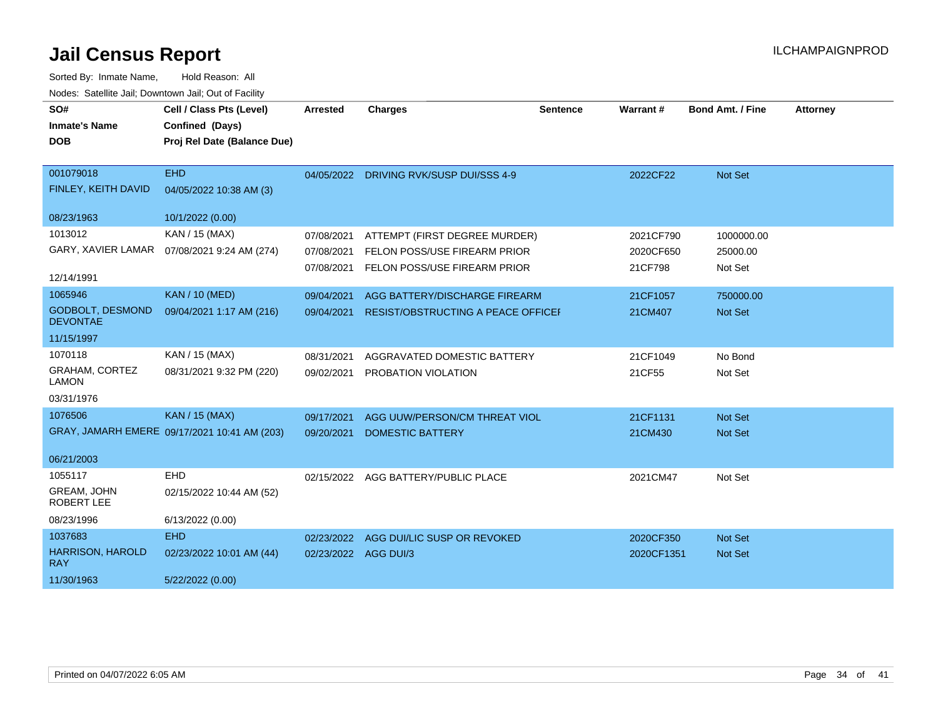| SO#<br><b>Inmate's Name</b><br><b>DOB</b>   | Cell / Class Pts (Level)<br>Confined (Days)<br>Proj Rel Date (Balance Due) | <b>Arrested</b>                        | <b>Charges</b>                                                                                | <b>Sentence</b> | Warrant#                          | <b>Bond Amt. / Fine</b>           | <b>Attorney</b> |
|---------------------------------------------|----------------------------------------------------------------------------|----------------------------------------|-----------------------------------------------------------------------------------------------|-----------------|-----------------------------------|-----------------------------------|-----------------|
| 001079018<br>FINLEY, KEITH DAVID            | <b>EHD</b><br>04/05/2022 10:38 AM (3)                                      |                                        | 04/05/2022 DRIVING RVK/SUSP DUI/SSS 4-9                                                       |                 | 2022CF22                          | Not Set                           |                 |
| 08/23/1963                                  | 10/1/2022 (0.00)                                                           |                                        |                                                                                               |                 |                                   |                                   |                 |
| 1013012<br>GARY, XAVIER LAMAR<br>12/14/1991 | KAN / 15 (MAX)<br>07/08/2021 9:24 AM (274)                                 | 07/08/2021<br>07/08/2021<br>07/08/2021 | ATTEMPT (FIRST DEGREE MURDER)<br>FELON POSS/USE FIREARM PRIOR<br>FELON POSS/USE FIREARM PRIOR |                 | 2021CF790<br>2020CF650<br>21CF798 | 1000000.00<br>25000.00<br>Not Set |                 |
| 1065946                                     | <b>KAN / 10 (MED)</b>                                                      | 09/04/2021                             | AGG BATTERY/DISCHARGE FIREARM                                                                 |                 | 21CF1057                          | 750000.00                         |                 |
| <b>GODBOLT, DESMOND</b><br><b>DEVONTAE</b>  | 09/04/2021 1:17 AM (216)                                                   | 09/04/2021                             | RESIST/OBSTRUCTING A PEACE OFFICEI                                                            |                 | 21CM407                           | Not Set                           |                 |
| 11/15/1997                                  |                                                                            |                                        |                                                                                               |                 |                                   |                                   |                 |
| 1070118                                     | KAN / 15 (MAX)                                                             | 08/31/2021                             | AGGRAVATED DOMESTIC BATTERY                                                                   |                 | 21CF1049                          | No Bond                           |                 |
| GRAHAM, CORTEZ<br><b>LAMON</b>              | 08/31/2021 9:32 PM (220)                                                   | 09/02/2021                             | PROBATION VIOLATION                                                                           |                 | 21CF55                            | Not Set                           |                 |
| 03/31/1976                                  |                                                                            |                                        |                                                                                               |                 |                                   |                                   |                 |
| 1076506                                     | <b>KAN / 15 (MAX)</b>                                                      | 09/17/2021                             | AGG UUW/PERSON/CM THREAT VIOL                                                                 |                 | 21CF1131                          | <b>Not Set</b>                    |                 |
|                                             | GRAY, JAMARH EMERE 09/17/2021 10:41 AM (203)                               | 09/20/2021                             | <b>DOMESTIC BATTERY</b>                                                                       |                 | 21CM430                           | <b>Not Set</b>                    |                 |
| 06/21/2003                                  |                                                                            |                                        |                                                                                               |                 |                                   |                                   |                 |
| 1055117                                     | EHD                                                                        |                                        | 02/15/2022 AGG BATTERY/PUBLIC PLACE                                                           |                 | 2021CM47                          | Not Set                           |                 |
| GREAM, JOHN<br><b>ROBERT LEE</b>            | 02/15/2022 10:44 AM (52)                                                   |                                        |                                                                                               |                 |                                   |                                   |                 |
| 08/23/1996                                  | 6/13/2022 (0.00)                                                           |                                        |                                                                                               |                 |                                   |                                   |                 |
| 1037683                                     | <b>EHD</b>                                                                 |                                        | 02/23/2022 AGG DUI/LIC SUSP OR REVOKED                                                        |                 | 2020CF350                         | Not Set                           |                 |
| <b>HARRISON, HAROLD</b><br><b>RAY</b>       | 02/23/2022 10:01 AM (44)                                                   | 02/23/2022 AGG DUI/3                   |                                                                                               |                 | 2020CF1351                        | Not Set                           |                 |
| 11/30/1963                                  | 5/22/2022 (0.00)                                                           |                                        |                                                                                               |                 |                                   |                                   |                 |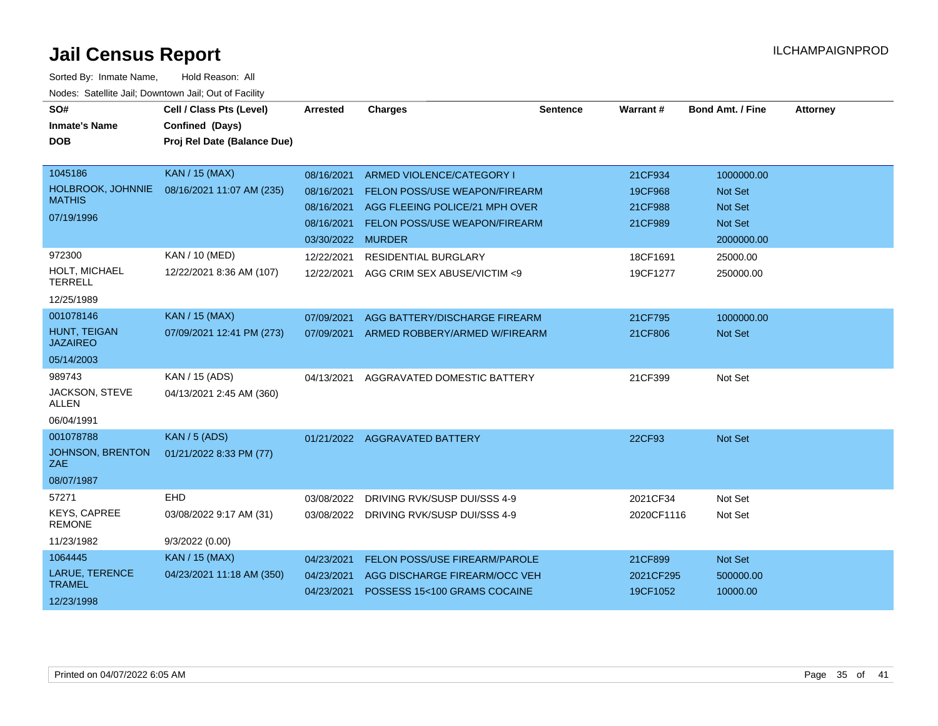| SO#<br><b>Inmate's Name</b><br><b>DOB</b>                        | Cell / Class Pts (Level)<br>Confined (Days)<br>Proj Rel Date (Balance Due) | <b>Arrested</b>                                                           | <b>Charges</b>                                                                                                                       | <b>Sentence</b> | Warrant#                                 | <b>Bond Amt. / Fine</b>                                                        | <b>Attorney</b> |
|------------------------------------------------------------------|----------------------------------------------------------------------------|---------------------------------------------------------------------------|--------------------------------------------------------------------------------------------------------------------------------------|-----------------|------------------------------------------|--------------------------------------------------------------------------------|-----------------|
| 1045186<br>HOLBROOK, JOHNNIE<br><b>MATHIS</b><br>07/19/1996      | <b>KAN / 15 (MAX)</b><br>08/16/2021 11:07 AM (235)                         | 08/16/2021<br>08/16/2021<br>08/16/2021<br>08/16/2021<br>03/30/2022 MURDER | ARMED VIOLENCE/CATEGORY I<br><b>FELON POSS/USE WEAPON/FIREARM</b><br>AGG FLEEING POLICE/21 MPH OVER<br>FELON POSS/USE WEAPON/FIREARM |                 | 21CF934<br>19CF968<br>21CF988<br>21CF989 | 1000000.00<br><b>Not Set</b><br><b>Not Set</b><br><b>Not Set</b><br>2000000.00 |                 |
| 972300<br>HOLT, MICHAEL<br><b>TERRELL</b><br>12/25/1989          | KAN / 10 (MED)<br>12/22/2021 8:36 AM (107)                                 | 12/22/2021<br>12/22/2021                                                  | <b>RESIDENTIAL BURGLARY</b><br>AGG CRIM SEX ABUSE/VICTIM <9                                                                          |                 | 18CF1691<br>19CF1277                     | 25000.00<br>250000.00                                                          |                 |
| 001078146<br>HUNT, TEIGAN<br><b>JAZAIREO</b><br>05/14/2003       | <b>KAN / 15 (MAX)</b><br>07/09/2021 12:41 PM (273)                         | 07/09/2021<br>07/09/2021                                                  | AGG BATTERY/DISCHARGE FIREARM<br>ARMED ROBBERY/ARMED W/FIREARM                                                                       |                 | 21CF795<br>21CF806                       | 1000000.00<br>Not Set                                                          |                 |
| 989743<br>JACKSON, STEVE<br><b>ALLEN</b><br>06/04/1991           | KAN / 15 (ADS)<br>04/13/2021 2:45 AM (360)                                 | 04/13/2021                                                                | AGGRAVATED DOMESTIC BATTERY                                                                                                          |                 | 21CF399                                  | Not Set                                                                        |                 |
| 001078788<br><b>JOHNSON, BRENTON</b><br><b>ZAE</b><br>08/07/1987 | <b>KAN / 5 (ADS)</b><br>01/21/2022 8:33 PM (77)                            |                                                                           | 01/21/2022 AGGRAVATED BATTERY                                                                                                        |                 | 22CF93                                   | <b>Not Set</b>                                                                 |                 |
| 57271<br><b>KEYS, CAPREE</b><br><b>REMONE</b><br>11/23/1982      | EHD<br>03/08/2022 9:17 AM (31)<br>9/3/2022 (0.00)                          | 03/08/2022                                                                | DRIVING RVK/SUSP DUI/SSS 4-9<br>03/08/2022 DRIVING RVK/SUSP DUI/SSS 4-9                                                              |                 | 2021CF34<br>2020CF1116                   | Not Set<br>Not Set                                                             |                 |
| 1064445<br>LARUE, TERENCE<br><b>TRAMEL</b><br>12/23/1998         | <b>KAN / 15 (MAX)</b><br>04/23/2021 11:18 AM (350)                         | 04/23/2021<br>04/23/2021<br>04/23/2021                                    | FELON POSS/USE FIREARM/PAROLE<br>AGG DISCHARGE FIREARM/OCC VEH<br>POSSESS 15<100 GRAMS COCAINE                                       |                 | 21CF899<br>2021CF295<br>19CF1052         | Not Set<br>500000.00<br>10000.00                                               |                 |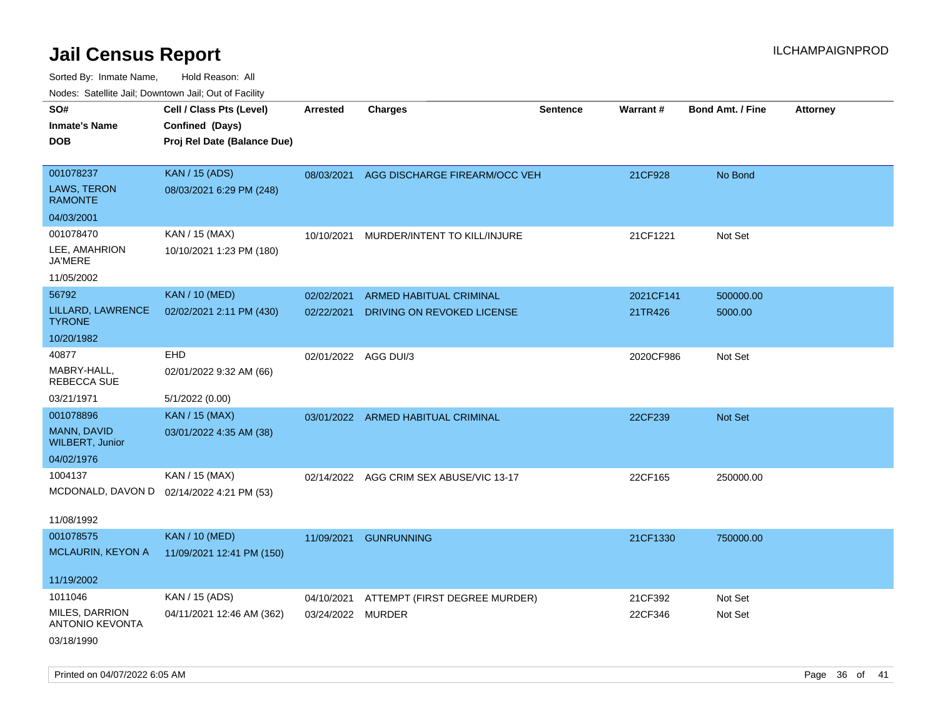| roaco. Catolino dall, Downtown dall, Out of Fability |                                           |                      |                                          |                 |                 |                         |                 |
|------------------------------------------------------|-------------------------------------------|----------------------|------------------------------------------|-----------------|-----------------|-------------------------|-----------------|
| SO#                                                  | Cell / Class Pts (Level)                  | Arrested             | Charges                                  | <b>Sentence</b> | <b>Warrant#</b> | <b>Bond Amt. / Fine</b> | <b>Attorney</b> |
| <b>Inmate's Name</b>                                 | Confined (Days)                           |                      |                                          |                 |                 |                         |                 |
| <b>DOB</b>                                           | Proj Rel Date (Balance Due)               |                      |                                          |                 |                 |                         |                 |
|                                                      |                                           |                      |                                          |                 |                 |                         |                 |
| 001078237                                            | <b>KAN / 15 (ADS)</b>                     |                      | 08/03/2021 AGG DISCHARGE FIREARM/OCC VEH |                 | 21CF928         | No Bond                 |                 |
| <b>LAWS, TERON</b><br><b>RAMONTE</b>                 | 08/03/2021 6:29 PM (248)                  |                      |                                          |                 |                 |                         |                 |
| 04/03/2001                                           |                                           |                      |                                          |                 |                 |                         |                 |
| 001078470                                            | KAN / 15 (MAX)                            | 10/10/2021           | MURDER/INTENT TO KILL/INJURE             |                 | 21CF1221        | Not Set                 |                 |
| LEE, AMAHRION<br><b>JA'MERE</b>                      | 10/10/2021 1:23 PM (180)                  |                      |                                          |                 |                 |                         |                 |
| 11/05/2002                                           |                                           |                      |                                          |                 |                 |                         |                 |
| 56792                                                | <b>KAN / 10 (MED)</b>                     | 02/02/2021           | ARMED HABITUAL CRIMINAL                  |                 | 2021CF141       | 500000.00               |                 |
| LILLARD, LAWRENCE<br><b>TYRONE</b>                   | 02/02/2021 2:11 PM (430)                  | 02/22/2021           | DRIVING ON REVOKED LICENSE               |                 | 21TR426         | 5000.00                 |                 |
| 10/20/1982                                           |                                           |                      |                                          |                 |                 |                         |                 |
| 40877                                                | <b>EHD</b>                                | 02/01/2022 AGG DUI/3 |                                          |                 | 2020CF986       | Not Set                 |                 |
| MABRY-HALL,<br>REBECCA SUE                           | 02/01/2022 9:32 AM (66)                   |                      |                                          |                 |                 |                         |                 |
| 03/21/1971                                           | 5/1/2022 (0.00)                           |                      |                                          |                 |                 |                         |                 |
| 001078896                                            | <b>KAN / 15 (MAX)</b>                     |                      | 03/01/2022 ARMED HABITUAL CRIMINAL       |                 | 22CF239         | <b>Not Set</b>          |                 |
| <b>MANN, DAVID</b><br><b>WILBERT, Junior</b>         | 03/01/2022 4:35 AM (38)                   |                      |                                          |                 |                 |                         |                 |
| 04/02/1976                                           |                                           |                      |                                          |                 |                 |                         |                 |
| 1004137                                              | KAN / 15 (MAX)                            |                      | 02/14/2022 AGG CRIM SEX ABUSE/VIC 13-17  |                 | 22CF165         | 250000.00               |                 |
|                                                      | MCDONALD, DAVON D 02/14/2022 4:21 PM (53) |                      |                                          |                 |                 |                         |                 |
|                                                      |                                           |                      |                                          |                 |                 |                         |                 |
| 11/08/1992                                           |                                           |                      |                                          |                 |                 |                         |                 |
| 001078575                                            | <b>KAN / 10 (MED)</b>                     | 11/09/2021           | <b>GUNRUNNING</b>                        |                 | 21CF1330        | 750000.00               |                 |
| MCLAURIN, KEYON A                                    | 11/09/2021 12:41 PM (150)                 |                      |                                          |                 |                 |                         |                 |
| 11/19/2002                                           |                                           |                      |                                          |                 |                 |                         |                 |
| 1011046                                              | KAN / 15 (ADS)                            | 04/10/2021           | ATTEMPT (FIRST DEGREE MURDER)            |                 | 21CF392         | Not Set                 |                 |
| MILES, DARRION<br><b>ANTONIO KEVONTA</b>             | 04/11/2021 12:46 AM (362)                 | 03/24/2022 MURDER    |                                          |                 | 22CF346         | Not Set                 |                 |
| 03/18/1990                                           |                                           |                      |                                          |                 |                 |                         |                 |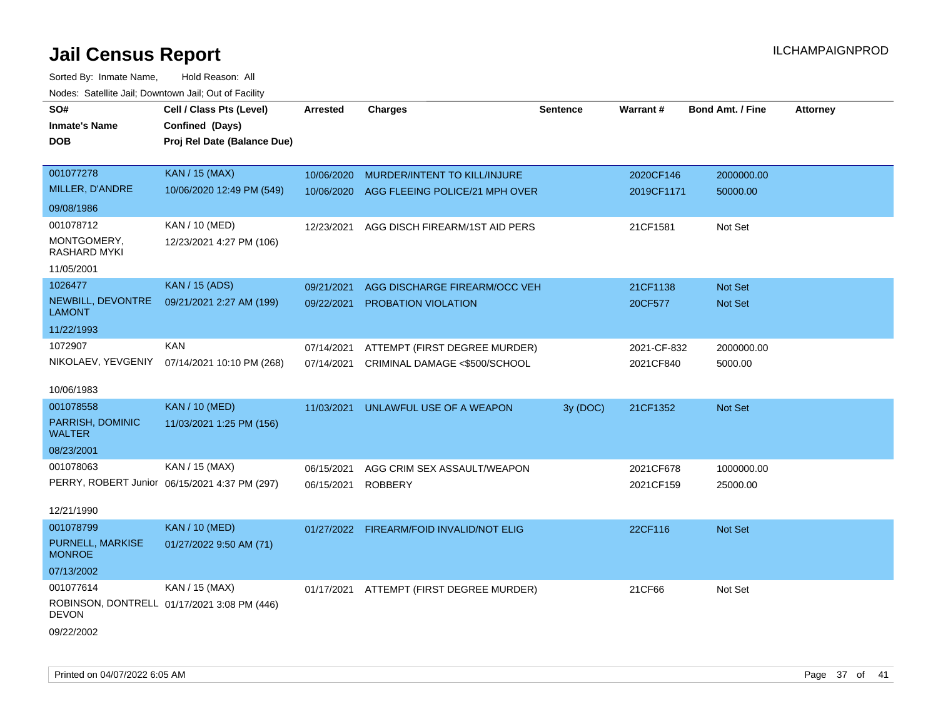| roaco. Calcinio dan, Downtown dan, Out or Fabilit |                                               |                 |                                          |          |             |                         |                 |
|---------------------------------------------------|-----------------------------------------------|-----------------|------------------------------------------|----------|-------------|-------------------------|-----------------|
| SO#<br><b>Inmate's Name</b>                       | Cell / Class Pts (Level)<br>Confined (Days)   | <b>Arrested</b> | <b>Charges</b>                           | Sentence | Warrant#    | <b>Bond Amt. / Fine</b> | <b>Attorney</b> |
| <b>DOB</b>                                        | Proj Rel Date (Balance Due)                   |                 |                                          |          |             |                         |                 |
| 001077278                                         | <b>KAN / 15 (MAX)</b>                         | 10/06/2020      | MURDER/INTENT TO KILL/INJURE             |          | 2020CF146   | 2000000.00              |                 |
| MILLER, D'ANDRE                                   | 10/06/2020 12:49 PM (549)                     | 10/06/2020      | AGG FLEEING POLICE/21 MPH OVER           |          | 2019CF1171  | 50000.00                |                 |
| 09/08/1986                                        |                                               |                 |                                          |          |             |                         |                 |
| 001078712                                         | <b>KAN / 10 (MED)</b>                         | 12/23/2021      | AGG DISCH FIREARM/1ST AID PERS           |          | 21CF1581    | Not Set                 |                 |
| MONTGOMERY,<br><b>RASHARD MYKI</b>                | 12/23/2021 4:27 PM (106)                      |                 |                                          |          |             |                         |                 |
| 11/05/2001                                        |                                               |                 |                                          |          |             |                         |                 |
| 1026477                                           | <b>KAN / 15 (ADS)</b>                         | 09/21/2021      | AGG DISCHARGE FIREARM/OCC VEH            |          | 21CF1138    | <b>Not Set</b>          |                 |
| NEWBILL, DEVONTRE<br><b>LAMONT</b>                | 09/21/2021 2:27 AM (199)                      | 09/22/2021      | PROBATION VIOLATION                      |          | 20CF577     | Not Set                 |                 |
| 11/22/1993                                        |                                               |                 |                                          |          |             |                         |                 |
| 1072907                                           | <b>KAN</b>                                    | 07/14/2021      | ATTEMPT (FIRST DEGREE MURDER)            |          | 2021-CF-832 | 2000000.00              |                 |
| NIKOLAEV, YEVGENIY                                | 07/14/2021 10:10 PM (268)                     | 07/14/2021      | CRIMINAL DAMAGE <\$500/SCHOOL            |          | 2021CF840   | 5000.00                 |                 |
| 10/06/1983                                        |                                               |                 |                                          |          |             |                         |                 |
| 001078558                                         | <b>KAN / 10 (MED)</b>                         | 11/03/2021      | UNLAWFUL USE OF A WEAPON                 | 3y (DOC) | 21CF1352    | Not Set                 |                 |
| PARRISH, DOMINIC<br><b>WALTER</b>                 | 11/03/2021 1:25 PM (156)                      |                 |                                          |          |             |                         |                 |
| 08/23/2001                                        |                                               |                 |                                          |          |             |                         |                 |
| 001078063                                         | KAN / 15 (MAX)                                | 06/15/2021      | AGG CRIM SEX ASSAULT/WEAPON              |          | 2021CF678   | 1000000.00              |                 |
|                                                   | PERRY, ROBERT Junior 06/15/2021 4:37 PM (297) | 06/15/2021      | <b>ROBBERY</b>                           |          | 2021CF159   | 25000.00                |                 |
| 12/21/1990                                        |                                               |                 |                                          |          |             |                         |                 |
| 001078799                                         | <b>KAN / 10 (MED)</b>                         |                 | 01/27/2022 FIREARM/FOID INVALID/NOT ELIG |          | 22CF116     | Not Set                 |                 |
| PURNELL, MARKISE<br><b>MONROE</b>                 | 01/27/2022 9:50 AM (71)                       |                 |                                          |          |             |                         |                 |
| 07/13/2002                                        |                                               |                 |                                          |          |             |                         |                 |
| 001077614                                         | KAN / 15 (MAX)                                | 01/17/2021      | ATTEMPT (FIRST DEGREE MURDER)            |          | 21CF66      | Not Set                 |                 |
| <b>DEVON</b>                                      | ROBINSON, DONTRELL 01/17/2021 3:08 PM (446)   |                 |                                          |          |             |                         |                 |
| 09/22/2002                                        |                                               |                 |                                          |          |             |                         |                 |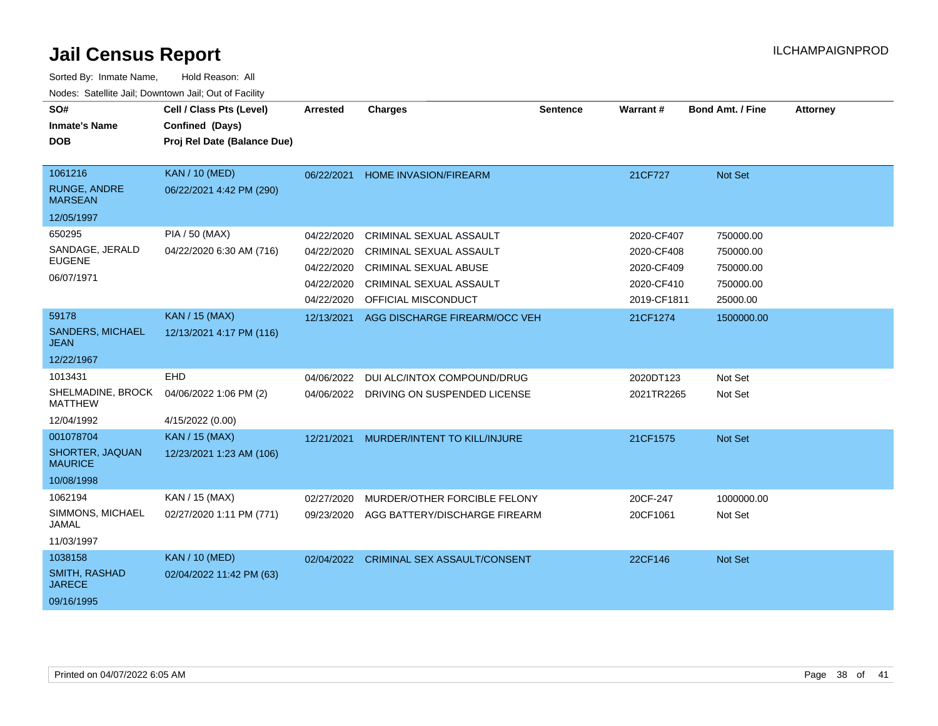| SO#<br><b>Inmate's Name</b><br><b>DOB</b>       | Cell / Class Pts (Level)<br>Confined (Days)<br>Proj Rel Date (Balance Due) | <b>Arrested</b>          | <b>Charges</b>                                                | Sentence | Warrant#                | <b>Bond Amt. / Fine</b> | <b>Attorney</b> |
|-------------------------------------------------|----------------------------------------------------------------------------|--------------------------|---------------------------------------------------------------|----------|-------------------------|-------------------------|-----------------|
| 1061216<br>RUNGE, ANDRE<br><b>MARSEAN</b>       | <b>KAN / 10 (MED)</b><br>06/22/2021 4:42 PM (290)                          | 06/22/2021               | <b>HOME INVASION/FIREARM</b>                                  |          | 21CF727                 | Not Set                 |                 |
| 12/05/1997                                      |                                                                            |                          |                                                               |          |                         |                         |                 |
| 650295                                          | PIA / 50 (MAX)                                                             | 04/22/2020               | CRIMINAL SEXUAL ASSAULT                                       |          | 2020-CF407              | 750000.00               |                 |
| SANDAGE, JERALD<br><b>EUGENE</b>                | 04/22/2020 6:30 AM (716)                                                   | 04/22/2020               | CRIMINAL SEXUAL ASSAULT                                       |          | 2020-CF408              | 750000.00               |                 |
| 06/07/1971                                      |                                                                            | 04/22/2020               | <b>CRIMINAL SEXUAL ABUSE</b>                                  |          | 2020-CF409              | 750000.00               |                 |
|                                                 |                                                                            | 04/22/2020               | CRIMINAL SEXUAL ASSAULT                                       |          | 2020-CF410              | 750000.00               |                 |
|                                                 |                                                                            | 04/22/2020               | <b>OFFICIAL MISCONDUCT</b>                                    |          | 2019-CF1811             | 25000.00                |                 |
| 59178<br><b>SANDERS, MICHAEL</b><br><b>JEAN</b> | <b>KAN / 15 (MAX)</b><br>12/13/2021 4:17 PM (116)                          | 12/13/2021               | AGG DISCHARGE FIREARM/OCC VEH                                 |          | 21CF1274                | 1500000.00              |                 |
| 12/22/1967                                      |                                                                            |                          |                                                               |          |                         |                         |                 |
| 1013431<br>SHELMADINE, BROCK                    | <b>EHD</b><br>04/06/2022 1:06 PM (2)                                       | 04/06/2022<br>04/06/2022 | DUI ALC/INTOX COMPOUND/DRUG<br>DRIVING ON SUSPENDED LICENSE   |          | 2020DT123<br>2021TR2265 | Not Set<br>Not Set      |                 |
| <b>MATTHEW</b>                                  |                                                                            |                          |                                                               |          |                         |                         |                 |
| 12/04/1992                                      | 4/15/2022 (0.00)                                                           |                          |                                                               |          |                         |                         |                 |
| 001078704<br>SHORTER, JAQUAN<br><b>MAURICE</b>  | <b>KAN / 15 (MAX)</b><br>12/23/2021 1:23 AM (106)                          | 12/21/2021               | MURDER/INTENT TO KILL/INJURE                                  |          | 21CF1575                | Not Set                 |                 |
| 10/08/1998                                      |                                                                            |                          |                                                               |          |                         |                         |                 |
| 1062194<br>SIMMONS, MICHAEL<br><b>JAMAL</b>     | KAN / 15 (MAX)<br>02/27/2020 1:11 PM (771)                                 | 02/27/2020<br>09/23/2020 | MURDER/OTHER FORCIBLE FELONY<br>AGG BATTERY/DISCHARGE FIREARM |          | 20CF-247<br>20CF1061    | 1000000.00<br>Not Set   |                 |
| 11/03/1997                                      |                                                                            |                          |                                                               |          |                         |                         |                 |
| 1038158                                         | <b>KAN / 10 (MED)</b>                                                      | 02/04/2022               | <b>CRIMINAL SEX ASSAULT/CONSENT</b>                           |          | 22CF146                 | Not Set                 |                 |
| SMITH, RASHAD<br><b>JARECE</b>                  | 02/04/2022 11:42 PM (63)                                                   |                          |                                                               |          |                         |                         |                 |
| 09/16/1995                                      |                                                                            |                          |                                                               |          |                         |                         |                 |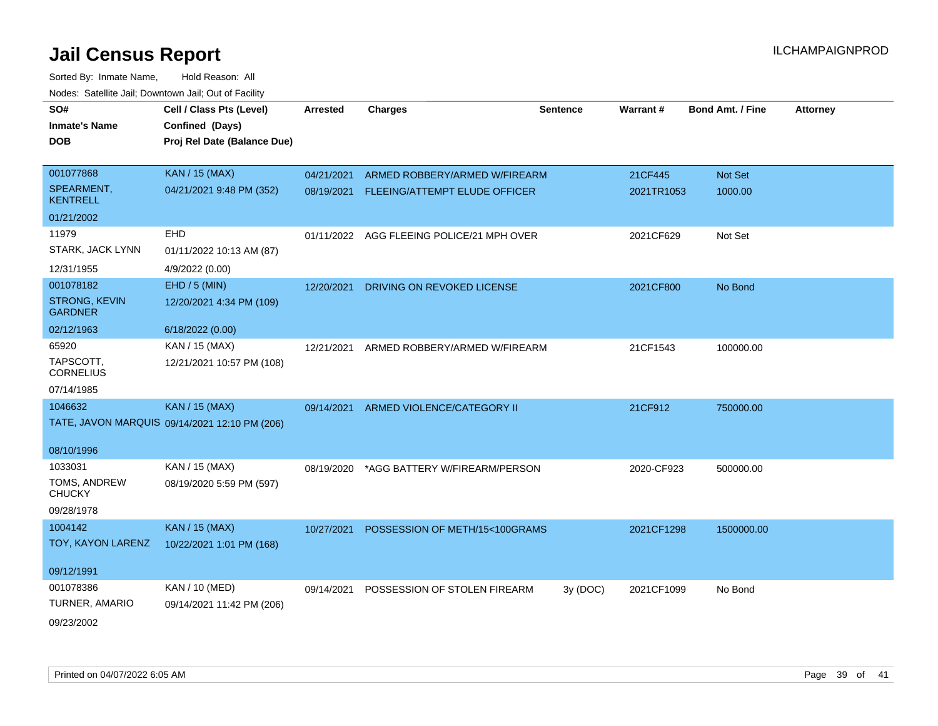| SO#<br><b>Inmate's Name</b><br><b>DOB</b> | Cell / Class Pts (Level)<br>Confined (Days)<br>Proj Rel Date (Balance Due) | <b>Arrested</b> | <b>Charges</b>                            | <b>Sentence</b> | <b>Warrant#</b> | <b>Bond Amt. / Fine</b> | <b>Attorney</b> |
|-------------------------------------------|----------------------------------------------------------------------------|-----------------|-------------------------------------------|-----------------|-----------------|-------------------------|-----------------|
| 001077868                                 | <b>KAN / 15 (MAX)</b>                                                      | 04/21/2021      | ARMED ROBBERY/ARMED W/FIREARM             |                 | 21CF445         | Not Set                 |                 |
| SPEARMENT,<br><b>KENTRELL</b>             | 04/21/2021 9:48 PM (352)                                                   |                 | 08/19/2021 FLEEING/ATTEMPT ELUDE OFFICER  |                 | 2021TR1053      | 1000.00                 |                 |
| 01/21/2002                                |                                                                            |                 |                                           |                 |                 |                         |                 |
| 11979                                     | <b>EHD</b>                                                                 |                 | 01/11/2022 AGG FLEEING POLICE/21 MPH OVER |                 | 2021CF629       | Not Set                 |                 |
| STARK, JACK LYNN                          | 01/11/2022 10:13 AM (87)                                                   |                 |                                           |                 |                 |                         |                 |
| 12/31/1955                                | 4/9/2022 (0.00)                                                            |                 |                                           |                 |                 |                         |                 |
| 001078182                                 | EHD / 5 (MIN)                                                              | 12/20/2021      | DRIVING ON REVOKED LICENSE                |                 | 2021CF800       | No Bond                 |                 |
| <b>STRONG, KEVIN</b><br><b>GARDNER</b>    | 12/20/2021 4:34 PM (109)                                                   |                 |                                           |                 |                 |                         |                 |
| 02/12/1963                                | 6/18/2022 (0.00)                                                           |                 |                                           |                 |                 |                         |                 |
| 65920                                     | KAN / 15 (MAX)                                                             | 12/21/2021      | ARMED ROBBERY/ARMED W/FIREARM             |                 | 21CF1543        | 100000.00               |                 |
| TAPSCOTT,<br><b>CORNELIUS</b>             | 12/21/2021 10:57 PM (108)                                                  |                 |                                           |                 |                 |                         |                 |
| 07/14/1985                                |                                                                            |                 |                                           |                 |                 |                         |                 |
| 1046632                                   | <b>KAN / 15 (MAX)</b>                                                      |                 | 09/14/2021 ARMED VIOLENCE/CATEGORY II     |                 | 21CF912         | 750000.00               |                 |
|                                           | TATE, JAVON MARQUIS 09/14/2021 12:10 PM (206)                              |                 |                                           |                 |                 |                         |                 |
| 08/10/1996                                |                                                                            |                 |                                           |                 |                 |                         |                 |
| 1033031                                   | KAN / 15 (MAX)                                                             | 08/19/2020      | *AGG BATTERY W/FIREARM/PERSON             |                 | 2020-CF923      | 500000.00               |                 |
| TOMS, ANDREW<br><b>CHUCKY</b>             | 08/19/2020 5:59 PM (597)                                                   |                 |                                           |                 |                 |                         |                 |
| 09/28/1978                                |                                                                            |                 |                                           |                 |                 |                         |                 |
| 1004142                                   | <b>KAN / 15 (MAX)</b>                                                      | 10/27/2021      | POSSESSION OF METH/15<100GRAMS            |                 | 2021CF1298      | 1500000.00              |                 |
| TOY, KAYON LARENZ                         | 10/22/2021 1:01 PM (168)                                                   |                 |                                           |                 |                 |                         |                 |
| 09/12/1991                                |                                                                            |                 |                                           |                 |                 |                         |                 |
| 001078386                                 | KAN / 10 (MED)                                                             | 09/14/2021      | POSSESSION OF STOLEN FIREARM              | 3y (DOC)        | 2021CF1099      | No Bond                 |                 |
| TURNER, AMARIO                            | 09/14/2021 11:42 PM (206)                                                  |                 |                                           |                 |                 |                         |                 |
| 09/23/2002                                |                                                                            |                 |                                           |                 |                 |                         |                 |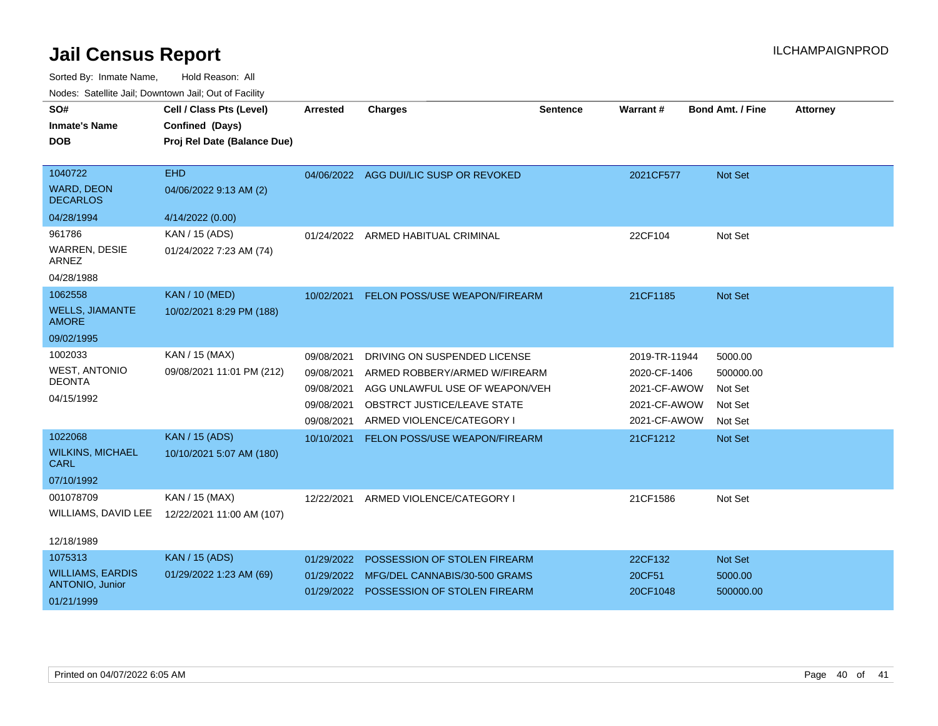| SO#<br><b>Inmate's Name</b><br><b>DOB</b>                           | Cell / Class Pts (Level)<br>Confined (Days)<br>Proj Rel Date (Balance Due) | <b>Arrested</b>                                                    | <b>Charges</b>                                                                                                                                                     | <b>Sentence</b> | Warrant#                                                                      | <b>Bond Amt. / Fine</b>                               | <b>Attorney</b> |
|---------------------------------------------------------------------|----------------------------------------------------------------------------|--------------------------------------------------------------------|--------------------------------------------------------------------------------------------------------------------------------------------------------------------|-----------------|-------------------------------------------------------------------------------|-------------------------------------------------------|-----------------|
| 1040722<br>WARD, DEON<br><b>DECARLOS</b><br>04/28/1994              | <b>EHD</b><br>04/06/2022 9:13 AM (2)<br>4/14/2022 (0.00)                   |                                                                    | 04/06/2022 AGG DUI/LIC SUSP OR REVOKED                                                                                                                             |                 | 2021CF577                                                                     | <b>Not Set</b>                                        |                 |
| 961786<br><b>WARREN, DESIE</b><br><b>ARNEZ</b><br>04/28/1988        | KAN / 15 (ADS)<br>01/24/2022 7:23 AM (74)                                  | 01/24/2022                                                         | ARMED HABITUAL CRIMINAL                                                                                                                                            |                 | 22CF104                                                                       | Not Set                                               |                 |
| 1062558<br><b>WELLS, JIAMANTE</b><br><b>AMORE</b><br>09/02/1995     | <b>KAN / 10 (MED)</b><br>10/02/2021 8:29 PM (188)                          | 10/02/2021                                                         | FELON POSS/USE WEAPON/FIREARM                                                                                                                                      |                 | 21CF1185                                                                      | <b>Not Set</b>                                        |                 |
| 1002033<br><b>WEST, ANTONIO</b><br><b>DEONTA</b><br>04/15/1992      | KAN / 15 (MAX)<br>09/08/2021 11:01 PM (212)                                | 09/08/2021<br>09/08/2021<br>09/08/2021<br>09/08/2021<br>09/08/2021 | DRIVING ON SUSPENDED LICENSE<br>ARMED ROBBERY/ARMED W/FIREARM<br>AGG UNLAWFUL USE OF WEAPON/VEH<br><b>OBSTRCT JUSTICE/LEAVE STATE</b><br>ARMED VIOLENCE/CATEGORY I |                 | 2019-TR-11944<br>2020-CF-1406<br>2021-CF-AWOW<br>2021-CF-AWOW<br>2021-CF-AWOW | 5000.00<br>500000.00<br>Not Set<br>Not Set<br>Not Set |                 |
| 1022068<br><b>WILKINS, MICHAEL</b><br>CARL<br>07/10/1992            | <b>KAN / 15 (ADS)</b><br>10/10/2021 5:07 AM (180)                          | 10/10/2021                                                         | FELON POSS/USE WEAPON/FIREARM                                                                                                                                      |                 | 21CF1212                                                                      | Not Set                                               |                 |
| 001078709<br>WILLIAMS, DAVID LEE<br>12/18/1989                      | KAN / 15 (MAX)<br>12/22/2021 11:00 AM (107)                                | 12/22/2021                                                         | ARMED VIOLENCE/CATEGORY I                                                                                                                                          |                 | 21CF1586                                                                      | Not Set                                               |                 |
| 1075313<br><b>WILLIAMS, EARDIS</b><br>ANTONIO, Junior<br>01/21/1999 | <b>KAN / 15 (ADS)</b><br>01/29/2022 1:23 AM (69)                           | 01/29/2022<br>01/29/2022                                           | POSSESSION OF STOLEN FIREARM<br>MFG/DEL CANNABIS/30-500 GRAMS<br>01/29/2022 POSSESSION OF STOLEN FIREARM                                                           |                 | 22CF132<br>20CF51<br>20CF1048                                                 | Not Set<br>5000.00<br>500000.00                       |                 |